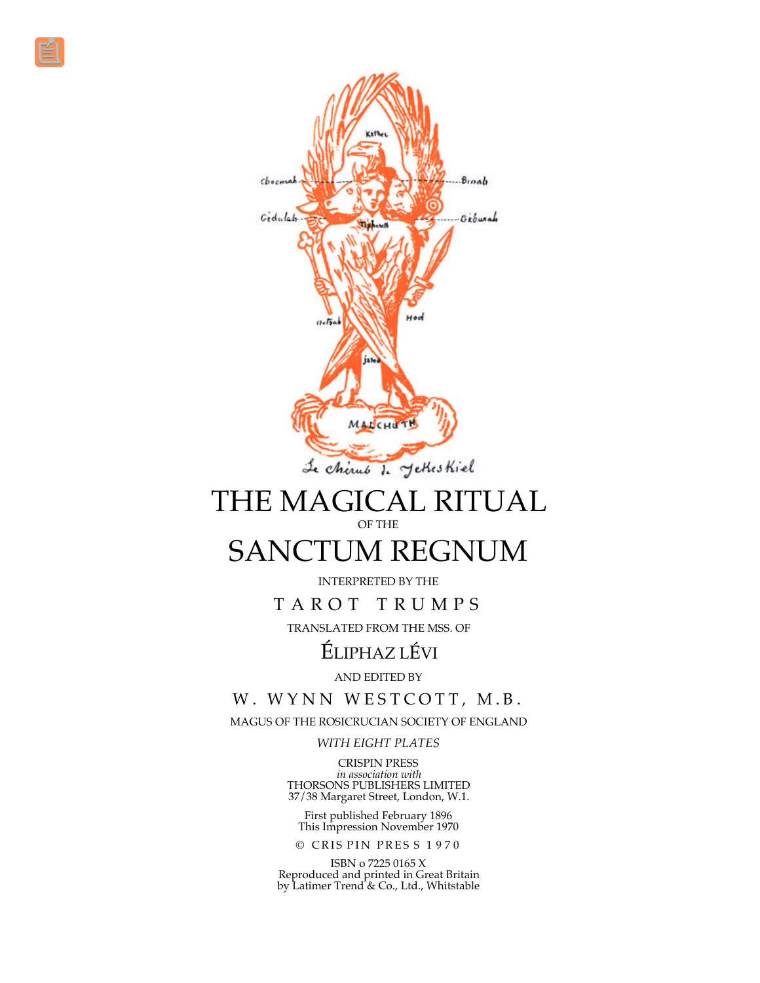

# [THE MAGICAL RITUAL](http://www.tarotworks.com/course/mrsr/) OF THE

SANCTUM REGNUM

INTERPRETED BY THE

T A R O T T R U M P S

TRANSLATED FROM THE MSS. OF

# ÉLIPHAZ LÉVI

AND EDITED BY

W. WYNN WESTCOTT, M.B.

MAGUS OF THE ROSICRUCIAN SOCIETY OF ENGLAND

*WITH EIGHT PLATES*

CRISPIN PRESS *in association with* THORSONS PUBLISHERS LIMITED 37/38 Margaret Street, London, W.1.

First published February 1896 This Impression November 1970

© CRIS PIN PRES S 1 9 7 0

ISBN o 7225 0165 X Reproduced and printed in Great Britain by Latimer Trend & Co., Ltd., Whitstable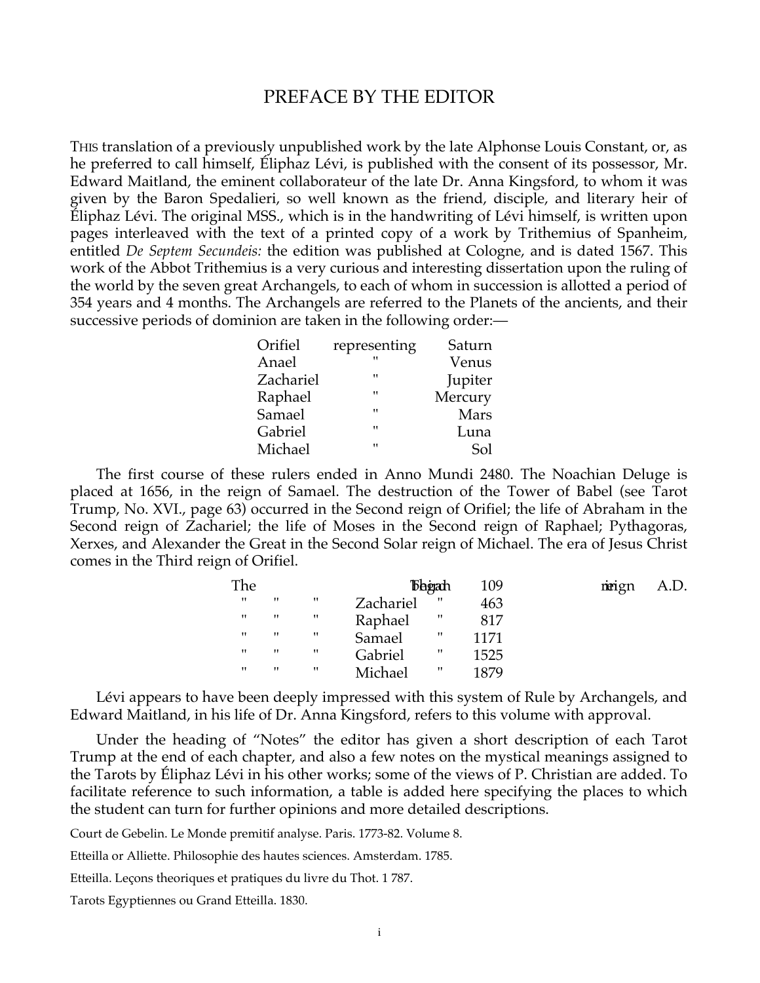# PREFACE BY THE EDITOR

THIS translation of a previously unpublished work by the late Alphonse Louis Constant, or, as he preferred to call himself, Éliphaz Lévi, is published with the consent of its possessor, Mr. Edward Maitland, the eminent collaborateur of the late Dr. Anna Kingsford, to whom it was given by the Baron Spedalieri, so well known as the friend, disciple, and literary heir of Éliphaz Lévi. The original MSS., which is in the handwriting of Lévi himself, is written upon pages interleaved with the text of a printed copy of a work by Trithemius of Spanheim, entitled *De Septem Secundeis:* the edition was published at Cologne, and is dated 1567. This work of the Abbot Trithemius is a very curious and interesting dissertation upon the ruling of the world by the seven great Archangels, to each of whom in succession is allotted a period of 354 years and 4 months. The Archangels are referred to the Planets of the ancients, and their successive periods of dominion are taken in the following order:—

| Orifiel   | representing | Saturn  |
|-----------|--------------|---------|
| Anael     |              | Venus   |
| Zachariel | "            | Jupiter |
| Raphael   | "            | Mercury |
| Samael    | $^{\prime}$  | Mars    |
| Gabriel   | $^{\prime}$  | Luna    |
| Michael   | $^{\prime}$  | Sol     |

The first course of these rulers ended in Anno Mundi 2480. The Noachian Deluge is placed at 1656, in the reign of Samael. The destruction of the Tower of Babel (see Tarot Trump, No. XVI., page 63) occurred in the Second reign of Orifiel; the life of Abraham in the Second reign of Zachariel; the life of Moses in the Second reign of Raphael; Pythagoras, Xerxes, and Alexander the Great in the Second Solar reign of Michael. The era of Jesus Christ comes in the Third reign of Orifiel.

| The               |                   |                   |           | Tolegach       | 109  | mign | A.D. |
|-------------------|-------------------|-------------------|-----------|----------------|------|------|------|
| $^{\prime\prime}$ | $^{\bullet}$      | 11                | Zachariel | $\blacksquare$ | 463  |      |      |
| 11                | $^{\prime\prime}$ | $^{\prime\prime}$ | Raphael   | $^{\bullet}$   | 817  |      |      |
| 11                | $^{\prime\prime}$ | $\mathbf{H}$      | Samael    | 11             | 1171 |      |      |
| ,,                | $^{\prime\prime}$ | $\mathbf{H}$      | Gabriel   | 11             | 1525 |      |      |
| ,,                | $^{\prime\prime}$ | $^{\prime\prime}$ | Michael   | 11             | 1879 |      |      |

Lévi appears to have been deeply impressed with this system of Rule by Archangels, and Edward Maitland, in his life of Dr. Anna Kingsford, refers to this volume with approval.

Under the heading of "Notes" the editor has given a short description of each Tarot Trump at the end of each chapter, and also a few notes on the mystical meanings assigned to the Tarots by Éliphaz Lévi in his other works; some of the views of P. Christian are added. To facilitate reference to such information, a table is added here specifying the places to which the student can turn for further opinions and more detailed descriptions.

Court de Gebelin. Le Monde premitif analyse. Paris. 1773-82. Volume 8.

Etteilla or Alliette. Philosophie des hautes sciences. Amsterdam. 1785.

Etteilla. Leçons theoriques et pratiques du livre du Thot. 1 787.

Tarots Egyptiennes ou Grand Etteilla. 1830.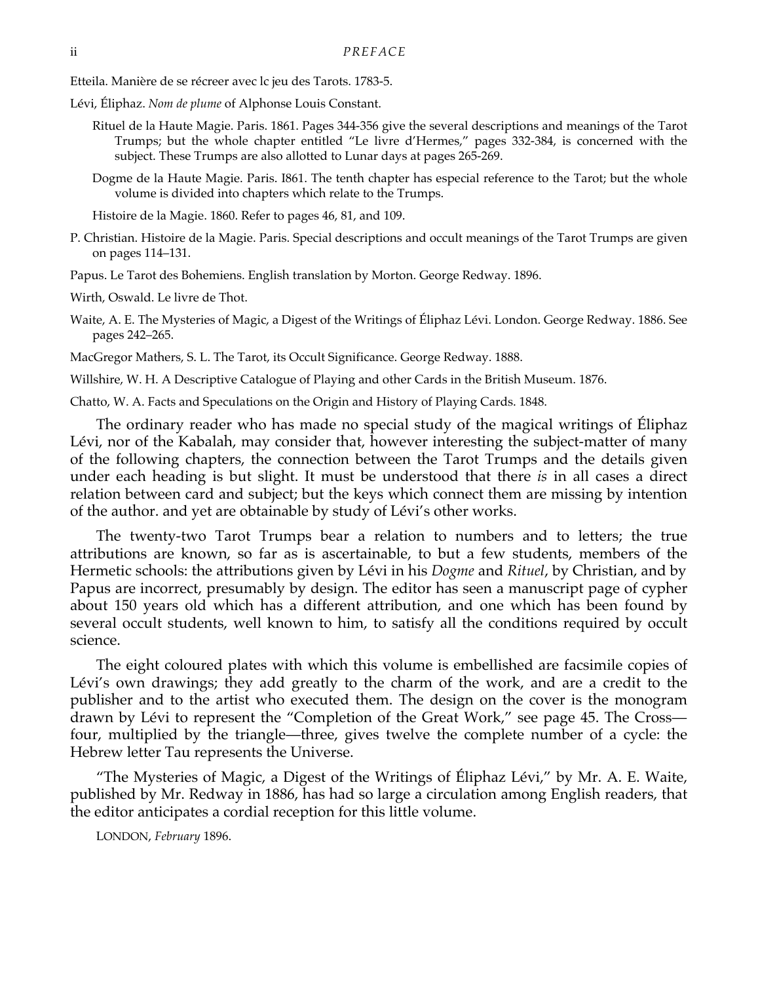Etteila. Manière de se récreer avec lc jeu des Tarots. 1783-5.

Lévi, Éliphaz. *Nom de plume* of Alphonse Louis Constant.

- Rituel de la Haute Magie. Paris. 1861. Pages 344-356 give the several descriptions and meanings of the Tarot Trumps; but the whole chapter entitled "Le livre d'Hermes," pages 332-384, is concerned with the subject. These Trumps are also allotted to Lunar days at pages 265-269.
- Dogme de la Haute Magie. Paris. I861. The tenth chapter has especial reference to the Tarot; but the whole volume is divided into chapters which relate to the Trumps.

Histoire de la Magie. 1860. Refer to pages 46, 81, and 109.

P. Christian. Histoire de la Magie. Paris. Special descriptions and occult meanings of the Tarot Trumps are given on pages 114–131.

Papus. Le Tarot des Bohemiens. English translation by Morton. George Redway. 1896.

Wirth, Oswald. Le livre de Thot.

Waite, A. E. The Mysteries of Magic, a Digest of the Writings of Éliphaz Lévi. London. George Redway. 1886. See pages 242–265.

MacGregor Mathers, S. L. The Tarot, its Occult Significance. George Redway. 1888.

Willshire, W. H. A Descriptive Catalogue of Playing and other Cards in the British Museum. 1876.

Chatto, W. A. Facts and Speculations on the Origin and History of Playing Cards. 1848.

The ordinary reader who has made no special study of the magical writings of Éliphaz Lévi, nor of the Kabalah, may consider that, however interesting the subject-matter of many of the following chapters, the connection between the Tarot Trumps and the details given under each heading is but slight. It must be understood that there *is* in all cases a direct relation between card and subject; but the keys which connect them are missing by intention of the author. and yet are obtainable by study of Lévi's other works.

The twenty-two Tarot Trumps bear a relation to numbers and to letters; the true attributions are known, so far as is ascertainable, to but a few students, members of the Hermetic schools: the attributions given by Lévi in his *Dogme* and *Rituel*, by Christian, and by Papus are incorrect, presumably by design. The editor has seen a manuscript page of cypher about 150 years old which has a different attribution, and one which has been found by several occult students, well known to him, to satisfy all the conditions required by occult science.

The eight coloured plates with which this volume is embellished are facsimile copies of Lévi's own drawings; they add greatly to the charm of the work, and are a credit to the publisher and to the artist who executed them. The design on the cover is the monogram drawn by Lévi to represent the "Completion of the Great Work," see page 45. The Cross four, multiplied by the triangle—three, gives twelve the complete number of a cycle: the Hebrew letter Tau represents the Universe.

"The Mysteries of Magic, a Digest of the Writings of Éliphaz Lévi," by Mr. A. E. Waite, published by Mr. Redway in 1886, has had so large a circulation among English readers, that the editor anticipates a cordial reception for this little volume.

LONDON, *February* 1896.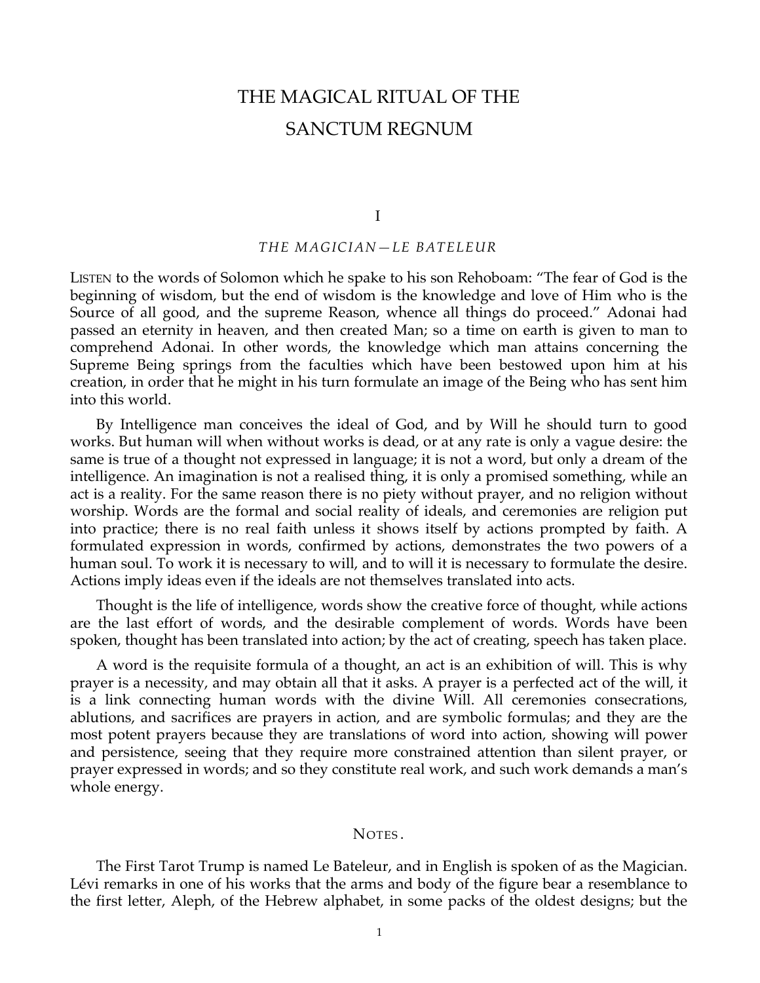# THE MAGICAL RITUAL OF THE SANCTUM REGNUM

I

# *THE MAGICIAN—LE BATELEUR*

LISTEN to the words of Solomon which he spake to his son Rehoboam: "The fear of God is the beginning of wisdom, but the end of wisdom is the knowledge and love of Him who is the Source of all good, and the supreme Reason, whence all things do proceed." Adonai had passed an eternity in heaven, and then created Man; so a time on earth is given to man to comprehend Adonai. In other words, the knowledge which man attains concerning the Supreme Being springs from the faculties which have been bestowed upon him at his creation, in order that he might in his turn formulate an image of the Being who has sent him into this world.

By Intelligence man conceives the ideal of God, and by Will he should turn to good works. But human will when without works is dead, or at any rate is only a vague desire: the same is true of a thought not expressed in language; it is not a word, but only a dream of the intelligence. An imagination is not a realised thing, it is only a promised something, while an act is a reality. For the same reason there is no piety without prayer, and no religion without worship. Words are the formal and social reality of ideals, and ceremonies are religion put into practice; there is no real faith unless it shows itself by actions prompted by faith. A formulated expression in words, confirmed by actions, demonstrates the two powers of a human soul. To work it is necessary to will, and to will it is necessary to formulate the desire. Actions imply ideas even if the ideals are not themselves translated into acts.

Thought is the life of intelligence, words show the creative force of thought, while actions are the last effort of words, and the desirable complement of words. Words have been spoken, thought has been translated into action; by the act of creating, speech has taken place.

A word is the requisite formula of a thought, an act is an exhibition of will. This is why prayer is a necessity, and may obtain all that it asks. A prayer is a perfected act of the will, it is a link connecting human words with the divine Will. All ceremonies consecrations, ablutions, and sacrifices are prayers in action, and are symbolic formulas; and they are the most potent prayers because they are translations of word into action, showing will power and persistence, seeing that they require more constrained attention than silent prayer, or prayer expressed in words; and so they constitute real work, and such work demands a man's whole energy.

#### NOTES .

The First Tarot Trump is named Le Bateleur, and in English is spoken of as the Magician. Lévi remarks in one of his works that the arms and body of the figure bear a resemblance to the first letter, Aleph, of the Hebrew alphabet, in some packs of the oldest designs; but the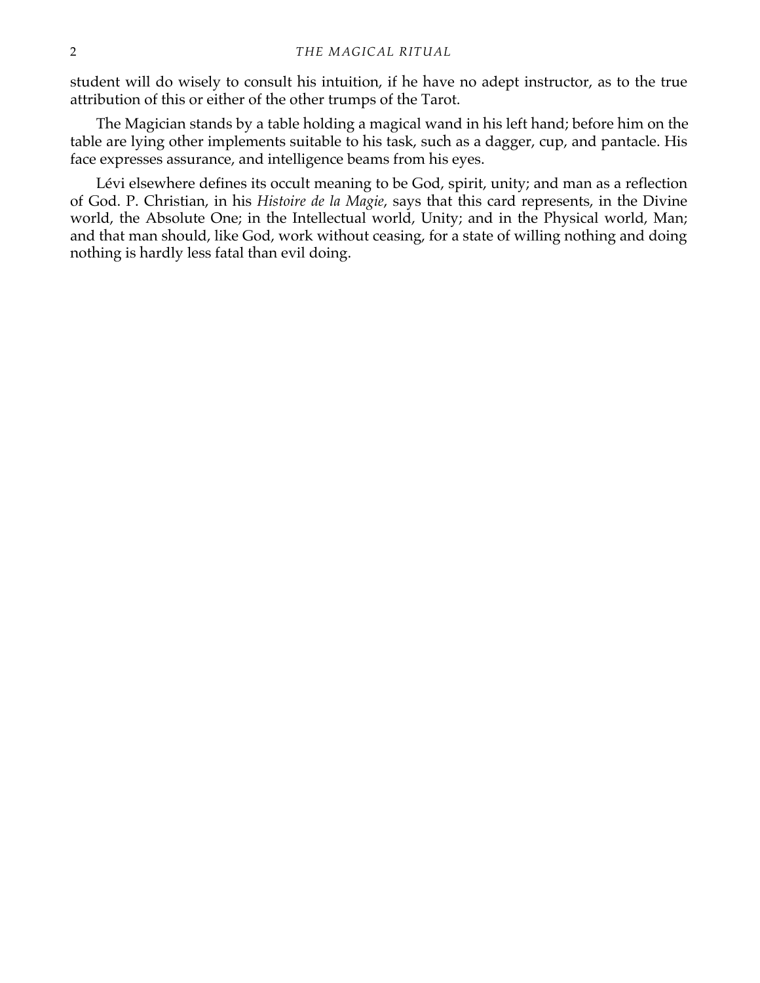student will do wisely to consult his intuition, if he have no adept instructor, as to the true attribution of this or either of the other trumps of the Tarot.

The Magician stands by a table holding a magical wand in his left hand; before him on the table are lying other implements suitable to his task, such as a dagger, cup, and pantacle. His face expresses assurance, and intelligence beams from his eyes.

Lévi elsewhere defines its occult meaning to be God, spirit, unity; and man as a reflection of God. P. Christian, in his *Histoire de la Magie*, says that this card represents, in the Divine world, the Absolute One; in the Intellectual world, Unity; and in the Physical world, Man; and that man should, like God, work without ceasing, for a state of willing nothing and doing nothing is hardly less fatal than evil doing.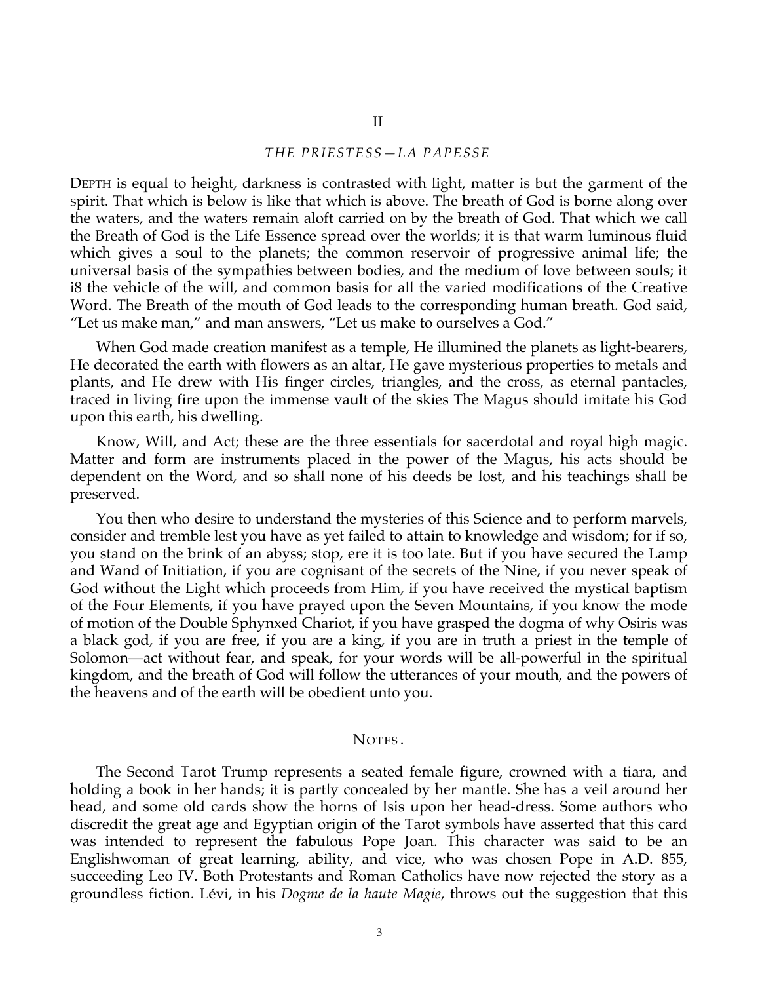# *THE PRIESTESS—LA PAPESSE*

DEPTH is equal to height, darkness is contrasted with light, matter is but the garment of the spirit. That which is below is like that which is above. The breath of God is borne along over the waters, and the waters remain aloft carried on by the breath of God. That which we call the Breath of God is the Life Essence spread over the worlds; it is that warm luminous fluid which gives a soul to the planets; the common reservoir of progressive animal life; the universal basis of the sympathies between bodies, and the medium of love between souls; it i8 the vehicle of the will, and common basis for all the varied modifications of the Creative Word. The Breath of the mouth of God leads to the corresponding human breath. God said, "Let us make man," and man answers, "Let us make to ourselves a God."

When God made creation manifest as a temple, He illumined the planets as light-bearers, He decorated the earth with flowers as an altar, He gave mysterious properties to metals and plants, and He drew with His finger circles, triangles, and the cross, as eternal pantacles, traced in living fire upon the immense vault of the skies The Magus should imitate his God upon this earth, his dwelling.

Know, Will, and Act; these are the three essentials for sacerdotal and royal high magic. Matter and form are instruments placed in the power of the Magus, his acts should be dependent on the Word, and so shall none of his deeds be lost, and his teachings shall be preserved.

You then who desire to understand the mysteries of this Science and to perform marvels, consider and tremble lest you have as yet failed to attain to knowledge and wisdom; for if so, you stand on the brink of an abyss; stop, ere it is too late. But if you have secured the Lamp and Wand of Initiation, if you are cognisant of the secrets of the Nine, if you never speak of God without the Light which proceeds from Him, if you have received the mystical baptism of the Four Elements, if you have prayed upon the Seven Mountains, if you know the mode of motion of the Double Sphynxed Chariot, if you have grasped the dogma of why Osiris was a black god, if you are free, if you are a king, if you are in truth a priest in the temple of Solomon—act without fear, and speak, for your words will be all-powerful in the spiritual kingdom, and the breath of God will follow the utterances of your mouth, and the powers of the heavens and of the earth will be obedient unto you.

#### NOTES .

The Second Tarot Trump represents a seated female figure, crowned with a tiara, and holding a book in her hands; it is partly concealed by her mantle. She has a veil around her head, and some old cards show the horns of Isis upon her head-dress. Some authors who discredit the great age and Egyptian origin of the Tarot symbols have asserted that this card was intended to represent the fabulous Pope Joan. This character was said to be an Englishwoman of great learning, ability, and vice, who was chosen Pope in A.D. 855, succeeding Leo IV. Both Protestants and Roman Catholics have now rejected the story as a groundless fiction. Lévi, in his *Dogme de la haute Magie*, throws out the suggestion that this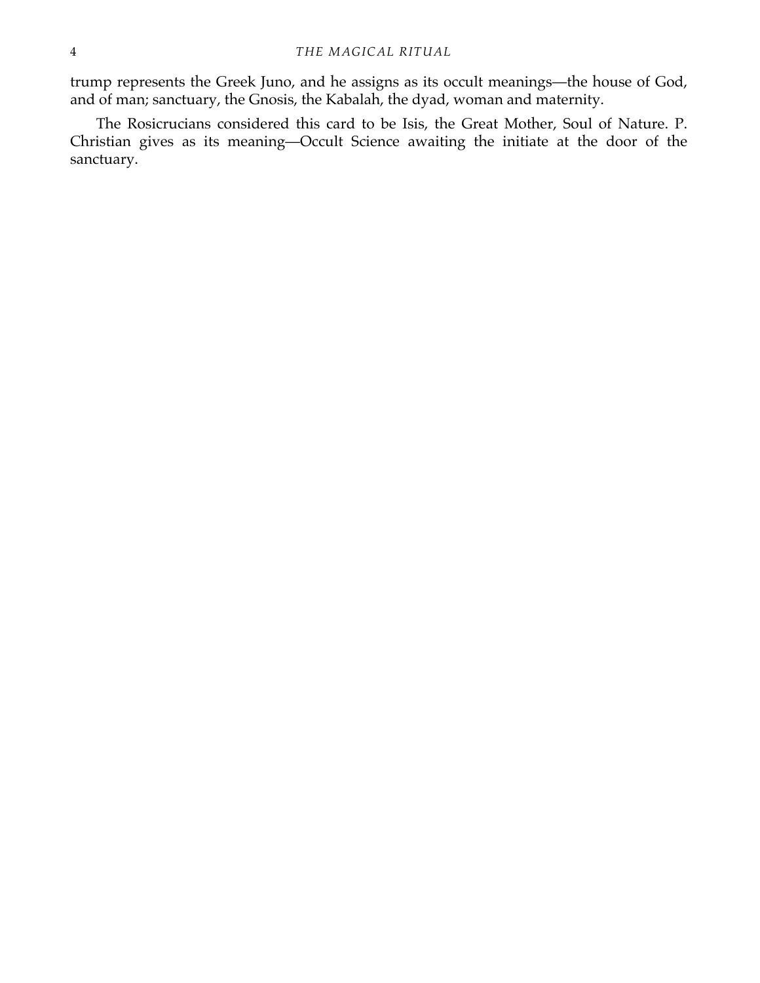trump represents the Greek Juno, and he assigns as its occult meanings—the house of God, and of man; sanctuary, the Gnosis, the Kabalah, the dyad, woman and maternity.

The Rosicrucians considered this card to be Isis, the Great Mother, Soul of Nature. P. Christian gives as its meaning—Occult Science awaiting the initiate at the door of the sanctuary.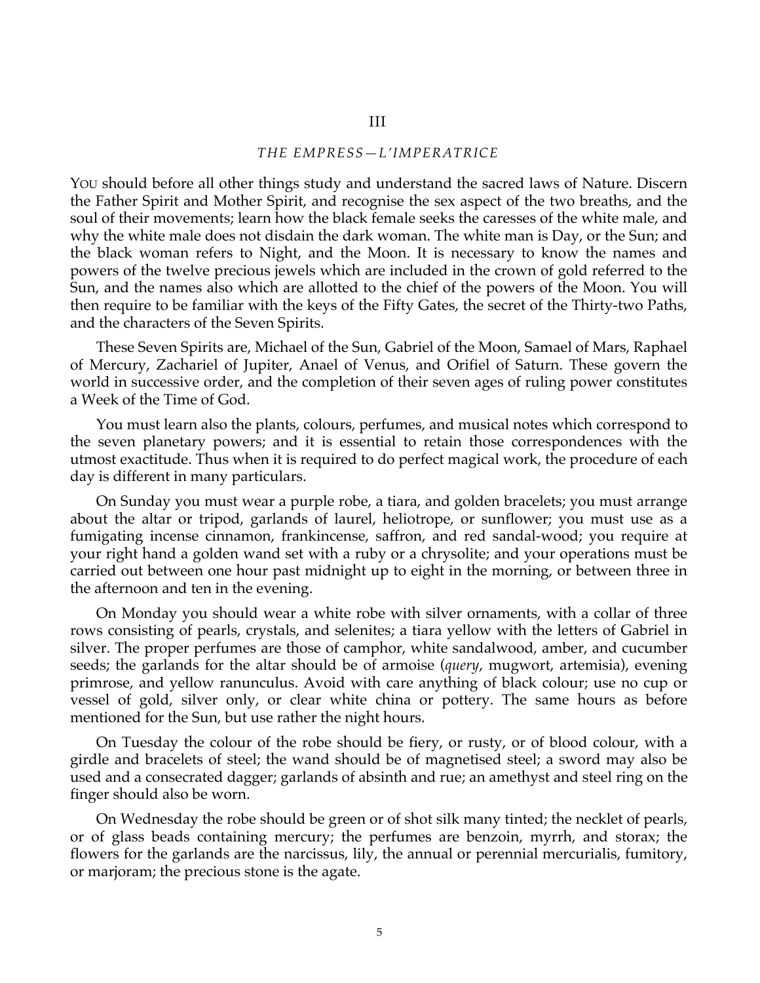# *THE EMPRESS—L'IMPERATRICE*

YOU should before all other things study and understand the sacred laws of Nature. Discern the Father Spirit and Mother Spirit, and recognise the sex aspect of the two breaths, and the soul of their movements; learn how the black female seeks the caresses of the white male, and why the white male does not disdain the dark woman. The white man is Day, or the Sun; and the black woman refers to Night, and the Moon. It is necessary to know the names and powers of the twelve precious jewels which are included in the crown of gold referred to the Sun, and the names also which are allotted to the chief of the powers of the Moon. You will then require to be familiar with the keys of the Fifty Gates, the secret of the Thirty-two Paths, and the characters of the Seven Spirits.

These Seven Spirits are, Michael of the Sun, Gabriel of the Moon, Samael of Mars, Raphael of Mercury, Zachariel of Jupiter, Anael of Venus, and Orifiel of Saturn. These govern the world in successive order, and the completion of their seven ages of ruling power constitutes a Week of the Time of God.

You must learn also the plants, colours, perfumes, and musical notes which correspond to the seven planetary powers; and it is essential to retain those correspondences with the utmost exactitude. Thus when it is required to do perfect magical work, the procedure of each day is different in many particulars.

On Sunday you must wear a purple robe, a tiara, and golden bracelets; you must arrange about the altar or tripod, garlands of laurel, heliotrope, or sunflower; you must use as a fumigating incense cinnamon, frankincense, saffron, and red sandal-wood; you require at your right hand a golden wand set with a ruby or a chrysolite; and your operations must be carried out between one hour past midnight up to eight in the morning, or between three in the afternoon and ten in the evening.

On Monday you should wear a white robe with silver ornaments, with a collar of three rows consisting of pearls, crystals, and selenites; a tiara yellow with the letters of Gabriel in silver. The proper perfumes are those of camphor, white sandalwood, amber, and cucumber seeds; the garlands for the altar should be of armoise (*query*, mugwort, artemisia), evening primrose, and yellow ranunculus. Avoid with care anything of black colour; use no cup or vessel of gold, silver only, or clear white china or pottery. The same hours as before mentioned for the Sun, but use rather the night hours.

On Tuesday the colour of the robe should be fiery, or rusty, or of blood colour, with a girdle and bracelets of steel; the wand should be of magnetised steel; a sword may also be used and a consecrated dagger; garlands of absinth and rue; an amethyst and steel ring on the finger should also be worn.

On Wednesday the robe should be green or of shot silk many tinted; the necklet of pearls, or of glass beads containing mercury; the perfumes are benzoin, myrrh, and storax; the flowers for the garlands are the narcissus, lily, the annual or perennial mercurialis, fumitory, or marjoram; the precious stone is the agate.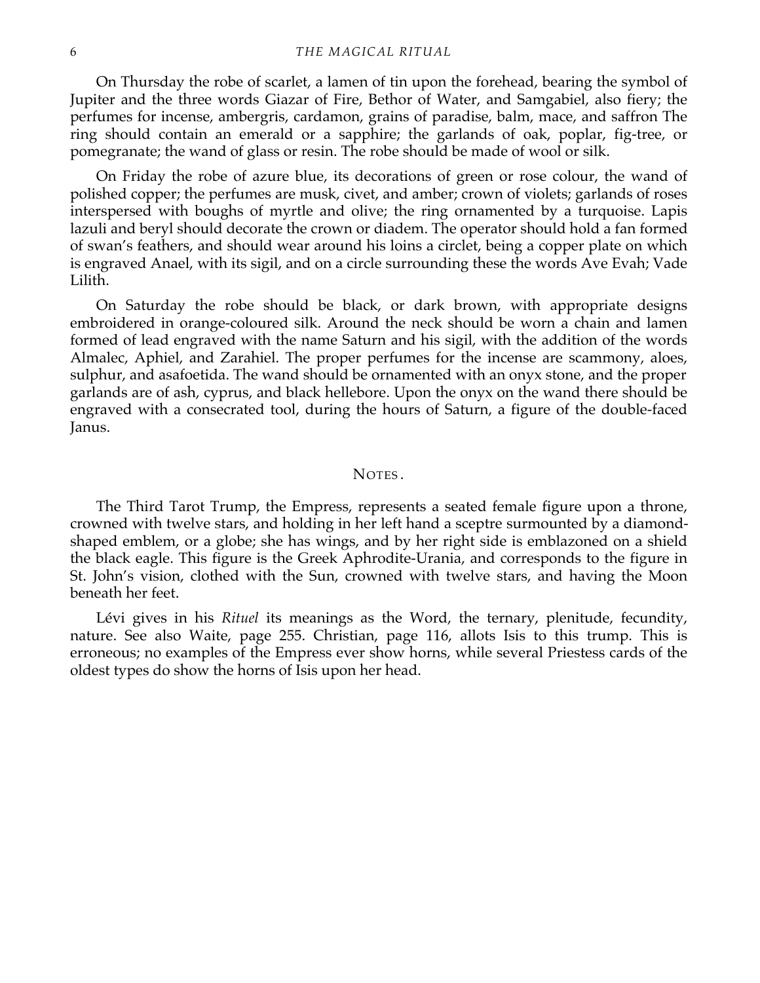On Thursday the robe of scarlet, a lamen of tin upon the forehead, bearing the symbol of Jupiter and the three words Giazar of Fire, Bethor of Water, and Samgabiel, also fiery; the perfumes for incense, ambergris, cardamon, grains of paradise, balm, mace, and saffron The ring should contain an emerald or a sapphire; the garlands of oak, poplar, fig-tree, or pomegranate; the wand of glass or resin. The robe should be made of wool or silk.

On Friday the robe of azure blue, its decorations of green or rose colour, the wand of polished copper; the perfumes are musk, civet, and amber; crown of violets; garlands of roses interspersed with boughs of myrtle and olive; the ring ornamented by a turquoise. Lapis lazuli and beryl should decorate the crown or diadem. The operator should hold a fan formed of swan's feathers, and should wear around his loins a circlet, being a copper plate on which is engraved Anael, with its sigil, and on a circle surrounding these the words Ave Evah; Vade Lilith.

On Saturday the robe should be black, or dark brown, with appropriate designs embroidered in orange-coloured silk. Around the neck should be worn a chain and lamen formed of lead engraved with the name Saturn and his sigil, with the addition of the words Almalec, Aphiel, and Zarahiel. The proper perfumes for the incense are scammony, aloes, sulphur, and asafoetida. The wand should be ornamented with an onyx stone, and the proper garlands are of ash, cyprus, and black hellebore. Upon the onyx on the wand there should be engraved with a consecrated tool, during the hours of Saturn, a figure of the double-faced Janus.

#### NOTES .

The Third Tarot Trump, the Empress, represents a seated female figure upon a throne, crowned with twelve stars, and holding in her left hand a sceptre surmounted by a diamondshaped emblem, or a globe; she has wings, and by her right side is emblazoned on a shield the black eagle. This figure is the Greek Aphrodite-Urania, and corresponds to the figure in St. John's vision, clothed with the Sun, crowned with twelve stars, and having the Moon beneath her feet.

Lévi gives in his *Rituel* its meanings as the Word, the ternary, plenitude, fecundity, nature. See also Waite, page 255. Christian, page 116, allots Isis to this trump. This is erroneous; no examples of the Empress ever show horns, while several Priestess cards of the oldest types do show the horns of Isis upon her head.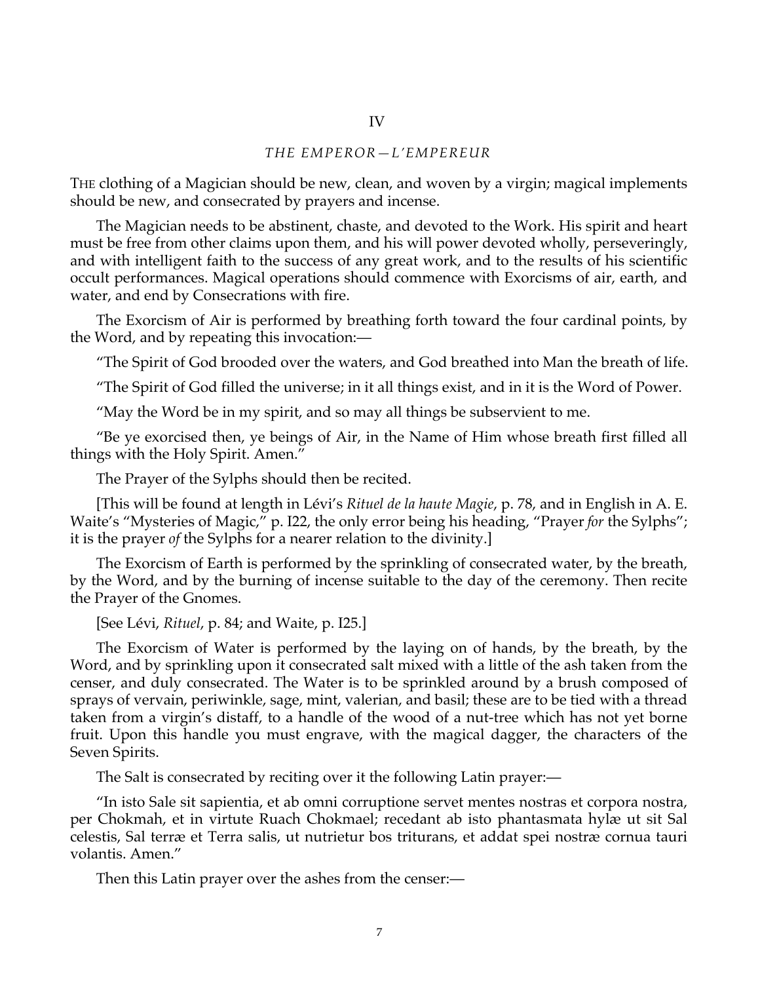# *THE EMPEROR—L'EMPEREUR*

THE clothing of a Magician should be new, clean, and woven by a virgin; magical implements should be new, and consecrated by prayers and incense.

The Magician needs to be abstinent, chaste, and devoted to the Work. His spirit and heart must be free from other claims upon them, and his will power devoted wholly, perseveringly, and with intelligent faith to the success of any great work, and to the results of his scientific occult performances. Magical operations should commence with Exorcisms of air, earth, and water, and end by Consecrations with fire.

The Exorcism of Air is performed by breathing forth toward the four cardinal points, by the Word, and by repeating this invocation:—

"The Spirit of God brooded over the waters, and God breathed into Man the breath of life.

"The Spirit of God filled the universe; in it all things exist, and in it is the Word of Power.

"May the Word be in my spirit, and so may all things be subservient to me.

"Be ye exorcised then, ye beings of Air, in the Name of Him whose breath first filled all things with the Holy Spirit. Amen."

The Prayer of the Sylphs should then be recited.

[This will be found at length in Lévi's *Rituel de la haute Magie*, p. 78, and in English in A. E. Waite's "Mysteries of Magic," p. I22, the only error being his heading, "Prayer *for* the Sylphs"; it is the prayer *of* the Sylphs for a nearer relation to the divinity.]

The Exorcism of Earth is performed by the sprinkling of consecrated water, by the breath, by the Word, and by the burning of incense suitable to the day of the ceremony. Then recite the Prayer of the Gnomes.

[See Lévi, *Rituel*, p. 84; and Waite, p. I25.]

The Exorcism of Water is performed by the laying on of hands, by the breath, by the Word, and by sprinkling upon it consecrated salt mixed with a little of the ash taken from the censer, and duly consecrated. The Water is to be sprinkled around by a brush composed of sprays of vervain, periwinkle, sage, mint, valerian, and basil; these are to be tied with a thread taken from a virgin's distaff, to a handle of the wood of a nut-tree which has not yet borne fruit. Upon this handle you must engrave, with the magical dagger, the characters of the Seven Spirits.

The Salt is consecrated by reciting over it the following Latin prayer:—

"In isto Sale sit sapientia, et ab omni corruptione servet mentes nostras et corpora nostra, per Chokmah, et in virtute Ruach Chokmael; recedant ab isto phantasmata hylæ ut sit Sal celestis, Sal terræ et Terra salis, ut nutrietur bos triturans, et addat spei nostræ cornua tauri volantis. Amen."

Then this Latin prayer over the ashes from the censer:—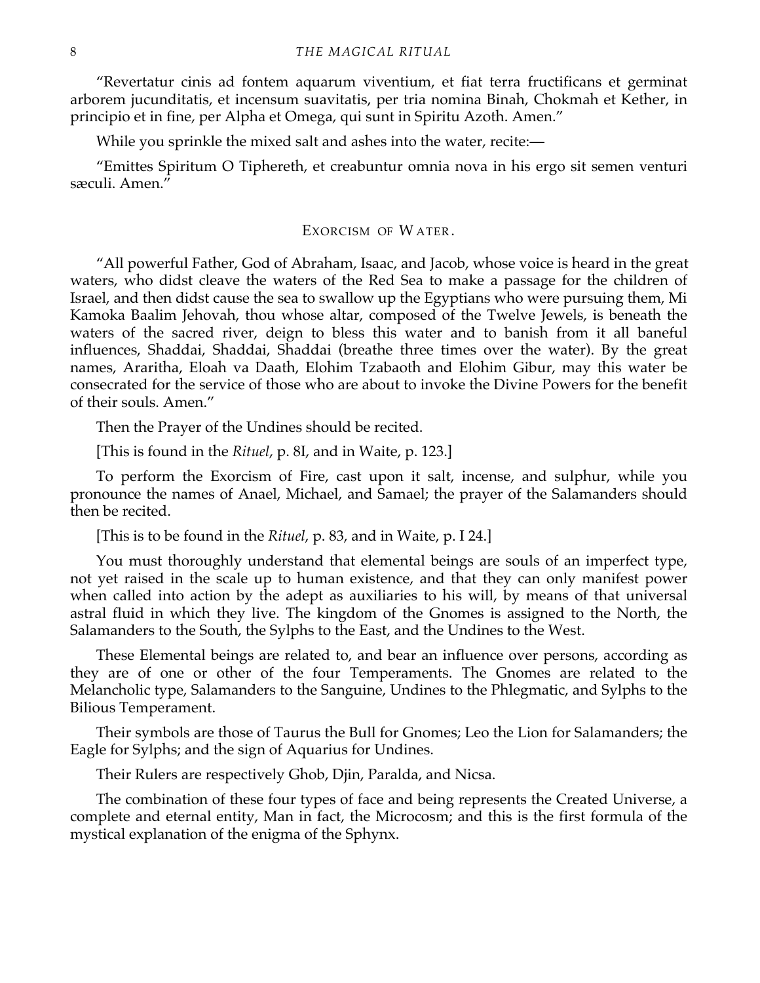"Revertatur cinis ad fontem aquarum viventium, et fiat terra fructificans et germinat arborem jucunditatis, et incensum suavitatis, per tria nomina Binah, Chokmah et Kether, in principio et in fine, per Alpha et Omega, qui sunt in Spiritu Azoth. Amen."

While you sprinkle the mixed salt and ashes into the water, recite:—

"Emittes Spiritum O Tiphereth, et creabuntur omnia nova in his ergo sit semen venturi sæculi. Amen."

#### EXORCISM OF WATER .

"All powerful Father, God of Abraham, Isaac, and Jacob, whose voice is heard in the great waters, who didst cleave the waters of the Red Sea to make a passage for the children of Israel, and then didst cause the sea to swallow up the Egyptians who were pursuing them, Mi Kamoka Baalim Jehovah, thou whose altar, composed of the Twelve Jewels, is beneath the waters of the sacred river, deign to bless this water and to banish from it all baneful influences, Shaddai, Shaddai, Shaddai (breathe three times over the water). By the great names, Araritha, Eloah va Daath, Elohim Tzabaoth and Elohim Gibur, may this water be consecrated for the service of those who are about to invoke the Divine Powers for the benefit of their souls. Amen."

Then the Prayer of the Undines should be recited.

[This is found in the *Rituel*, p. 8I, and in Waite, p. 123.]

To perform the Exorcism of Fire, cast upon it salt, incense, and sulphur, while you pronounce the names of Anael, Michael, and Samael; the prayer of the Salamanders should then be recited.

[This is to be found in the *Rituel*, p. 83, and in Waite, p. I 24.]

You must thoroughly understand that elemental beings are souls of an imperfect type, not yet raised in the scale up to human existence, and that they can only manifest power when called into action by the adept as auxiliaries to his will, by means of that universal astral fluid in which they live. The kingdom of the Gnomes is assigned to the North, the Salamanders to the South, the Sylphs to the East, and the Undines to the West.

These Elemental beings are related to, and bear an influence over persons, according as they are of one or other of the four Temperaments. The Gnomes are related to the Melancholic type, Salamanders to the Sanguine, Undines to the Phlegmatic, and Sylphs to the Bilious Temperament.

Their symbols are those of Taurus the Bull for Gnomes; Leo the Lion for Salamanders; the Eagle for Sylphs; and the sign of Aquarius for Undines.

Their Rulers are respectively Ghob, Djin, Paralda, and Nicsa.

The combination of these four types of face and being represents the Created Universe, a complete and eternal entity, Man in fact, the Microcosm; and this is the first formula of the mystical explanation of the enigma of the Sphynx.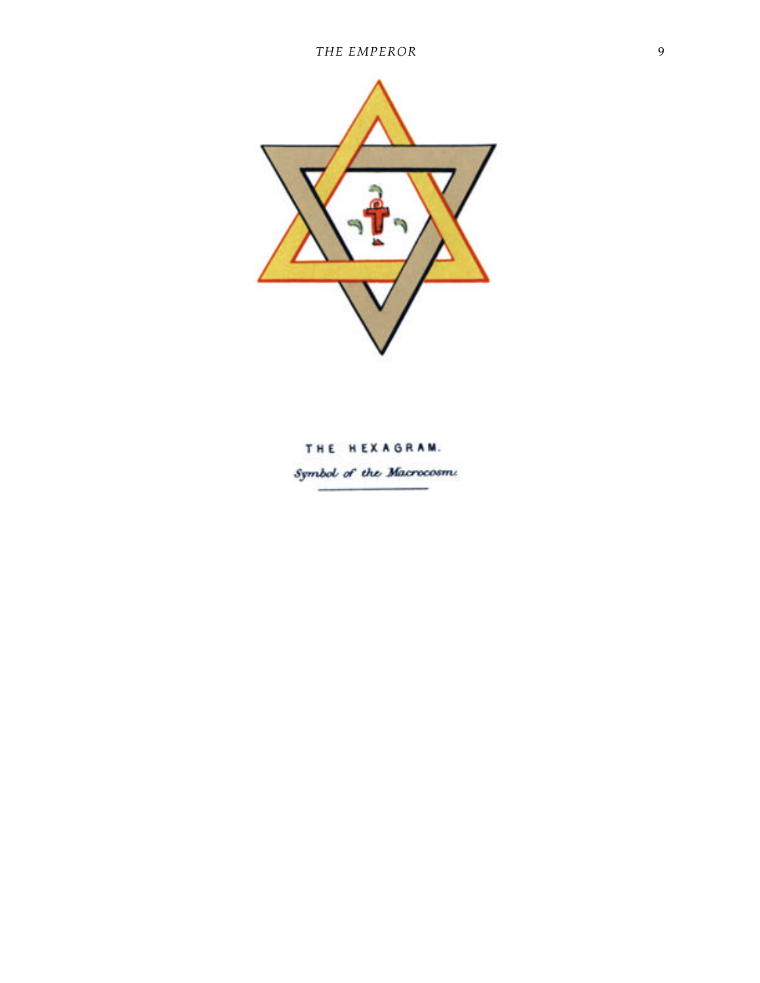

THE HEXAGRAM. Symbol of the Macrocosm: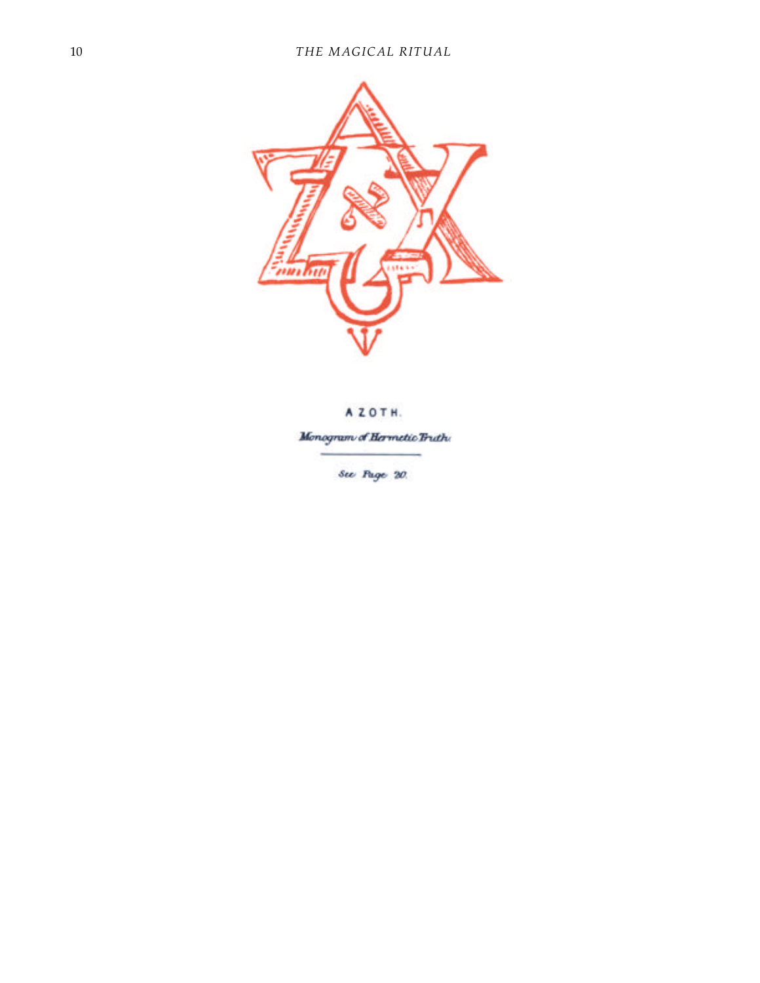

AZOTH.

Monogram of Hermetic Truth

See Page 20.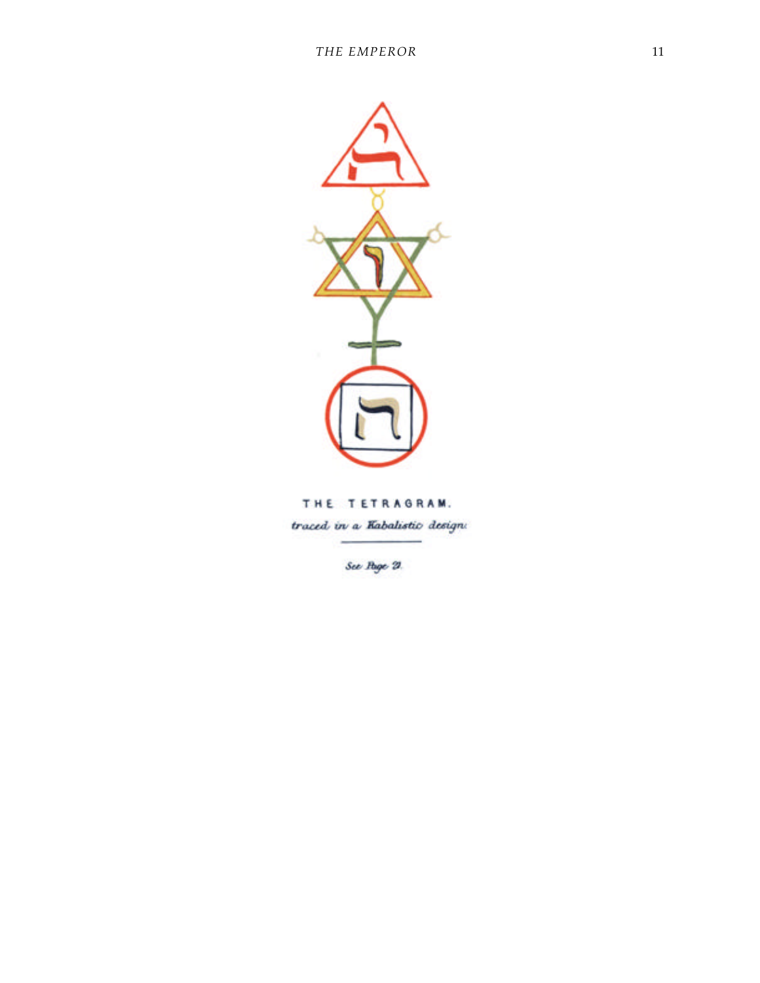

THE TETRAGRAM. traced in a Kabalistic design:

See Page 2.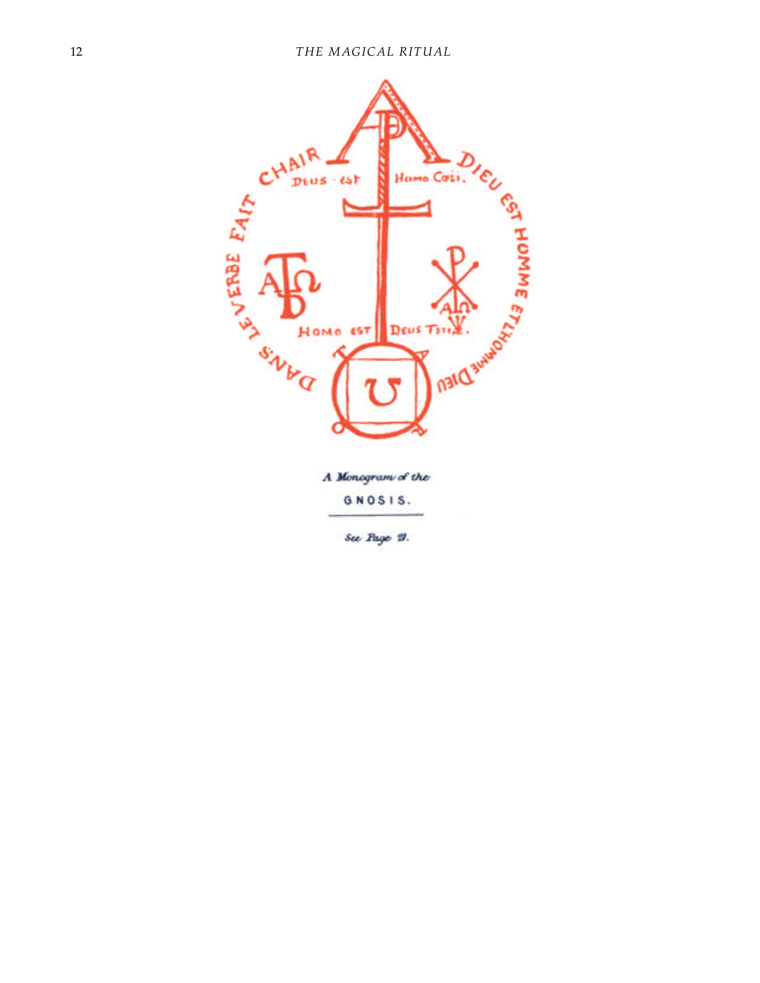

GNOSIS.

See Page 2.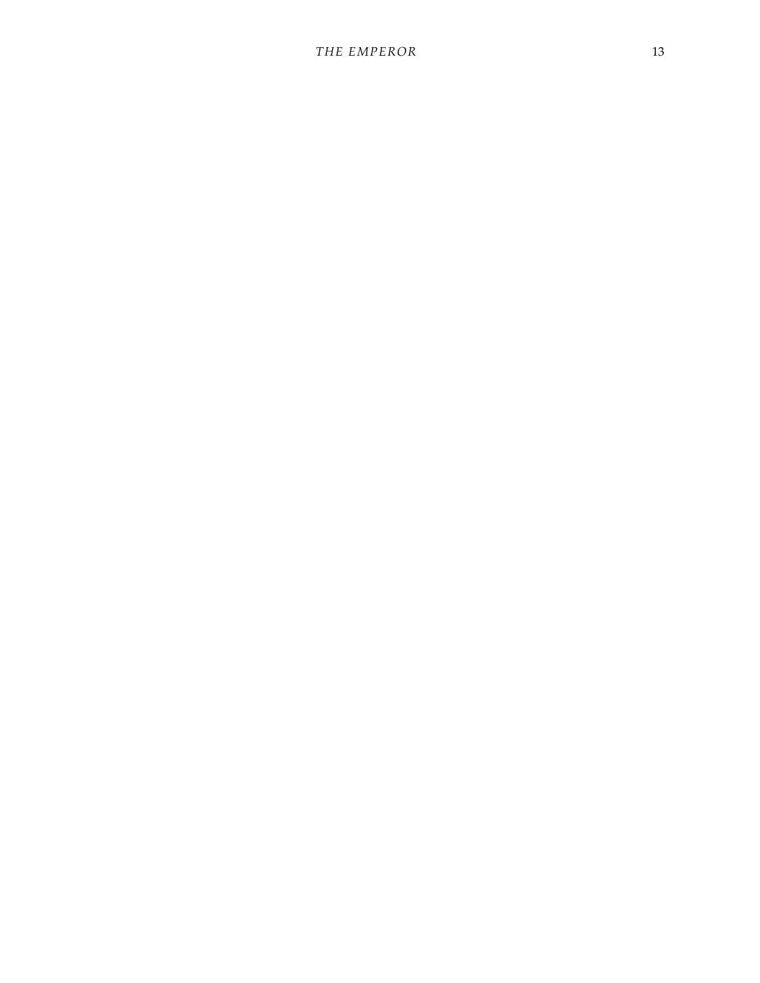# THE EMPEROR 13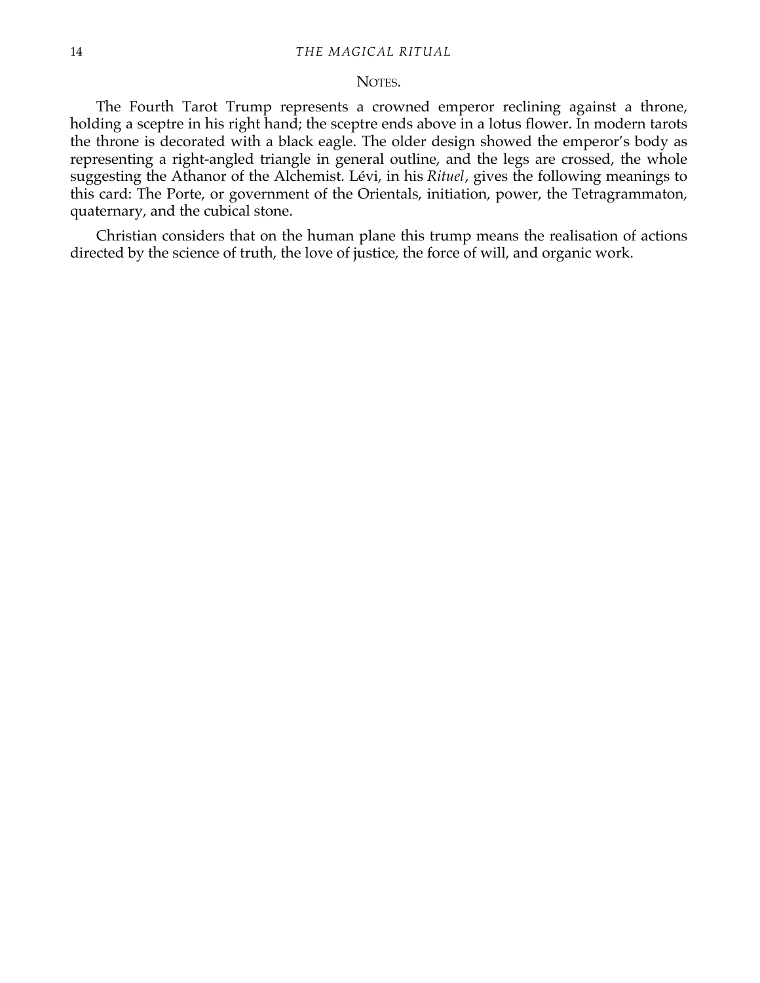#### NOTES.

The Fourth Tarot Trump represents a crowned emperor reclining against a throne, holding a sceptre in his right hand; the sceptre ends above in a lotus flower. In modern tarots the throne is decorated with a black eagle. The older design showed the emperor's body as representing a right-angled triangle in general outline, and the legs are crossed, the whole suggesting the Athanor of the Alchemist. Lévi, in his *Rituel*, gives the following meanings to this card: The Porte, or government of the Orientals, initiation, power, the Tetragrammaton, quaternary, and the cubical stone.

Christian considers that on the human plane this trump means the realisation of actions directed by the science of truth, the love of justice, the force of will, and organic work.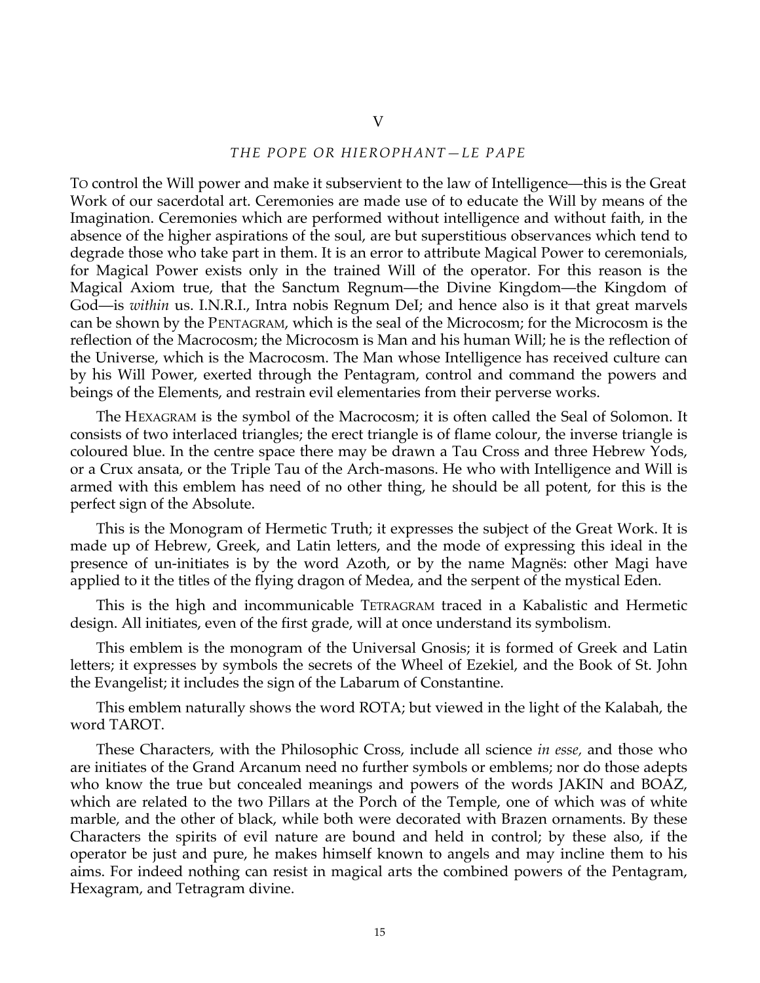#### *THE POPE OR HIEROPHANT—LE PAPE*

TO control the Will power and make it subservient to the law of Intelligence—this is the Great Work of our sacerdotal art. Ceremonies are made use of to educate the Will by means of the Imagination. Ceremonies which are performed without intelligence and without faith, in the absence of the higher aspirations of the soul, are but superstitious observances which tend to degrade those who take part in them. It is an error to attribute Magical Power to ceremonials, for Magical Power exists only in the trained Will of the operator. For this reason is the Magical Axiom true, that the Sanctum Regnum—the Divine Kingdom—the Kingdom of God—is *within* us. I.N.R.I., Intra nobis Regnum DeI; and hence also is it that great marvels can be shown by the PENTAGRAM, which is the seal of the Microcosm; for the Microcosm is the reflection of the Macrocosm; the Microcosm is Man and his human Will; he is the reflection of the Universe, which is the Macrocosm. The Man whose Intelligence has received culture can by his Will Power, exerted through the Pentagram, control and command the powers and beings of the Elements, and restrain evil elementaries from their perverse works.

The HEXAGRAM is the symbol of the Macrocosm; it is often called the Seal of Solomon. It consists of two interlaced triangles; the erect triangle is of flame colour, the inverse triangle is coloured blue. In the centre space there may be drawn a Tau Cross and three Hebrew Yods, or a Crux ansata, or the Triple Tau of the Arch-masons. He who with Intelligence and Will is armed with this emblem has need of no other thing, he should be all potent, for this is the perfect sign of the Absolute.

This is the Monogram of Hermetic Truth; it expresses the subject of the Great Work. It is made up of Hebrew, Greek, and Latin letters, and the mode of expressing this ideal in the presence of un-initiates is by the word Azoth, or by the name Magnës: other Magi have applied to it the titles of the flying dragon of Medea, and the serpent of the mystical Eden.

This is the high and incommunicable TETRAGRAM traced in a Kabalistic and Hermetic design. All initiates, even of the first grade, will at once understand its symbolism.

This emblem is the monogram of the Universal Gnosis; it is formed of Greek and Latin letters; it expresses by symbols the secrets of the Wheel of Ezekiel, and the Book of St. John the Evangelist; it includes the sign of the Labarum of Constantine.

This emblem naturally shows the word ROTA; but viewed in the light of the Kalabah, the word TAROT.

These Characters, with the Philosophic Cross, include all science *in esse,* and those who are initiates of the Grand Arcanum need no further symbols or emblems; nor do those adepts who know the true but concealed meanings and powers of the words JAKIN and BOAZ, which are related to the two Pillars at the Porch of the Temple, one of which was of white marble, and the other of black, while both were decorated with Brazen ornaments. By these Characters the spirits of evil nature are bound and held in control; by these also, if the operator be just and pure, he makes himself known to angels and may incline them to his aims. For indeed nothing can resist in magical arts the combined powers of the Pentagram, Hexagram, and Tetragram divine.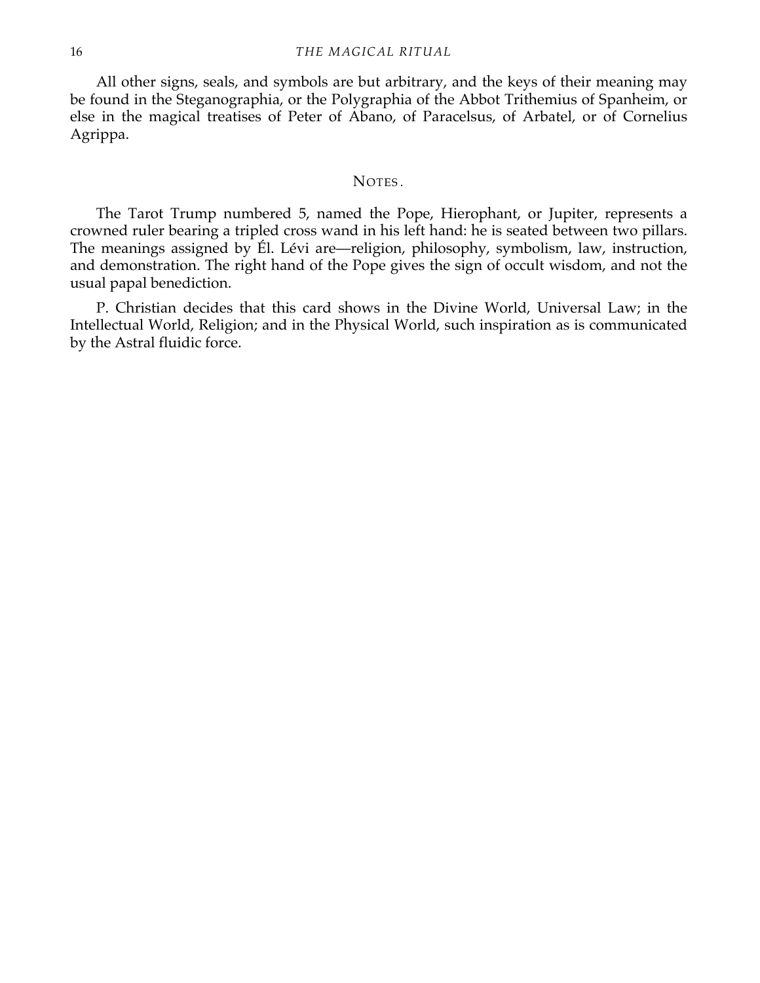#### 16 *THE MAGICAL RITUAL*

All other signs, seals, and symbols are but arbitrary, and the keys of their meaning may be found in the Steganographia, or the Polygraphia of the Abbot Trithemius of Spanheim, or else in the magical treatises of Peter of Abano, of Paracelsus, of Arbatel, or of Cornelius Agrippa.

# NOTES .

The Tarot Trump numbered 5, named the Pope, Hierophant, or Jupiter, represents a crowned ruler bearing a tripled cross wand in his left hand: he is seated between two pillars. The meanings assigned by Él. Lévi are—religion, philosophy, symbolism, law, instruction, and demonstration. The right hand of the Pope gives the sign of occult wisdom, and not the usual papal benediction.

P. Christian decides that this card shows in the Divine World, Universal Law; in the Intellectual World, Religion; and in the Physical World, such inspiration as is communicated by the Astral fluidic force.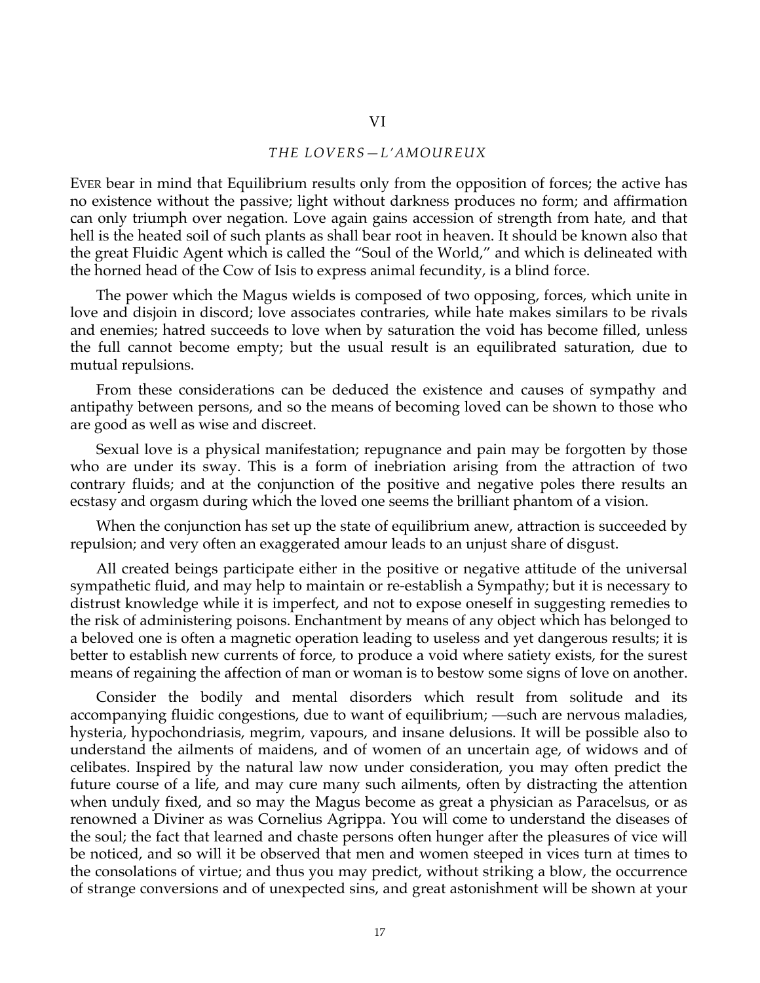## *THE LOVERS—L'AMOUREUX*

EVER bear in mind that Equilibrium results only from the opposition of forces; the active has no existence without the passive; light without darkness produces no form; and affirmation can only triumph over negation. Love again gains accession of strength from hate, and that hell is the heated soil of such plants as shall bear root in heaven. It should be known also that the great Fluidic Agent which is called the "Soul of the World," and which is delineated with the horned head of the Cow of Isis to express animal fecundity, is a blind force.

The power which the Magus wields is composed of two opposing, forces, which unite in love and disjoin in discord; love associates contraries, while hate makes similars to be rivals and enemies; hatred succeeds to love when by saturation the void has become filled, unless the full cannot become empty; but the usual result is an equilibrated saturation, due to mutual repulsions.

From these considerations can be deduced the existence and causes of sympathy and antipathy between persons, and so the means of becoming loved can be shown to those who are good as well as wise and discreet.

Sexual love is a physical manifestation; repugnance and pain may be forgotten by those who are under its sway. This is a form of inebriation arising from the attraction of two contrary fluids; and at the conjunction of the positive and negative poles there results an ecstasy and orgasm during which the loved one seems the brilliant phantom of a vision.

When the conjunction has set up the state of equilibrium anew, attraction is succeeded by repulsion; and very often an exaggerated amour leads to an unjust share of disgust.

All created beings participate either in the positive or negative attitude of the universal sympathetic fluid, and may help to maintain or re-establish a Sympathy; but it is necessary to distrust knowledge while it is imperfect, and not to expose oneself in suggesting remedies to the risk of administering poisons. Enchantment by means of any object which has belonged to a beloved one is often a magnetic operation leading to useless and yet dangerous results; it is better to establish new currents of force, to produce a void where satiety exists, for the surest means of regaining the affection of man or woman is to bestow some signs of love on another.

Consider the bodily and mental disorders which result from solitude and its accompanying fluidic congestions, due to want of equilibrium; —such are nervous maladies, hysteria, hypochondriasis, megrim, vapours, and insane delusions. It will be possible also to understand the ailments of maidens, and of women of an uncertain age, of widows and of celibates. Inspired by the natural law now under consideration, you may often predict the future course of a life, and may cure many such ailments, often by distracting the attention when unduly fixed, and so may the Magus become as great a physician as Paracelsus, or as renowned a Diviner as was Cornelius Agrippa. You will come to understand the diseases of the soul; the fact that learned and chaste persons often hunger after the pleasures of vice will be noticed, and so will it be observed that men and women steeped in vices turn at times to the consolations of virtue; and thus you may predict, without striking a blow, the occurrence of strange conversions and of unexpected sins, and great astonishment will be shown at your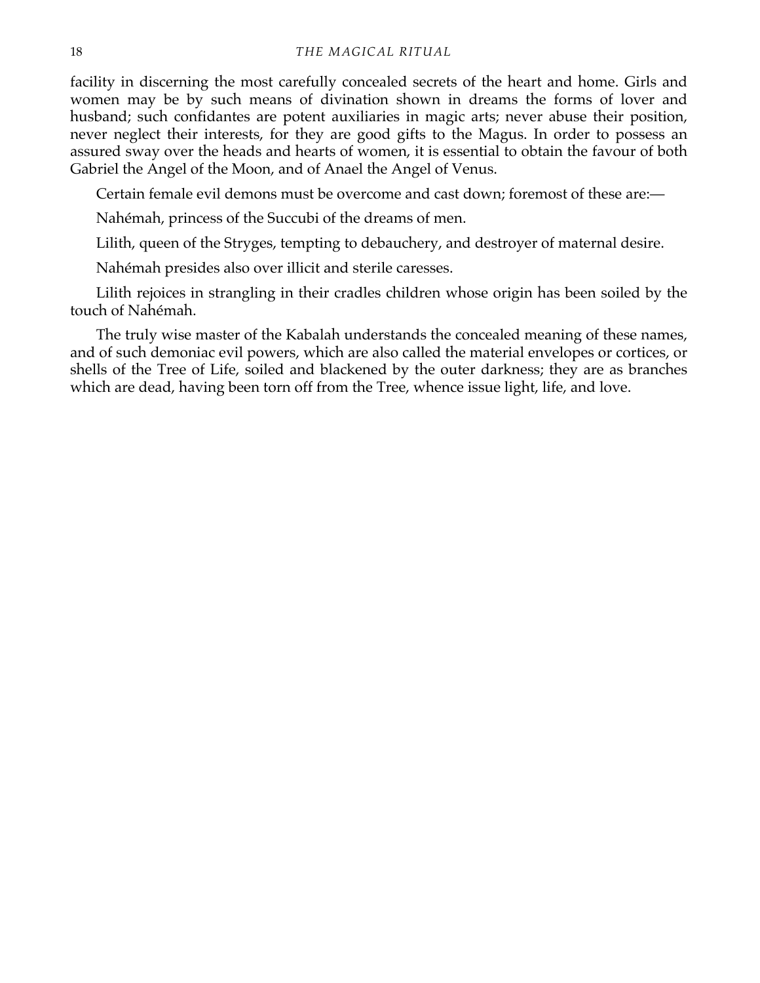facility in discerning the most carefully concealed secrets of the heart and home. Girls and women may be by such means of divination shown in dreams the forms of lover and husband; such confidantes are potent auxiliaries in magic arts; never abuse their position, never neglect their interests, for they are good gifts to the Magus. In order to possess an assured sway over the heads and hearts of women, it is essential to obtain the favour of both Gabriel the Angel of the Moon, and of Anael the Angel of Venus.

Certain female evil demons must be overcome and cast down; foremost of these are:—

Nahémah, princess of the Succubi of the dreams of men.

Lilith, queen of the Stryges, tempting to debauchery, and destroyer of maternal desire.

Nahémah presides also over illicit and sterile caresses.

Lilith rejoices in strangling in their cradles children whose origin has been soiled by the touch of Nahémah.

The truly wise master of the Kabalah understands the concealed meaning of these names, and of such demoniac evil powers, which are also called the material envelopes or cortices, or shells of the Tree of Life, soiled and blackened by the outer darkness; they are as branches which are dead, having been torn off from the Tree, whence issue light, life, and love.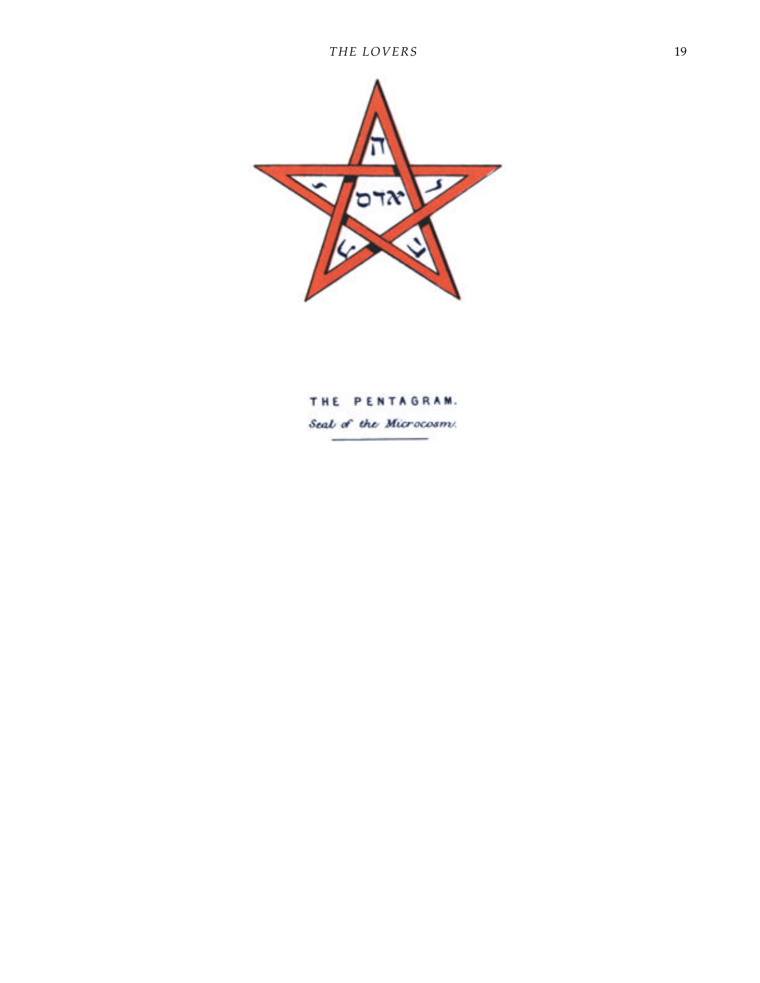

THE PENTAGRAM. Seal of the Microcosm.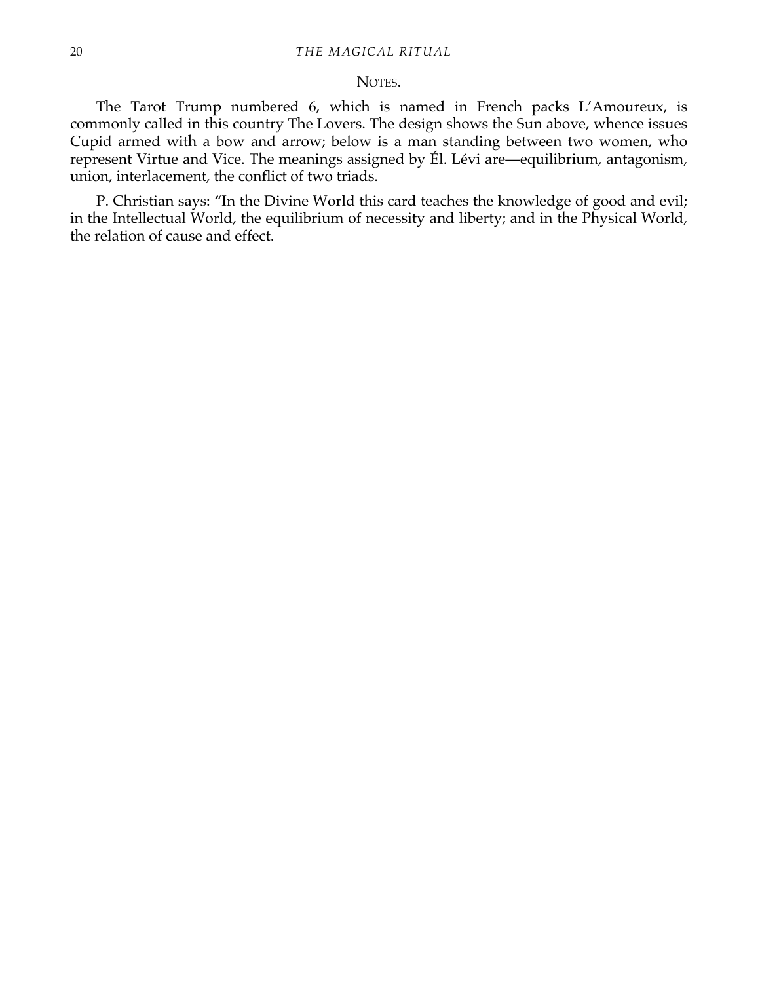#### NOTES.

The Tarot Trump numbered 6, which is named in French packs L'Amoureux, is commonly called in this country The Lovers. The design shows the Sun above, whence issues Cupid armed with a bow and arrow; below is a man standing between two women, who represent Virtue and Vice. The meanings assigned by Él. Lévi are—equilibrium, antagonism, union, interlacement, the conflict of two triads.

P. Christian says: "In the Divine World this card teaches the knowledge of good and evil; in the Intellectual World, the equilibrium of necessity and liberty; and in the Physical World, the relation of cause and effect.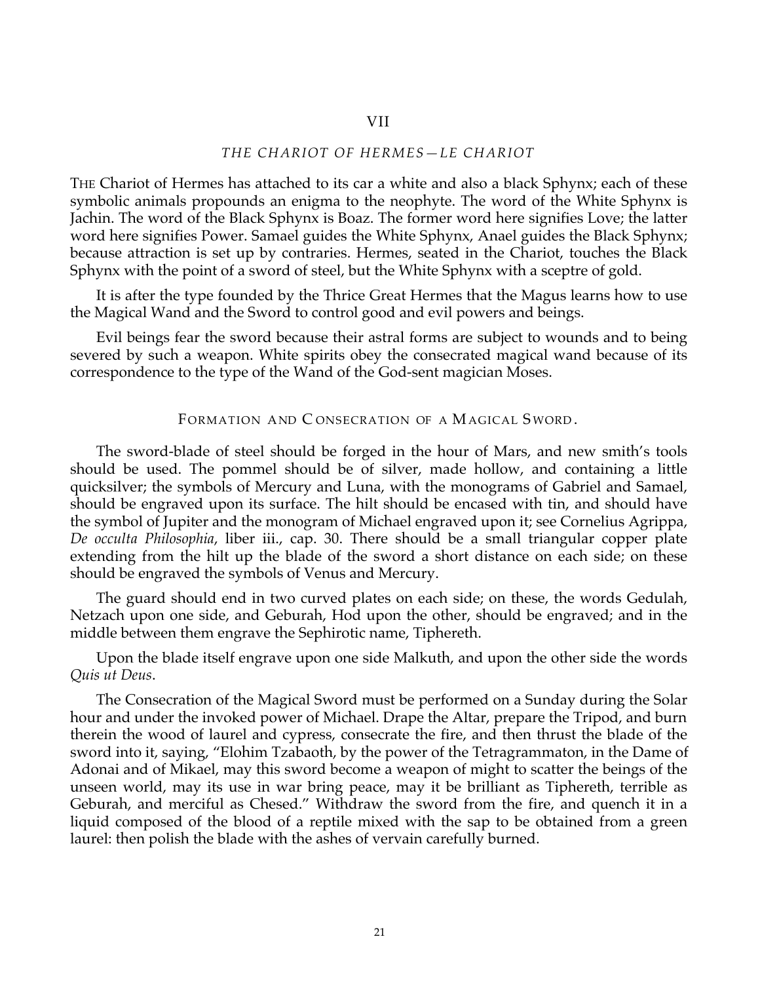# *THE CHARIOT OF HERMES—LE CHARIOT*

THE Chariot of Hermes has attached to its car a white and also a black Sphynx; each of these symbolic animals propounds an enigma to the neophyte. The word of the White Sphynx is Jachin. The word of the Black Sphynx is Boaz. The former word here signifies Love; the latter word here signifies Power. Samael guides the White Sphynx, Anael guides the Black Sphynx; because attraction is set up by contraries. Hermes, seated in the Chariot, touches the Black Sphynx with the point of a sword of steel, but the White Sphynx with a sceptre of gold.

It is after the type founded by the Thrice Great Hermes that the Magus learns how to use the Magical Wand and the Sword to control good and evil powers and beings.

Evil beings fear the sword because their astral forms are subject to wounds and to being severed by such a weapon. White spirits obey the consecrated magical wand because of its correspondence to the type of the Wand of the God-sent magician Moses.

#### FORMATION AND CONSECRATION OF A MAGICAL SWORD.

The sword-blade of steel should be forged in the hour of Mars, and new smith's tools should be used. The pommel should be of silver, made hollow, and containing a little quicksilver; the symbols of Mercury and Luna, with the monograms of Gabriel and Samael, should be engraved upon its surface. The hilt should be encased with tin, and should have the symbol of Jupiter and the monogram of Michael engraved upon it; see Cornelius Agrippa, *De occulta Philosophia*, liber iii., cap. 30. There should be a small triangular copper plate extending from the hilt up the blade of the sword a short distance on each side; on these should be engraved the symbols of Venus and Mercury.

The guard should end in two curved plates on each side; on these, the words Gedulah, Netzach upon one side, and Geburah, Hod upon the other, should be engraved; and in the middle between them engrave the Sephirotic name, Tiphereth.

Upon the blade itself engrave upon one side Malkuth, and upon the other side the words *Quis ut Deus*.

The Consecration of the Magical Sword must be performed on a Sunday during the Solar hour and under the invoked power of Michael. Drape the Altar, prepare the Tripod, and burn therein the wood of laurel and cypress, consecrate the fire, and then thrust the blade of the sword into it, saying, "Elohim Tzabaoth, by the power of the Tetragrammaton, in the Dame of Adonai and of Mikael, may this sword become a weapon of might to scatter the beings of the unseen world, may its use in war bring peace, may it be brilliant as Tiphereth, terrible as Geburah, and merciful as Chesed." Withdraw the sword from the fire, and quench it in a liquid composed of the blood of a reptile mixed with the sap to be obtained from a green laurel: then polish the blade with the ashes of vervain carefully burned.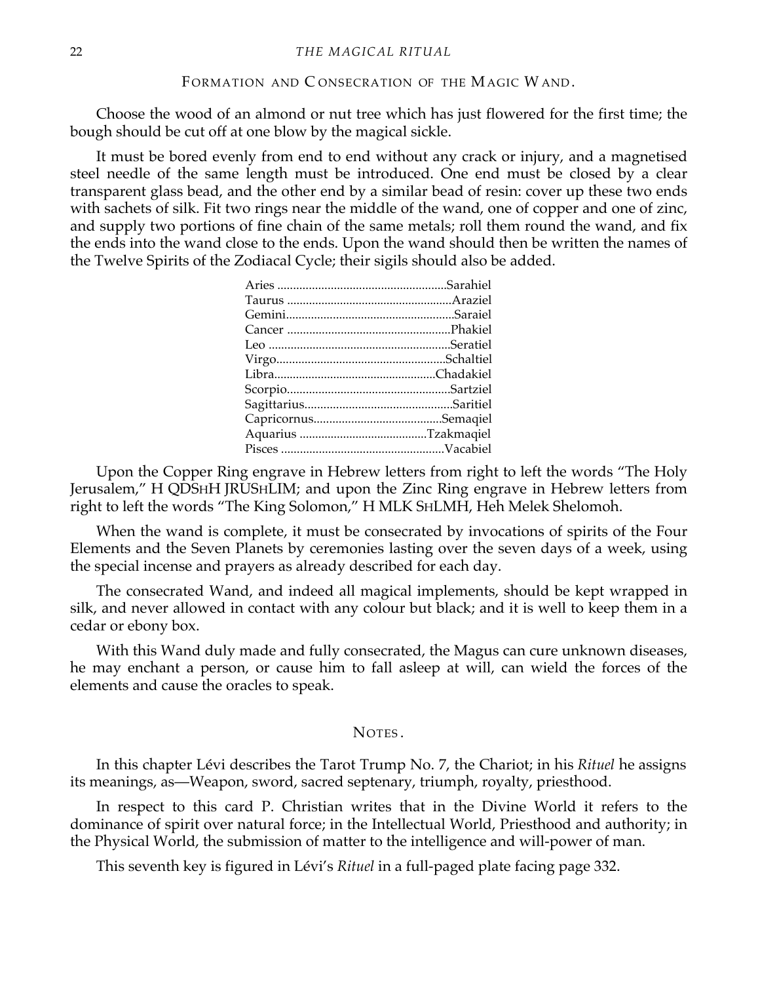#### FORMATION AND CONSECRATION OF THE MAGIC WAND.

Choose the wood of an almond or nut tree which has just flowered for the first time; the bough should be cut off at one blow by the magical sickle.

It must be bored evenly from end to end without any crack or injury, and a magnetised steel needle of the same length must be introduced. One end must be closed by a clear transparent glass bead, and the other end by a similar bead of resin: cover up these two ends with sachets of silk. Fit two rings near the middle of the wand, one of copper and one of zinc, and supply two portions of fine chain of the same metals; roll them round the wand, and fix the ends into the wand close to the ends. Upon the wand should then be written the names of the Twelve Spirits of the Zodiacal Cycle; their sigils should also be added.

Upon the Copper Ring engrave in Hebrew letters from right to left the words "The Holy Jerusalem," H QDSHH JRUSHLIM; and upon the Zinc Ring engrave in Hebrew letters from right to left the words "The King Solomon," H MLK SHLMH, Heh Melek Shelomoh.

When the wand is complete, it must be consecrated by invocations of spirits of the Four Elements and the Seven Planets by ceremonies lasting over the seven days of a week, using the special incense and prayers as already described for each day.

The consecrated Wand, and indeed all magical implements, should be kept wrapped in silk, and never allowed in contact with any colour but black; and it is well to keep them in a cedar or ebony box.

With this Wand duly made and fully consecrated, the Magus can cure unknown diseases, he may enchant a person, or cause him to fall asleep at will, can wield the forces of the elements and cause the oracles to speak.

# NOTES .

In this chapter Lévi describes the Tarot Trump No. 7, the Chariot; in his *Rituel* he assigns its meanings, as—Weapon, sword, sacred septenary, triumph, royalty, priesthood.

In respect to this card P. Christian writes that in the Divine World it refers to the dominance of spirit over natural force; in the Intellectual World, Priesthood and authority; in the Physical World, the submission of matter to the intelligence and will-power of man.

This seventh key is figured in Lévi's *Rituel* in a full-paged plate facing page 332.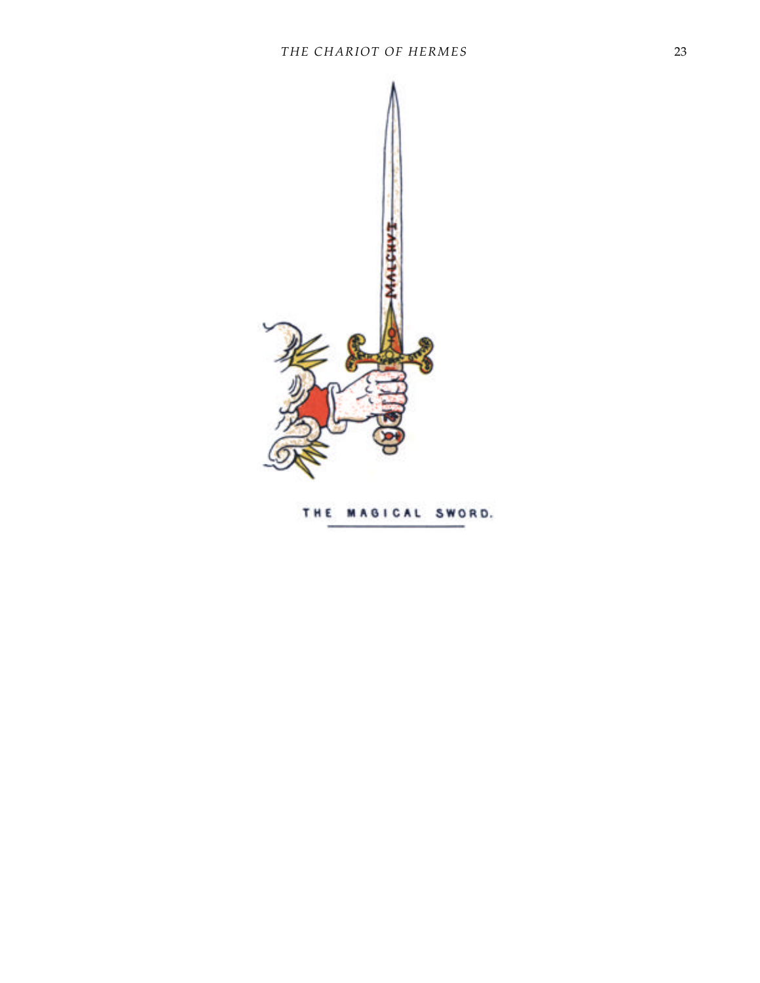

```
THE MAGICAL SWORD.
```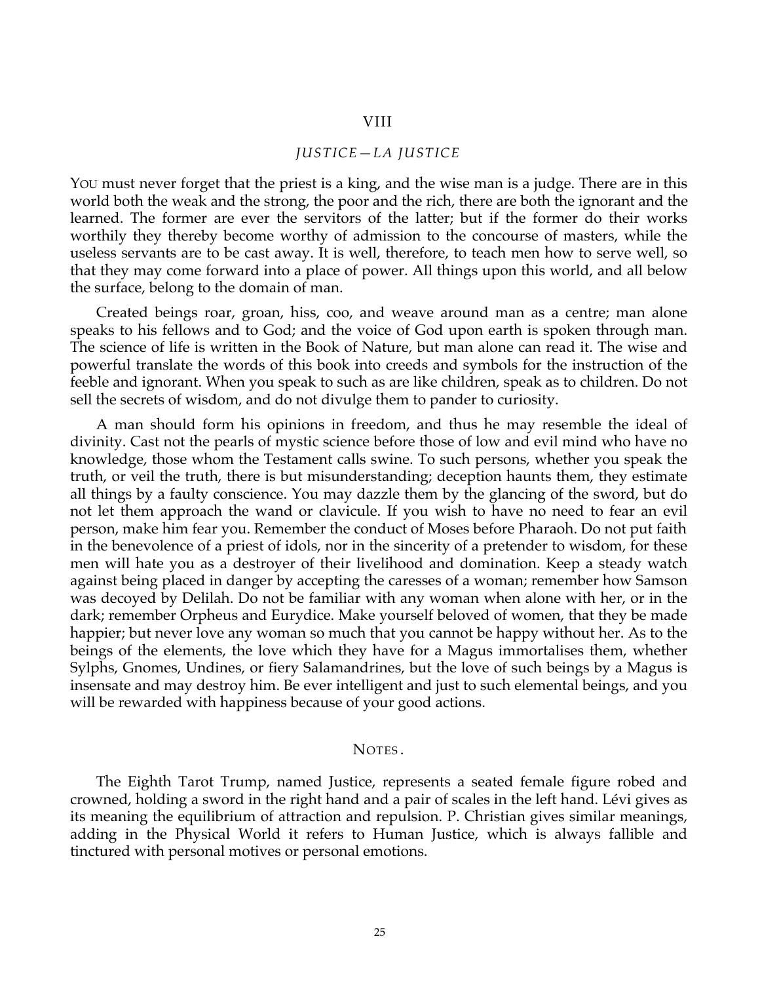#### VIII

#### *JUSTICE—LA JUSTICE*

You must never forget that the priest is a king, and the wise man is a judge. There are in this world both the weak and the strong, the poor and the rich, there are both the ignorant and the learned. The former are ever the servitors of the latter; but if the former do their works worthily they thereby become worthy of admission to the concourse of masters, while the useless servants are to be cast away. It is well, therefore, to teach men how to serve well, so that they may come forward into a place of power. All things upon this world, and all below the surface, belong to the domain of man.

Created beings roar, groan, hiss, coo, and weave around man as a centre; man alone speaks to his fellows and to God; and the voice of God upon earth is spoken through man. The science of life is written in the Book of Nature, but man alone can read it. The wise and powerful translate the words of this book into creeds and symbols for the instruction of the feeble and ignorant. When you speak to such as are like children, speak as to children. Do not sell the secrets of wisdom, and do not divulge them to pander to curiosity.

A man should form his opinions in freedom, and thus he may resemble the ideal of divinity. Cast not the pearls of mystic science before those of low and evil mind who have no knowledge, those whom the Testament calls swine. To such persons, whether you speak the truth, or veil the truth, there is but misunderstanding; deception haunts them, they estimate all things by a faulty conscience. You may dazzle them by the glancing of the sword, but do not let them approach the wand or clavicule. If you wish to have no need to fear an evil person, make him fear you. Remember the conduct of Moses before Pharaoh. Do not put faith in the benevolence of a priest of idols, nor in the sincerity of a pretender to wisdom, for these men will hate you as a destroyer of their livelihood and domination. Keep a steady watch against being placed in danger by accepting the caresses of a woman; remember how Samson was decoyed by Delilah. Do not be familiar with any woman when alone with her, or in the dark; remember Orpheus and Eurydice. Make yourself beloved of women, that they be made happier; but never love any woman so much that you cannot be happy without her. As to the beings of the elements, the love which they have for a Magus immortalises them, whether Sylphs, Gnomes, Undines, or fiery Salamandrines, but the love of such beings by a Magus is insensate and may destroy him. Be ever intelligent and just to such elemental beings, and you will be rewarded with happiness because of your good actions.

#### NOTES .

The Eighth Tarot Trump, named Justice, represents a seated female figure robed and crowned, holding a sword in the right hand and a pair of scales in the left hand. Lévi gives as its meaning the equilibrium of attraction and repulsion. P. Christian gives similar meanings, adding in the Physical World it refers to Human Justice, which is always fallible and tinctured with personal motives or personal emotions.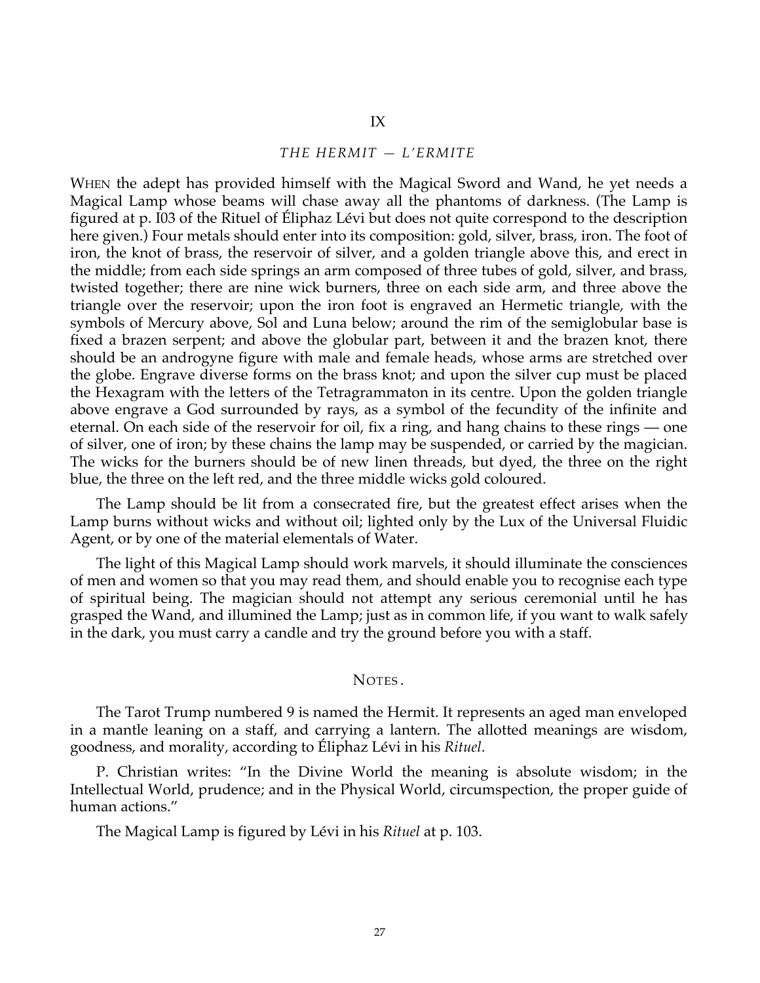# *THE HERMIT — L'ERMITE*

WHEN the adept has provided himself with the Magical Sword and Wand, he yet needs a Magical Lamp whose beams will chase away all the phantoms of darkness. (The Lamp is figured at p. I03 of the Rituel of Éliphaz Lévi but does not quite correspond to the description here given.) Four metals should enter into its composition: gold, silver, brass, iron. The foot of iron, the knot of brass, the reservoir of silver, and a golden triangle above this, and erect in the middle; from each side springs an arm composed of three tubes of gold, silver, and brass, twisted together; there are nine wick burners, three on each side arm, and three above the triangle over the reservoir; upon the iron foot is engraved an Hermetic triangle, with the symbols of Mercury above, Sol and Luna below; around the rim of the semiglobular base is fixed a brazen serpent; and above the globular part, between it and the brazen knot, there should be an androgyne figure with male and female heads, whose arms are stretched over the globe. Engrave diverse forms on the brass knot; and upon the silver cup must be placed the Hexagram with the letters of the Tetragrammaton in its centre. Upon the golden triangle above engrave a God surrounded by rays, as a symbol of the fecundity of the infinite and eternal. On each side of the reservoir for oil, fix a ring, and hang chains to these rings — one of silver, one of iron; by these chains the lamp may be suspended, or carried by the magician. The wicks for the burners should be of new linen threads, but dyed, the three on the right blue, the three on the left red, and the three middle wicks gold coloured.

The Lamp should be lit from a consecrated fire, but the greatest effect arises when the Lamp burns without wicks and without oil; lighted only by the Lux of the Universal Fluidic Agent, or by one of the material elementals of Water.

The light of this Magical Lamp should work marvels, it should illuminate the consciences of men and women so that you may read them, and should enable you to recognise each type of spiritual being. The magician should not attempt any serious ceremonial until he has grasped the Wand, and illumined the Lamp; just as in common life, if you want to walk safely in the dark, you must carry a candle and try the ground before you with a staff.

#### NOTES .

The Tarot Trump numbered 9 is named the Hermit. It represents an aged man enveloped in a mantle leaning on a staff, and carrying a lantern. The allotted meanings are wisdom, goodness, and morality, according to Éliphaz Lévi in his *Rituel*.

P. Christian writes: "In the Divine World the meaning is absolute wisdom; in the Intellectual World, prudence; and in the Physical World, circumspection, the proper guide of human actions."

The Magical Lamp is figured by Lévi in his *Rituel* at p. 103.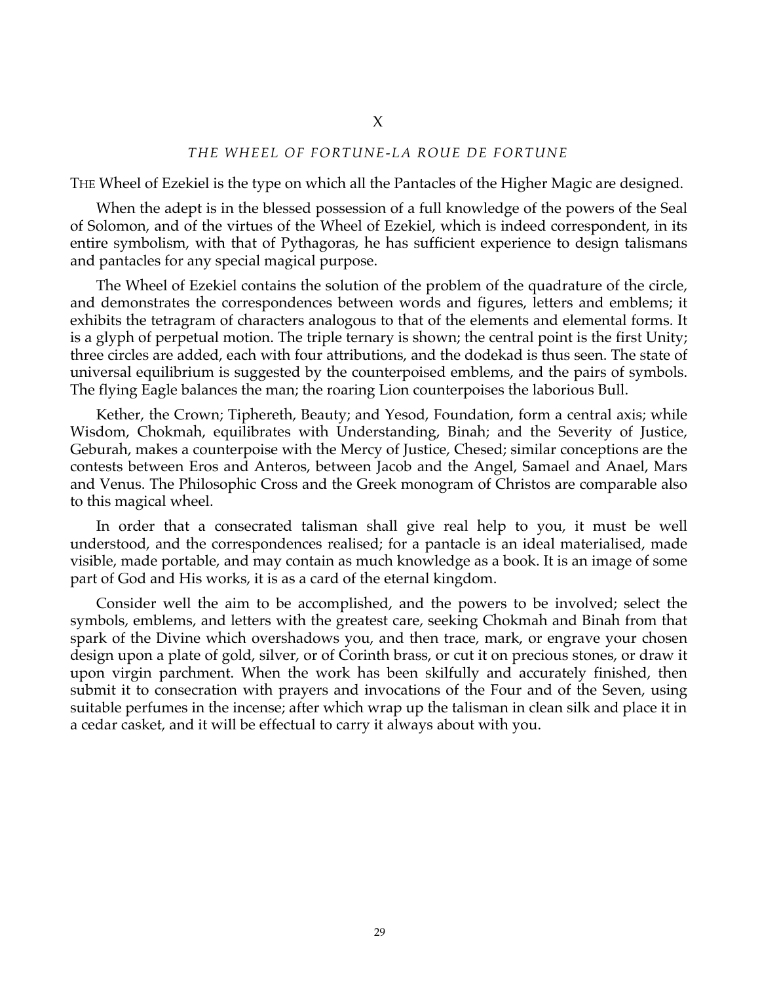# *THE WHEEL OF FORTUNE-LA ROUE DE FORTUNE*

THE Wheel of Ezekiel is the type on which all the Pantacles of the Higher Magic are designed.

When the adept is in the blessed possession of a full knowledge of the powers of the Seal of Solomon, and of the virtues of the Wheel of Ezekiel, which is indeed correspondent, in its entire symbolism, with that of Pythagoras, he has sufficient experience to design talismans and pantacles for any special magical purpose.

The Wheel of Ezekiel contains the solution of the problem of the quadrature of the circle, and demonstrates the correspondences between words and figures, letters and emblems; it exhibits the tetragram of characters analogous to that of the elements and elemental forms. It is a glyph of perpetual motion. The triple ternary is shown; the central point is the first Unity; three circles are added, each with four attributions, and the dodekad is thus seen. The state of universal equilibrium is suggested by the counterpoised emblems, and the pairs of symbols. The flying Eagle balances the man; the roaring Lion counterpoises the laborious Bull.

Kether, the Crown; Tiphereth, Beauty; and Yesod, Foundation, form a central axis; while Wisdom, Chokmah, equilibrates with Understanding, Binah; and the Severity of Justice, Geburah, makes a counterpoise with the Mercy of Justice, Chesed; similar conceptions are the contests between Eros and Anteros, between Jacob and the Angel, Samael and Anael, Mars and Venus. The Philosophic Cross and the Greek monogram of Christos are comparable also to this magical wheel.

In order that a consecrated talisman shall give real help to you, it must be well understood, and the correspondences realised; for a pantacle is an ideal materialised, made visible, made portable, and may contain as much knowledge as a book. It is an image of some part of God and His works, it is as a card of the eternal kingdom.

Consider well the aim to be accomplished, and the powers to be involved; select the symbols, emblems, and letters with the greatest care, seeking Chokmah and Binah from that spark of the Divine which overshadows you, and then trace, mark, or engrave your chosen design upon a plate of gold, silver, or of Corinth brass, or cut it on precious stones, or draw it upon virgin parchment. When the work has been skilfully and accurately finished, then submit it to consecration with prayers and invocations of the Four and of the Seven, using suitable perfumes in the incense; after which wrap up the talisman in clean silk and place it in a cedar casket, and it will be effectual to carry it always about with you.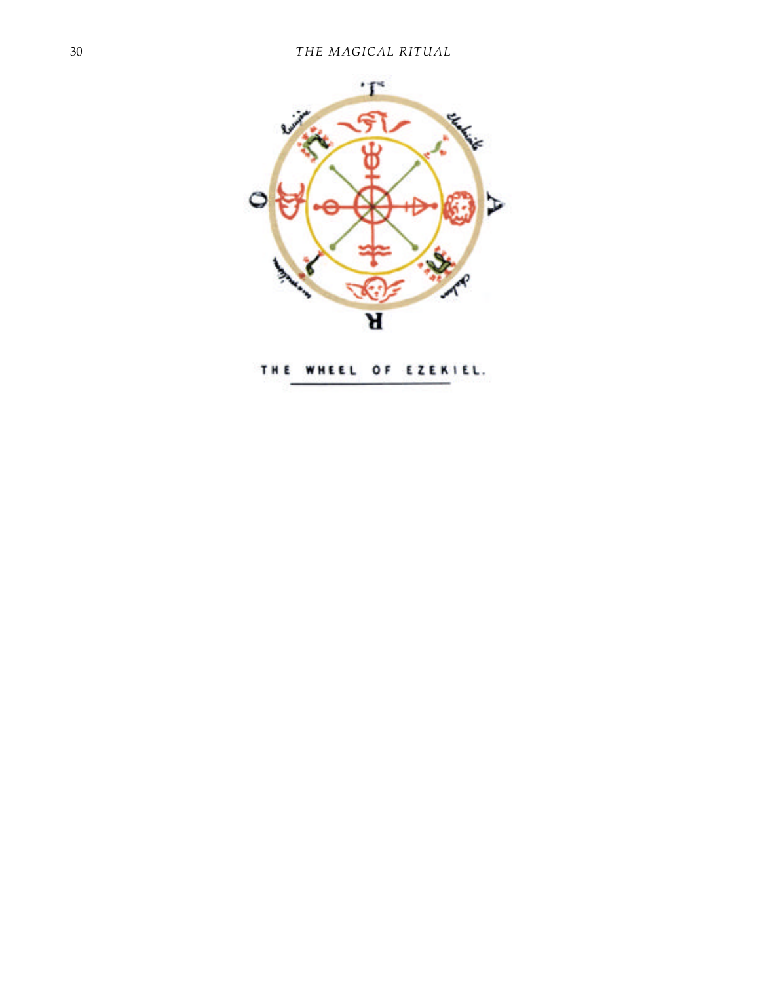

THE WHEEL OF EZEKIEL.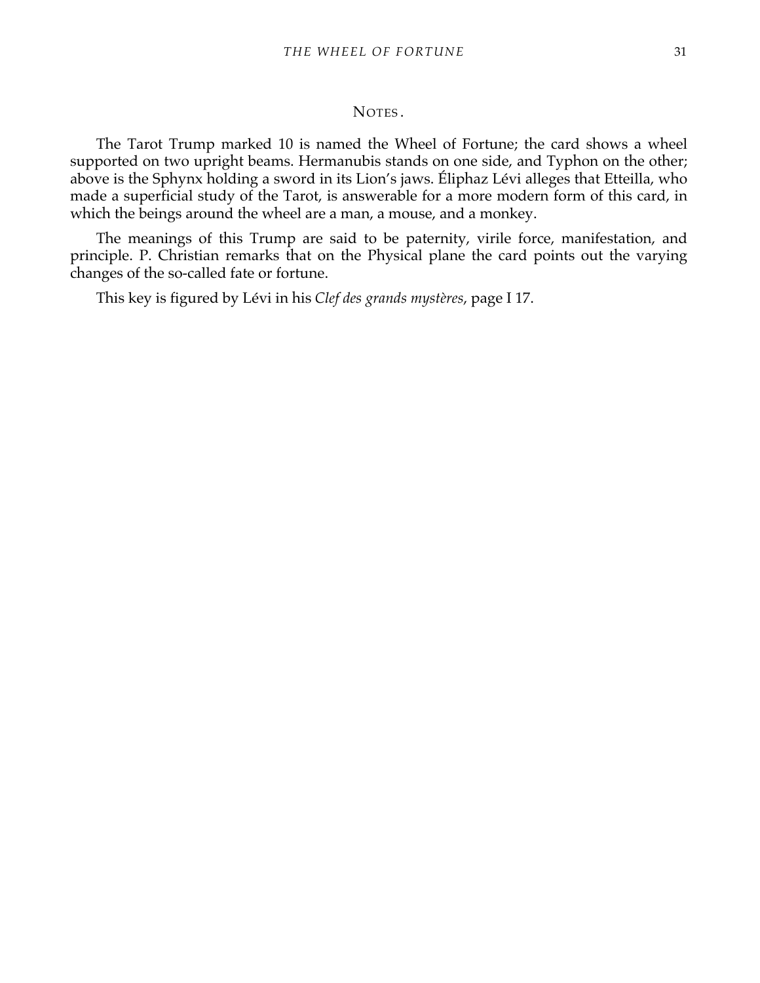#### NOTES .

The Tarot Trump marked 10 is named the Wheel of Fortune; the card shows a wheel supported on two upright beams. Hermanubis stands on one side, and Typhon on the other; above is the Sphynx holding a sword in its Lion's jaws. Éliphaz Lévi alleges that Etteilla, who made a superficial study of the Tarot, is answerable for a more modern form of this card, in which the beings around the wheel are a man, a mouse, and a monkey.

The meanings of this Trump are said to be paternity, virile force, manifestation, and principle. P. Christian remarks that on the Physical plane the card points out the varying changes of the so-called fate or fortune.

This key is figured by Lévi in his *Clef des grands mystères*, page I 17.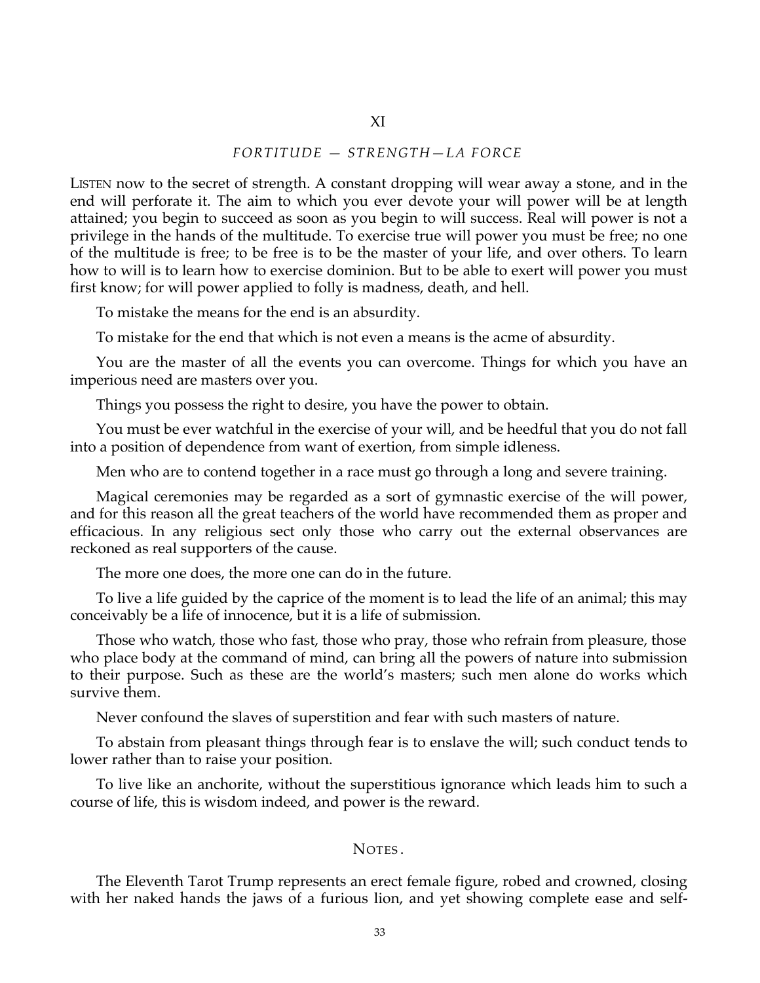# *FORTITUDE — STRENGTH—LA FORCE*

LISTEN now to the secret of strength. A constant dropping will wear away a stone, and in the end will perforate it. The aim to which you ever devote your will power will be at length attained; you begin to succeed as soon as you begin to will success. Real will power is not a privilege in the hands of the multitude. To exercise true will power you must be free; no one of the multitude is free; to be free is to be the master of your life, and over others. To learn how to will is to learn how to exercise dominion. But to be able to exert will power you must first know; for will power applied to folly is madness, death, and hell.

To mistake the means for the end is an absurdity.

To mistake for the end that which is not even a means is the acme of absurdity.

You are the master of all the events you can overcome. Things for which you have an imperious need are masters over you.

Things you possess the right to desire, you have the power to obtain.

You must be ever watchful in the exercise of your will, and be heedful that you do not fall into a position of dependence from want of exertion, from simple idleness.

Men who are to contend together in a race must go through a long and severe training.

Magical ceremonies may be regarded as a sort of gymnastic exercise of the will power, and for this reason all the great teachers of the world have recommended them as proper and efficacious. In any religious sect only those who carry out the external observances are reckoned as real supporters of the cause.

The more one does, the more one can do in the future.

To live a life guided by the caprice of the moment is to lead the life of an animal; this may conceivably be a life of innocence, but it is a life of submission.

Those who watch, those who fast, those who pray, those who refrain from pleasure, those who place body at the command of mind, can bring all the powers of nature into submission to their purpose. Such as these are the world's masters; such men alone do works which survive them.

Never confound the slaves of superstition and fear with such masters of nature.

To abstain from pleasant things through fear is to enslave the will; such conduct tends to lower rather than to raise your position.

To live like an anchorite, without the superstitious ignorance which leads him to such a course of life, this is wisdom indeed, and power is the reward.

# NOTES .

The Eleventh Tarot Trump represents an erect female figure, robed and crowned, closing with her naked hands the jaws of a furious lion, and yet showing complete ease and self-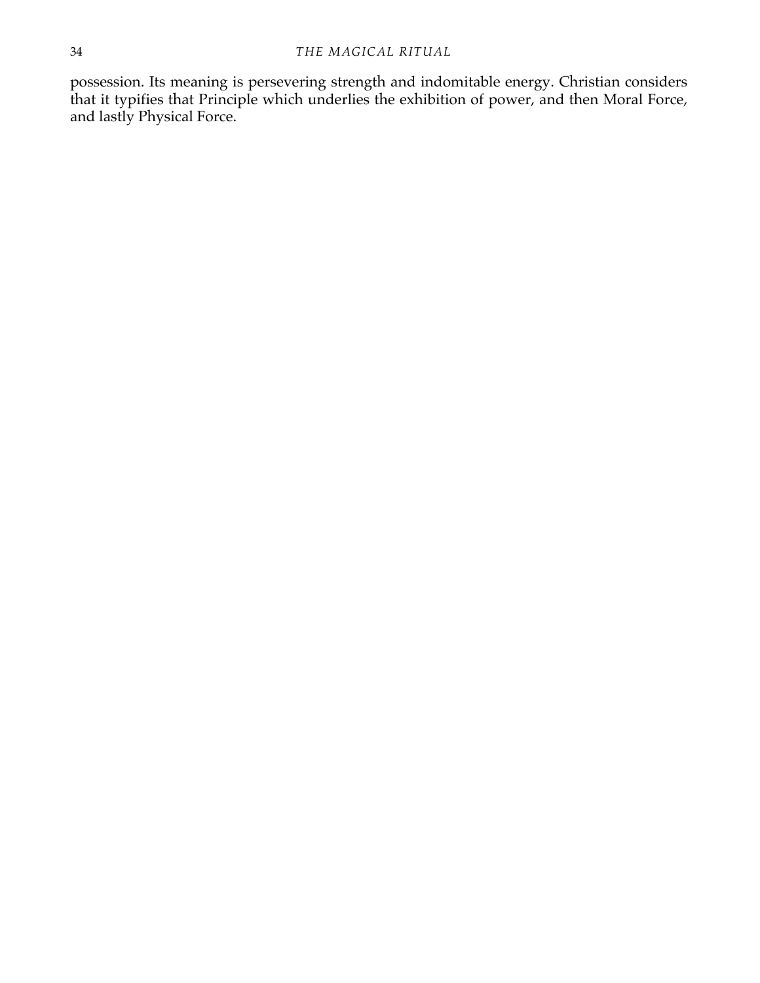possession. Its meaning is persevering strength and indomitable energy. Christian considers that it typifies that Principle which underlies the exhibition of power, and then Moral Force, and lastly Physical Force.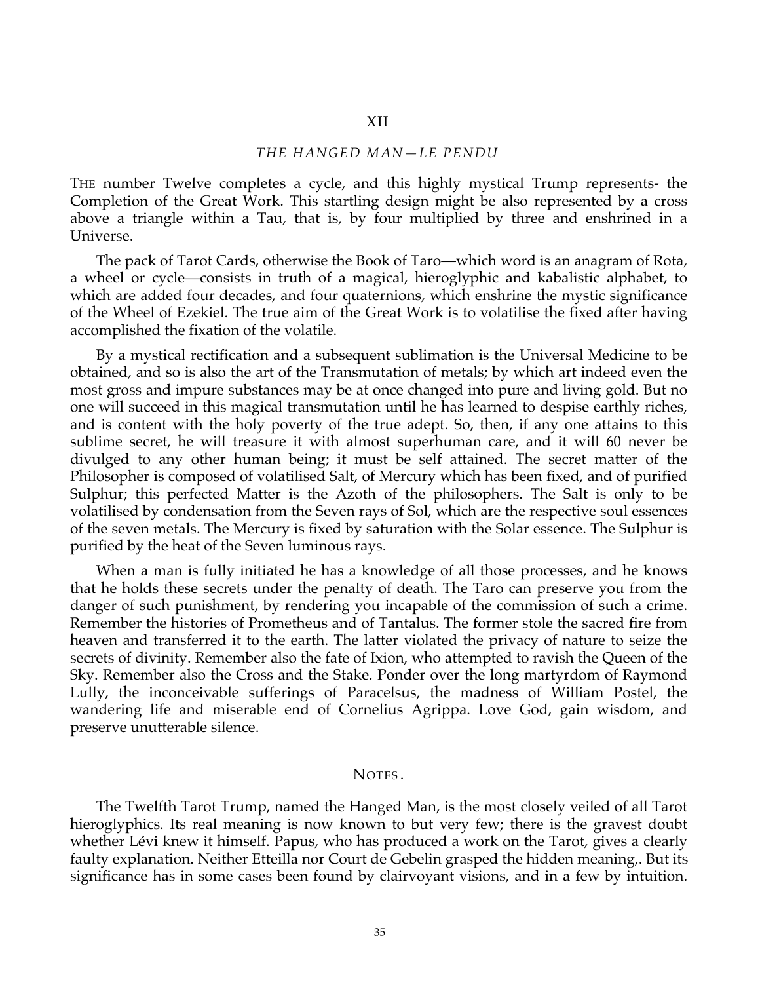## XII

# *THE HANGED MAN—LE PENDU*

THE number Twelve completes a cycle, and this highly mystical Trump represents- the Completion of the Great Work. This startling design might be also represented by a cross above a triangle within a Tau, that is, by four multiplied by three and enshrined in a Universe.

The pack of Tarot Cards, otherwise the Book of Taro—which word is an anagram of Rota, a wheel or cycle—consists in truth of a magical, hieroglyphic and kabalistic alphabet, to which are added four decades, and four quaternions, which enshrine the mystic significance of the Wheel of Ezekiel. The true aim of the Great Work is to volatilise the fixed after having accomplished the fixation of the volatile.

By a mystical rectification and a subsequent sublimation is the Universal Medicine to be obtained, and so is also the art of the Transmutation of metals; by which art indeed even the most gross and impure substances may be at once changed into pure and living gold. But no one will succeed in this magical transmutation until he has learned to despise earthly riches, and is content with the holy poverty of the true adept. So, then, if any one attains to this sublime secret, he will treasure it with almost superhuman care, and it will 60 never be divulged to any other human being; it must be self attained. The secret matter of the Philosopher is composed of volatilised Salt, of Mercury which has been fixed, and of purified Sulphur; this perfected Matter is the Azoth of the philosophers. The Salt is only to be volatilised by condensation from the Seven rays of Sol, which are the respective soul essences of the seven metals. The Mercury is fixed by saturation with the Solar essence. The Sulphur is purified by the heat of the Seven luminous rays.

When a man is fully initiated he has a knowledge of all those processes, and he knows that he holds these secrets under the penalty of death. The Taro can preserve you from the danger of such punishment, by rendering you incapable of the commission of such a crime. Remember the histories of Prometheus and of Tantalus. The former stole the sacred fire from heaven and transferred it to the earth. The latter violated the privacy of nature to seize the secrets of divinity. Remember also the fate of Ixion, who attempted to ravish the Queen of the Sky. Remember also the Cross and the Stake. Ponder over the long martyrdom of Raymond Lully, the inconceivable sufferings of Paracelsus, the madness of William Postel, the wandering life and miserable end of Cornelius Agrippa. Love God, gain wisdom, and preserve unutterable silence.

#### NOTES .

The Twelfth Tarot Trump, named the Hanged Man, is the most closely veiled of all Tarot hieroglyphics. Its real meaning is now known to but very few; there is the gravest doubt whether Lévi knew it himself. Papus, who has produced a work on the Tarot, gives a clearly faulty explanation. Neither Etteilla nor Court de Gebelin grasped the hidden meaning,. But its significance has in some cases been found by clairvoyant visions, and in a few by intuition.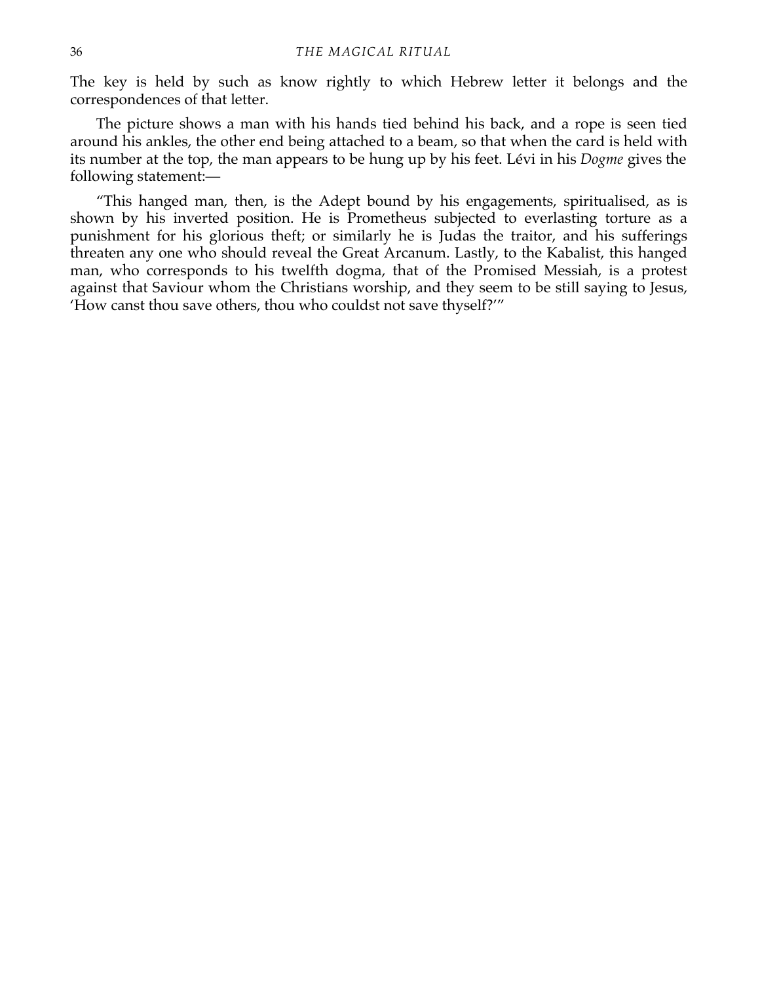The key is held by such as know rightly to which Hebrew letter it belongs and the correspondences of that letter.

The picture shows a man with his hands tied behind his back, and a rope is seen tied around his ankles, the other end being attached to a beam, so that when the card is held with its number at the top, the man appears to be hung up by his feet. Lévi in his *Dogme* gives the following statement:—

"This hanged man, then, is the Adept bound by his engagements, spiritualised, as is shown by his inverted position. He is Prometheus subjected to everlasting torture as a punishment for his glorious theft; or similarly he is Judas the traitor, and his sufferings threaten any one who should reveal the Great Arcanum. Lastly, to the Kabalist, this hanged man, who corresponds to his twelfth dogma, that of the Promised Messiah, is a protest against that Saviour whom the Christians worship, and they seem to be still saying to Jesus, 'How canst thou save others, thou who couldst not save thyself?'"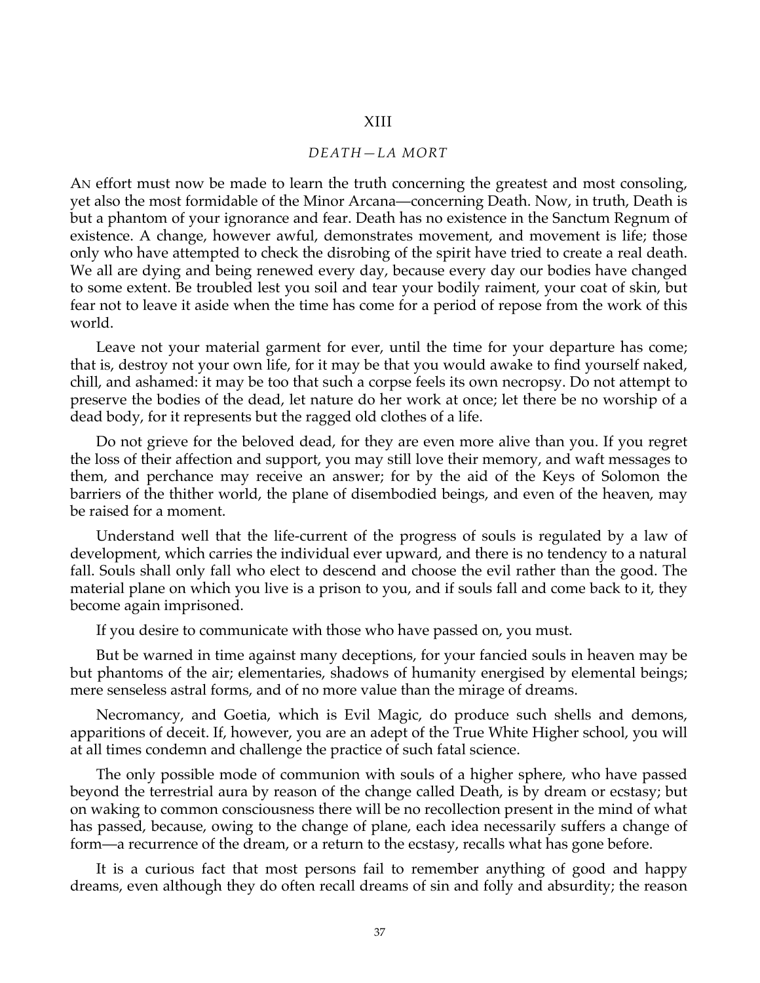#### XIII

#### *DEATH—LA MORT*

AN effort must now be made to learn the truth concerning the greatest and most consoling, yet also the most formidable of the Minor Arcana—concerning Death. Now, in truth, Death is but a phantom of your ignorance and fear. Death has no existence in the Sanctum Regnum of existence. A change, however awful, demonstrates movement, and movement is life; those only who have attempted to check the disrobing of the spirit have tried to create a real death. We all are dying and being renewed every day, because every day our bodies have changed to some extent. Be troubled lest you soil and tear your bodily raiment, your coat of skin, but fear not to leave it aside when the time has come for a period of repose from the work of this world.

Leave not your material garment for ever, until the time for your departure has come; that is, destroy not your own life, for it may be that you would awake to find yourself naked, chill, and ashamed: it may be too that such a corpse feels its own necropsy. Do not attempt to preserve the bodies of the dead, let nature do her work at once; let there be no worship of a dead body, for it represents but the ragged old clothes of a life.

Do not grieve for the beloved dead, for they are even more alive than you. If you regret the loss of their affection and support, you may still love their memory, and waft messages to them, and perchance may receive an answer; for by the aid of the Keys of Solomon the barriers of the thither world, the plane of disembodied beings, and even of the heaven, may be raised for a moment.

Understand well that the life-current of the progress of souls is regulated by a law of development, which carries the individual ever upward, and there is no tendency to a natural fall. Souls shall only fall who elect to descend and choose the evil rather than the good. The material plane on which you live is a prison to you, and if souls fall and come back to it, they become again imprisoned.

If you desire to communicate with those who have passed on, you must.

But be warned in time against many deceptions, for your fancied souls in heaven may be but phantoms of the air; elementaries, shadows of humanity energised by elemental beings; mere senseless astral forms, and of no more value than the mirage of dreams.

Necromancy, and Goetia, which is Evil Magic, do produce such shells and demons, apparitions of deceit. If, however, you are an adept of the True White Higher school, you will at all times condemn and challenge the practice of such fatal science.

The only possible mode of communion with souls of a higher sphere, who have passed beyond the terrestrial aura by reason of the change called Death, is by dream or ecstasy; but on waking to common consciousness there will be no recollection present in the mind of what has passed, because, owing to the change of plane, each idea necessarily suffers a change of form—a recurrence of the dream, or a return to the ecstasy, recalls what has gone before.

It is a curious fact that most persons fail to remember anything of good and happy dreams, even although they do often recall dreams of sin and folly and absurdity; the reason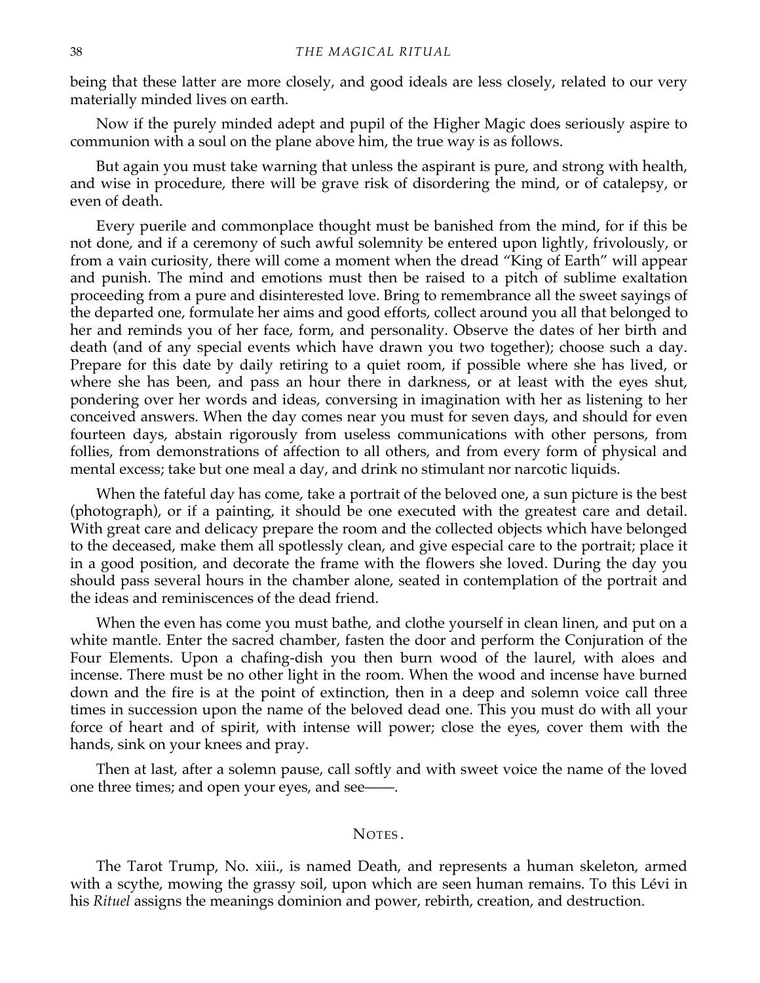being that these latter are more closely, and good ideals are less closely, related to our very materially minded lives on earth.

Now if the purely minded adept and pupil of the Higher Magic does seriously aspire to communion with a soul on the plane above him, the true way is as follows.

But again you must take warning that unless the aspirant is pure, and strong with health, and wise in procedure, there will be grave risk of disordering the mind, or of catalepsy, or even of death.

Every puerile and commonplace thought must be banished from the mind, for if this be not done, and if a ceremony of such awful solemnity be entered upon lightly, frivolously, or from a vain curiosity, there will come a moment when the dread "King of Earth" will appear and punish. The mind and emotions must then be raised to a pitch of sublime exaltation proceeding from a pure and disinterested love. Bring to remembrance all the sweet sayings of the departed one, formulate her aims and good efforts, collect around you all that belonged to her and reminds you of her face, form, and personality. Observe the dates of her birth and death (and of any special events which have drawn you two together); choose such a day. Prepare for this date by daily retiring to a quiet room, if possible where she has lived, or where she has been, and pass an hour there in darkness, or at least with the eyes shut, pondering over her words and ideas, conversing in imagination with her as listening to her conceived answers. When the day comes near you must for seven days, and should for even fourteen days, abstain rigorously from useless communications with other persons, from follies, from demonstrations of affection to all others, and from every form of physical and mental excess; take but one meal a day, and drink no stimulant nor narcotic liquids.

When the fateful day has come, take a portrait of the beloved one, a sun picture is the best (photograph), or if a painting, it should be one executed with the greatest care and detail. With great care and delicacy prepare the room and the collected objects which have belonged to the deceased, make them all spotlessly clean, and give especial care to the portrait; place it in a good position, and decorate the frame with the flowers she loved. During the day you should pass several hours in the chamber alone, seated in contemplation of the portrait and the ideas and reminiscences of the dead friend.

When the even has come you must bathe, and clothe yourself in clean linen, and put on a white mantle. Enter the sacred chamber, fasten the door and perform the Conjuration of the Four Elements. Upon a chafing-dish you then burn wood of the laurel, with aloes and incense. There must be no other light in the room. When the wood and incense have burned down and the fire is at the point of extinction, then in a deep and solemn voice call three times in succession upon the name of the beloved dead one. This you must do with all your force of heart and of spirit, with intense will power; close the eyes, cover them with the hands, sink on your knees and pray.

Then at last, after a solemn pause, call softly and with sweet voice the name of the loved one three times; and open your eyes, and see——.

## NOTES .

The Tarot Trump, No. xiii., is named Death, and represents a human skeleton, armed with a scythe, mowing the grassy soil, upon which are seen human remains. To this Lévi in his *Rituel* assigns the meanings dominion and power, rebirth, creation, and destruction.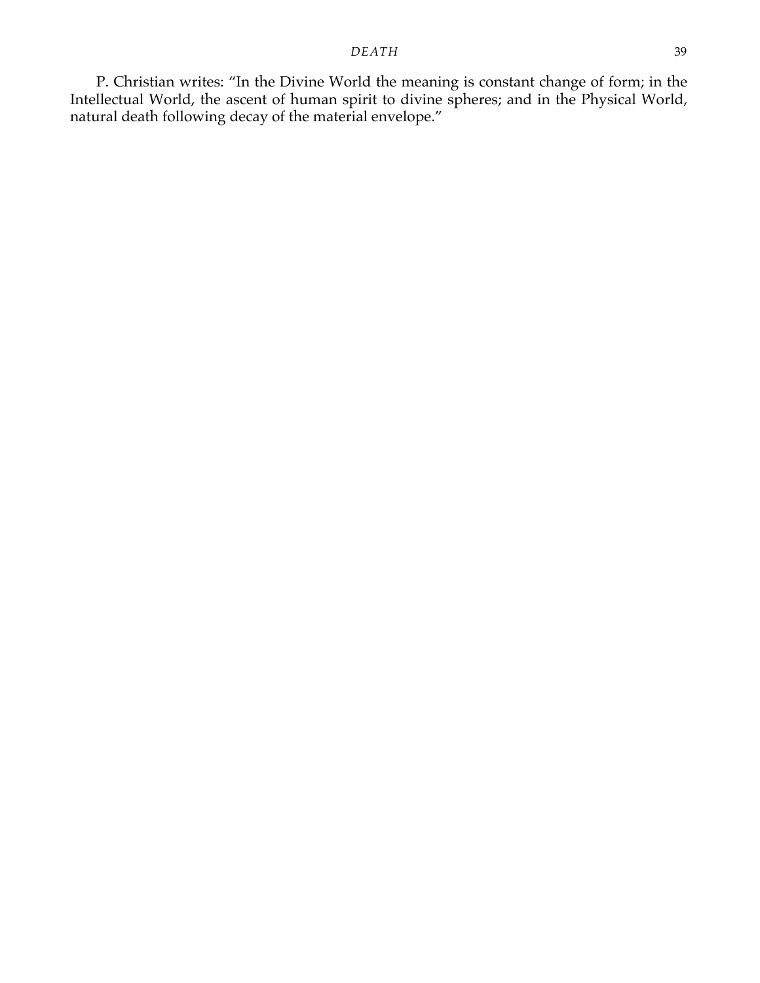P. Christian writes: "In the Divine World the meaning is constant change of form; in the Intellectual World, the ascent of human spirit to divine spheres; and in the Physical World, natural death following decay of the material envelope."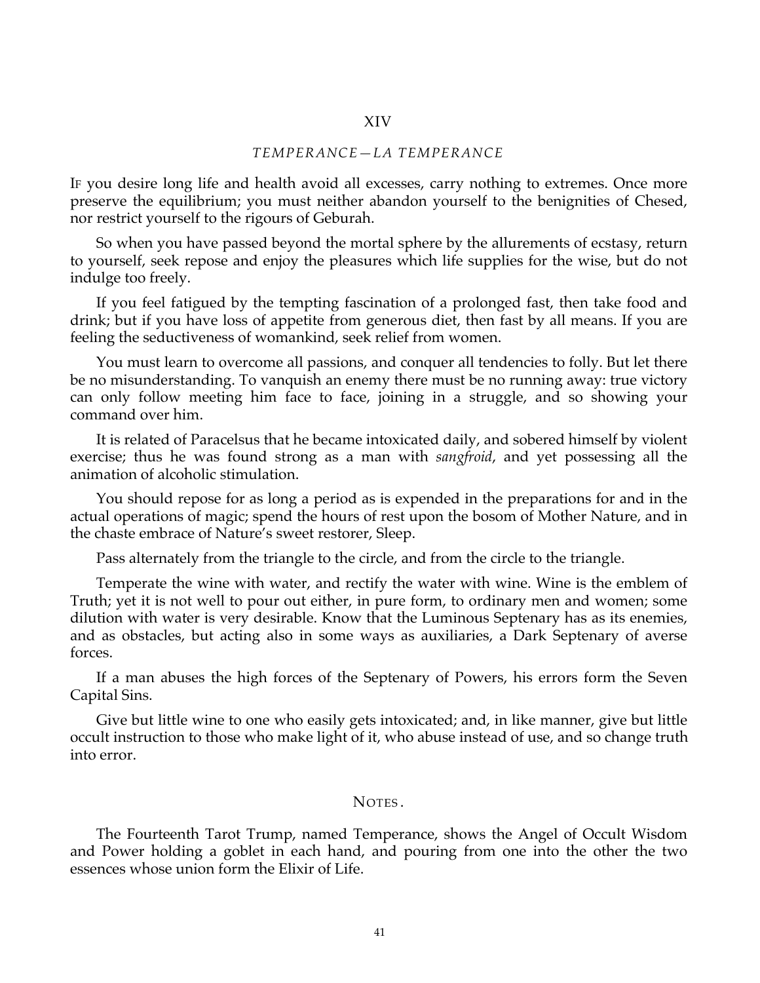#### XIV

# *TEMPERANCE—LA TEMPERANCE*

IF you desire long life and health avoid all excesses, carry nothing to extremes. Once more preserve the equilibrium; you must neither abandon yourself to the benignities of Chesed, nor restrict yourself to the rigours of Geburah.

So when you have passed beyond the mortal sphere by the allurements of ecstasy, return to yourself, seek repose and enjoy the pleasures which life supplies for the wise, but do not indulge too freely.

If you feel fatigued by the tempting fascination of a prolonged fast, then take food and drink; but if you have loss of appetite from generous diet, then fast by all means. If you are feeling the seductiveness of womankind, seek relief from women.

You must learn to overcome all passions, and conquer all tendencies to folly. But let there be no misunderstanding. To vanquish an enemy there must be no running away: true victory can only follow meeting him face to face, joining in a struggle, and so showing your command over him.

It is related of Paracelsus that he became intoxicated daily, and sobered himself by violent exercise; thus he was found strong as a man with *sangfroid*, and yet possessing all the animation of alcoholic stimulation.

You should repose for as long a period as is expended in the preparations for and in the actual operations of magic; spend the hours of rest upon the bosom of Mother Nature, and in the chaste embrace of Nature's sweet restorer, Sleep.

Pass alternately from the triangle to the circle, and from the circle to the triangle.

Temperate the wine with water, and rectify the water with wine. Wine is the emblem of Truth; yet it is not well to pour out either, in pure form, to ordinary men and women; some dilution with water is very desirable. Know that the Luminous Septenary has as its enemies, and as obstacles, but acting also in some ways as auxiliaries, a Dark Septenary of averse forces.

If a man abuses the high forces of the Septenary of Powers, his errors form the Seven Capital Sins.

Give but little wine to one who easily gets intoxicated; and, in like manner, give but little occult instruction to those who make light of it, who abuse instead of use, and so change truth into error.

#### NOTES .

The Fourteenth Tarot Trump, named Temperance, shows the Angel of Occult Wisdom and Power holding a goblet in each hand, and pouring from one into the other the two essences whose union form the Elixir of Life.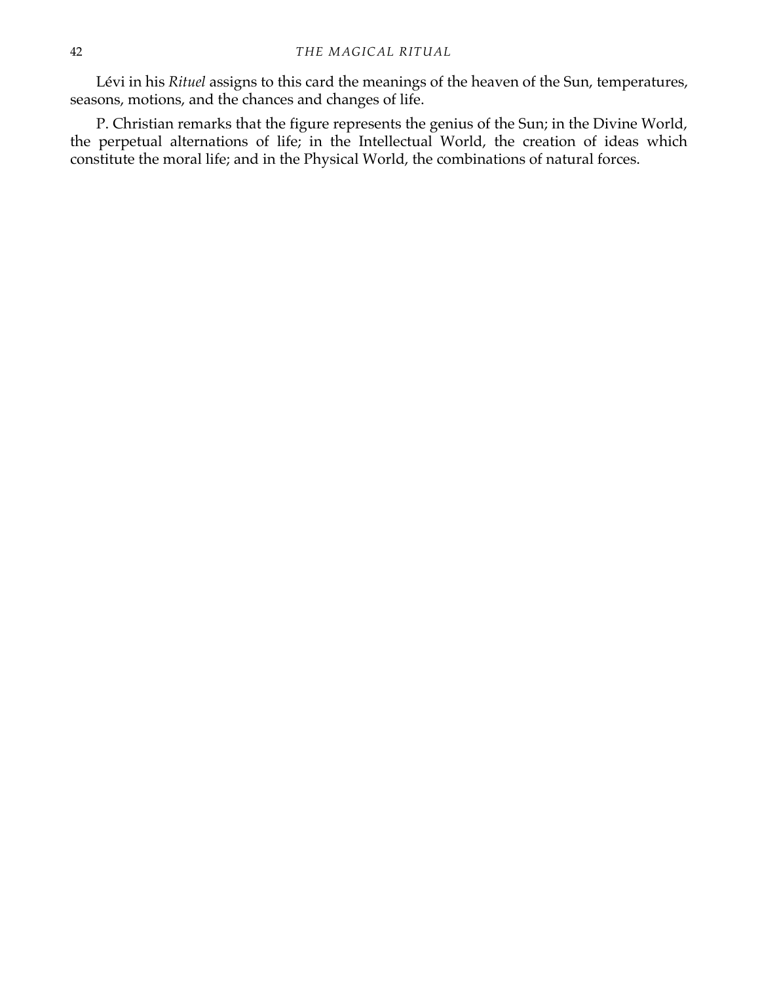Lévi in his *Rituel* assigns to this card the meanings of the heaven of the Sun, temperatures, seasons, motions, and the chances and changes of life.

P. Christian remarks that the figure represents the genius of the Sun; in the Divine World, the perpetual alternations of life; in the Intellectual World, the creation of ideas which constitute the moral life; and in the Physical World, the combinations of natural forces.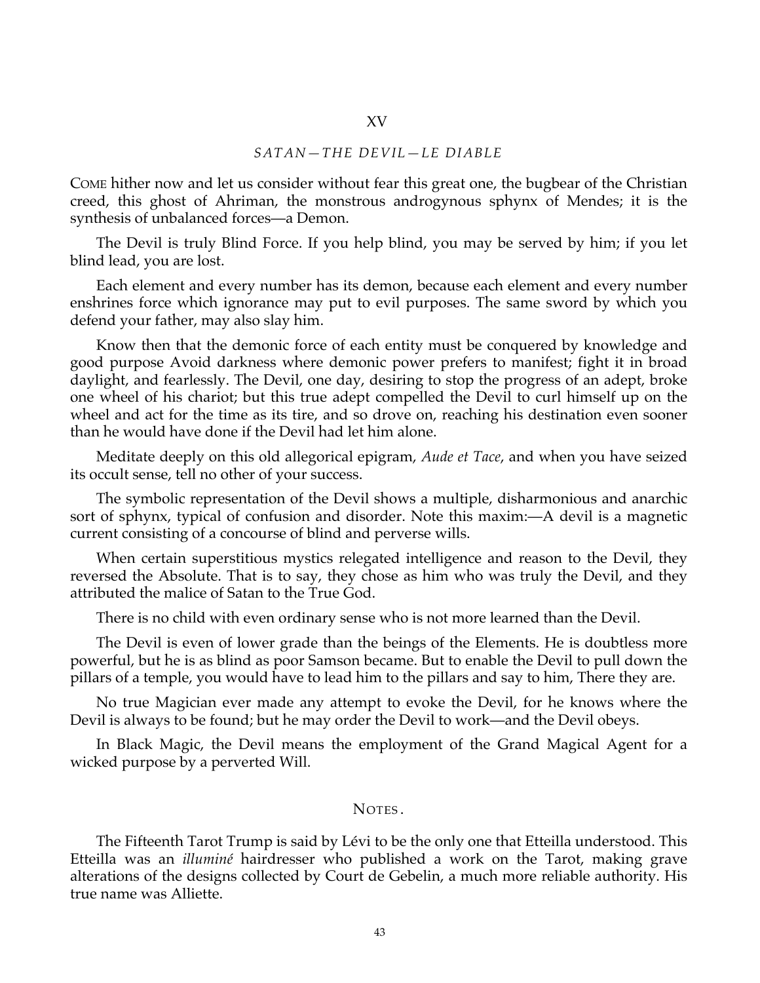#### XV

# *SATAN—THE DEVIL—LE DIABLE*

COME hither now and let us consider without fear this great one, the bugbear of the Christian creed, this ghost of Ahriman, the monstrous androgynous sphynx of Mendes; it is the synthesis of unbalanced forces—a Demon.

The Devil is truly Blind Force. If you help blind, you may be served by him; if you let blind lead, you are lost.

Each element and every number has its demon, because each element and every number enshrines force which ignorance may put to evil purposes. The same sword by which you defend your father, may also slay him.

Know then that the demonic force of each entity must be conquered by knowledge and good purpose Avoid darkness where demonic power prefers to manifest; fight it in broad daylight, and fearlessly. The Devil, one day, desiring to stop the progress of an adept, broke one wheel of his chariot; but this true adept compelled the Devil to curl himself up on the wheel and act for the time as its tire, and so drove on, reaching his destination even sooner than he would have done if the Devil had let him alone.

Meditate deeply on this old allegorical epigram, *Aude et Tace*, and when you have seized its occult sense, tell no other of your success.

The symbolic representation of the Devil shows a multiple, disharmonious and anarchic sort of sphynx, typical of confusion and disorder. Note this maxim:—A devil is a magnetic current consisting of a concourse of blind and perverse wills.

When certain superstitious mystics relegated intelligence and reason to the Devil, they reversed the Absolute. That is to say, they chose as him who was truly the Devil, and they attributed the malice of Satan to the True God.

There is no child with even ordinary sense who is not more learned than the Devil.

The Devil is even of lower grade than the beings of the Elements. He is doubtless more powerful, but he is as blind as poor Samson became. But to enable the Devil to pull down the pillars of a temple, you would have to lead him to the pillars and say to him, There they are.

No true Magician ever made any attempt to evoke the Devil, for he knows where the Devil is always to be found; but he may order the Devil to work—and the Devil obeys.

In Black Magic, the Devil means the employment of the Grand Magical Agent for a wicked purpose by a perverted Will.

#### NOTES .

The Fifteenth Tarot Trump is said by Lévi to be the only one that Etteilla understood. This Etteilla was an *illuminé* hairdresser who published a work on the Tarot, making grave alterations of the designs collected by Court de Gebelin, a much more reliable authority. His true name was Alliette.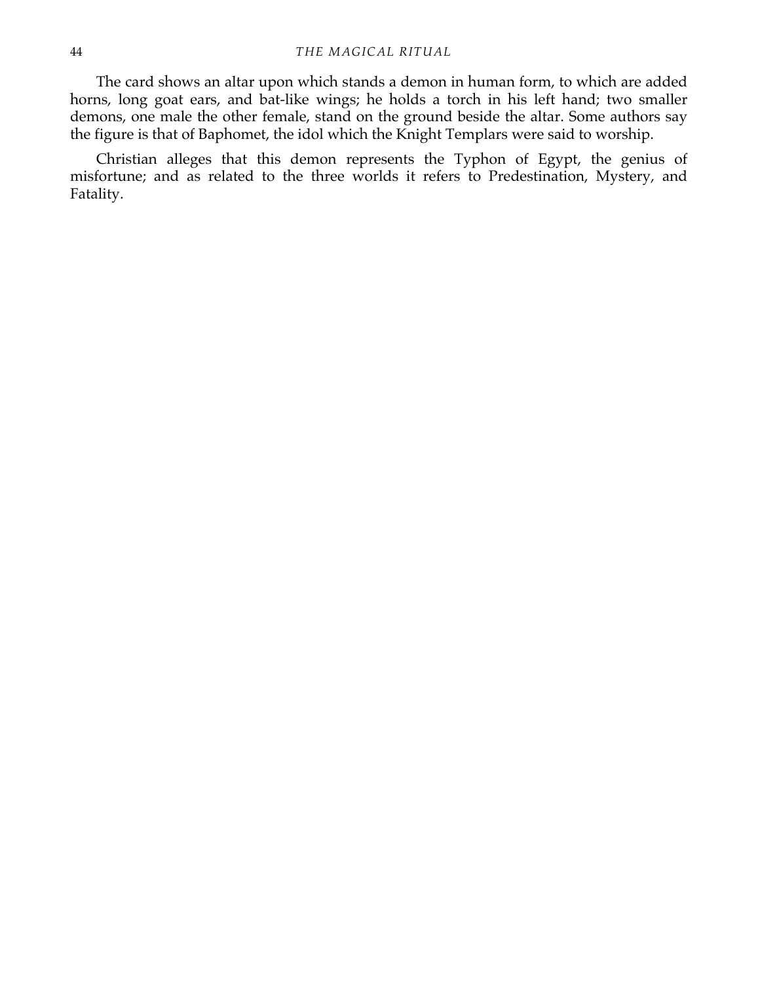The card shows an altar upon which stands a demon in human form, to which are added horns, long goat ears, and bat-like wings; he holds a torch in his left hand; two smaller demons, one male the other female, stand on the ground beside the altar. Some authors say the figure is that of Baphomet, the idol which the Knight Templars were said to worship.

Christian alleges that this demon represents the Typhon of Egypt, the genius of misfortune; and as related to the three worlds it refers to Predestination, Mystery, and Fatality.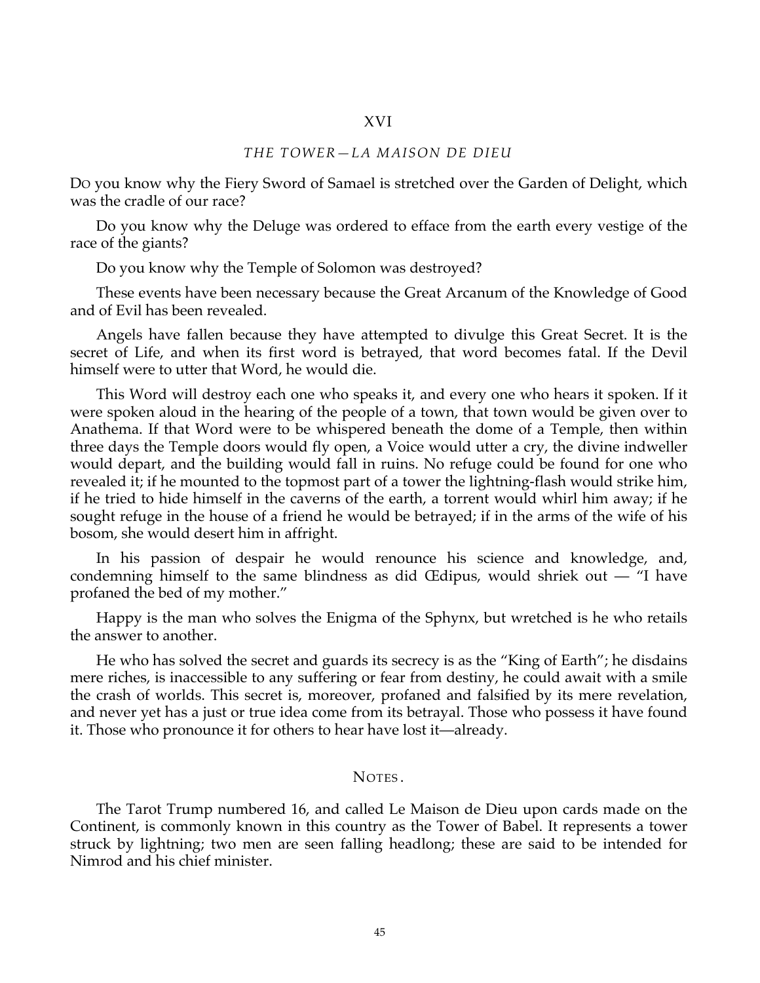#### XVI

## *THE TOWER—LA MAISON DE DIEU*

DO you know why the Fiery Sword of Samael is stretched over the Garden of Delight, which was the cradle of our race?

Do you know why the Deluge was ordered to efface from the earth every vestige of the race of the giants?

Do you know why the Temple of Solomon was destroyed?

These events have been necessary because the Great Arcanum of the Knowledge of Good and of Evil has been revealed.

Angels have fallen because they have attempted to divulge this Great Secret. It is the secret of Life, and when its first word is betrayed, that word becomes fatal. If the Devil himself were to utter that Word, he would die.

This Word will destroy each one who speaks it, and every one who hears it spoken. If it were spoken aloud in the hearing of the people of a town, that town would be given over to Anathema. If that Word were to be whispered beneath the dome of a Temple, then within three days the Temple doors would fly open, a Voice would utter a cry, the divine indweller would depart, and the building would fall in ruins. No refuge could be found for one who revealed it; if he mounted to the topmost part of a tower the lightning-flash would strike him, if he tried to hide himself in the caverns of the earth, a torrent would whirl him away; if he sought refuge in the house of a friend he would be betrayed; if in the arms of the wife of his bosom, she would desert him in affright.

In his passion of despair he would renounce his science and knowledge, and, condemning himself to the same blindness as did Œdipus, would shriek out — "I have profaned the bed of my mother."

Happy is the man who solves the Enigma of the Sphynx, but wretched is he who retails the answer to another.

He who has solved the secret and guards its secrecy is as the "King of Earth"; he disdains mere riches, is inaccessible to any suffering or fear from destiny, he could await with a smile the crash of worlds. This secret is, moreover, profaned and falsified by its mere revelation, and never yet has a just or true idea come from its betrayal. Those who possess it have found it. Those who pronounce it for others to hear have lost it—already.

# NOTES .

The Tarot Trump numbered 16, and called Le Maison de Dieu upon cards made on the Continent, is commonly known in this country as the Tower of Babel. It represents a tower struck by lightning; two men are seen falling headlong; these are said to be intended for Nimrod and his chief minister.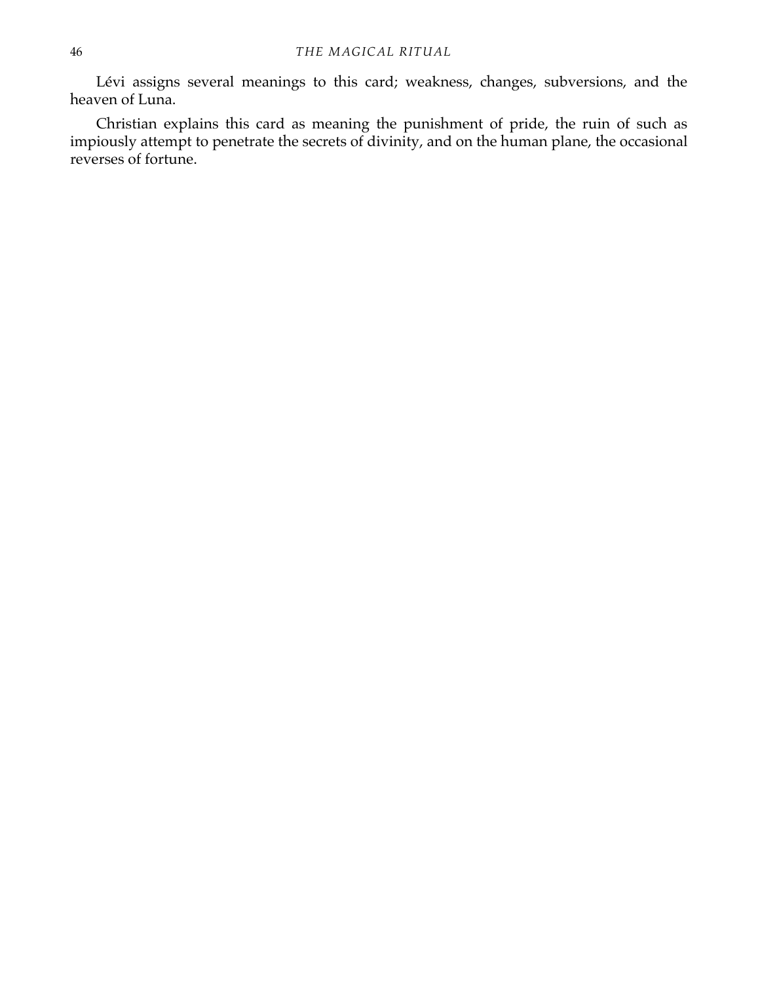Lévi assigns several meanings to this card; weakness, changes, subversions, and the heaven of Luna.

Christian explains this card as meaning the punishment of pride, the ruin of such as impiously attempt to penetrate the secrets of divinity, and on the human plane, the occasional reverses of fortune.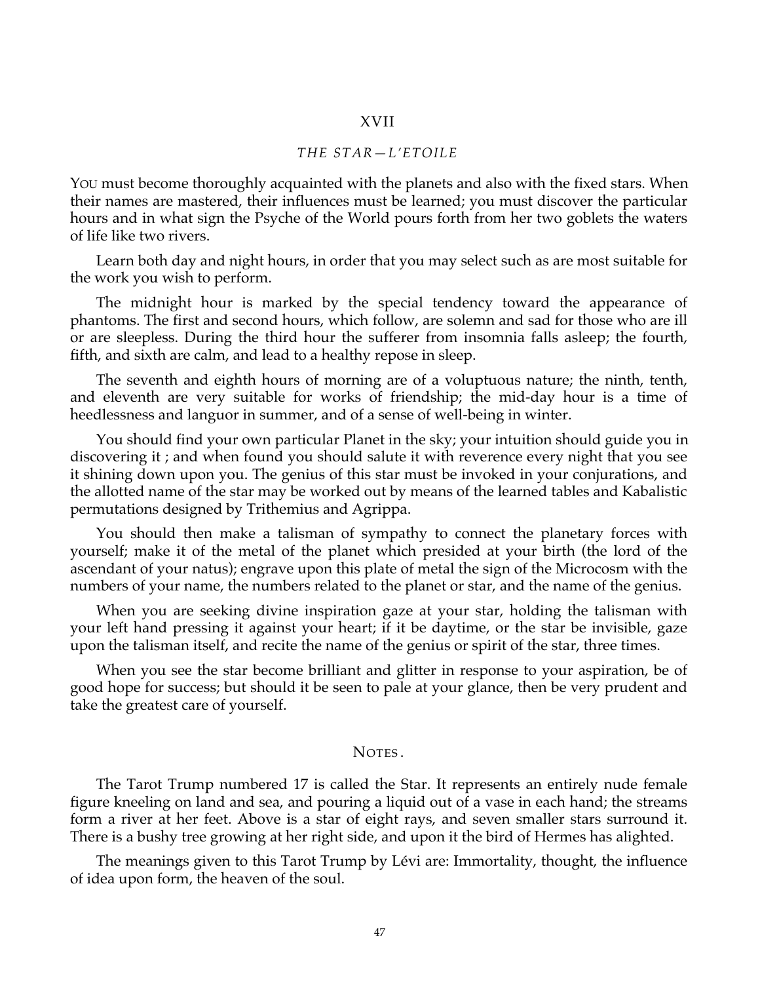#### XVII

## *THE STAR—L'ETOILE*

YOU must become thoroughly acquainted with the planets and also with the fixed stars. When their names are mastered, their influences must be learned; you must discover the particular hours and in what sign the Psyche of the World pours forth from her two goblets the waters of life like two rivers.

Learn both day and night hours, in order that you may select such as are most suitable for the work you wish to perform.

The midnight hour is marked by the special tendency toward the appearance of phantoms. The first and second hours, which follow, are solemn and sad for those who are ill or are sleepless. During the third hour the sufferer from insomnia falls asleep; the fourth, fifth, and sixth are calm, and lead to a healthy repose in sleep.

The seventh and eighth hours of morning are of a voluptuous nature; the ninth, tenth, and eleventh are very suitable for works of friendship; the mid-day hour is a time of heedlessness and languor in summer, and of a sense of well-being in winter.

You should find your own particular Planet in the sky; your intuition should guide you in discovering it ; and when found you should salute it with reverence every night that you see it shining down upon you. The genius of this star must be invoked in your conjurations, and the allotted name of the star may be worked out by means of the learned tables and Kabalistic permutations designed by Trithemius and Agrippa.

You should then make a talisman of sympathy to connect the planetary forces with yourself; make it of the metal of the planet which presided at your birth (the lord of the ascendant of your natus); engrave upon this plate of metal the sign of the Microcosm with the numbers of your name, the numbers related to the planet or star, and the name of the genius.

When you are seeking divine inspiration gaze at your star, holding the talisman with your left hand pressing it against your heart; if it be daytime, or the star be invisible, gaze upon the talisman itself, and recite the name of the genius or spirit of the star, three times.

When you see the star become brilliant and glitter in response to your aspiration, be of good hope for success; but should it be seen to pale at your glance, then be very prudent and take the greatest care of yourself.

#### NOTES .

The Tarot Trump numbered 17 is called the Star. It represents an entirely nude female figure kneeling on land and sea, and pouring a liquid out of a vase in each hand; the streams form a river at her feet. Above is a star of eight rays, and seven smaller stars surround it. There is a bushy tree growing at her right side, and upon it the bird of Hermes has alighted.

The meanings given to this Tarot Trump by Lévi are: Immortality, thought, the influence of idea upon form, the heaven of the soul.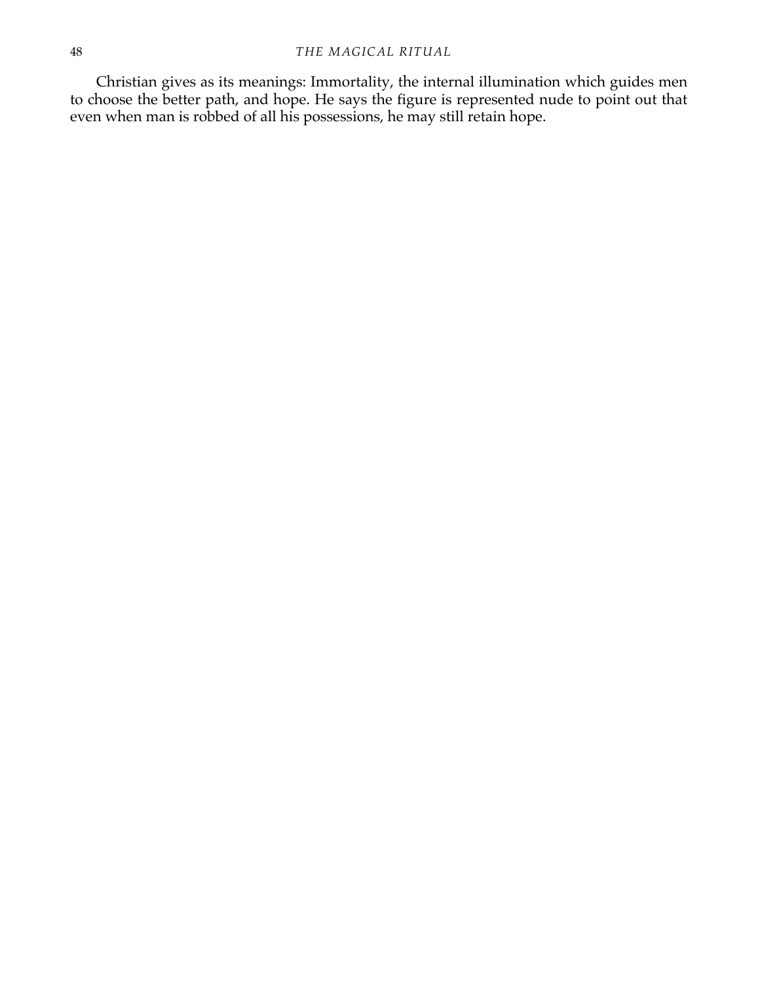Christian gives as its meanings: Immortality, the internal illumination which guides men to choose the better path, and hope. He says the figure is represented nude to point out that even when man is robbed of all his possessions, he may still retain hope.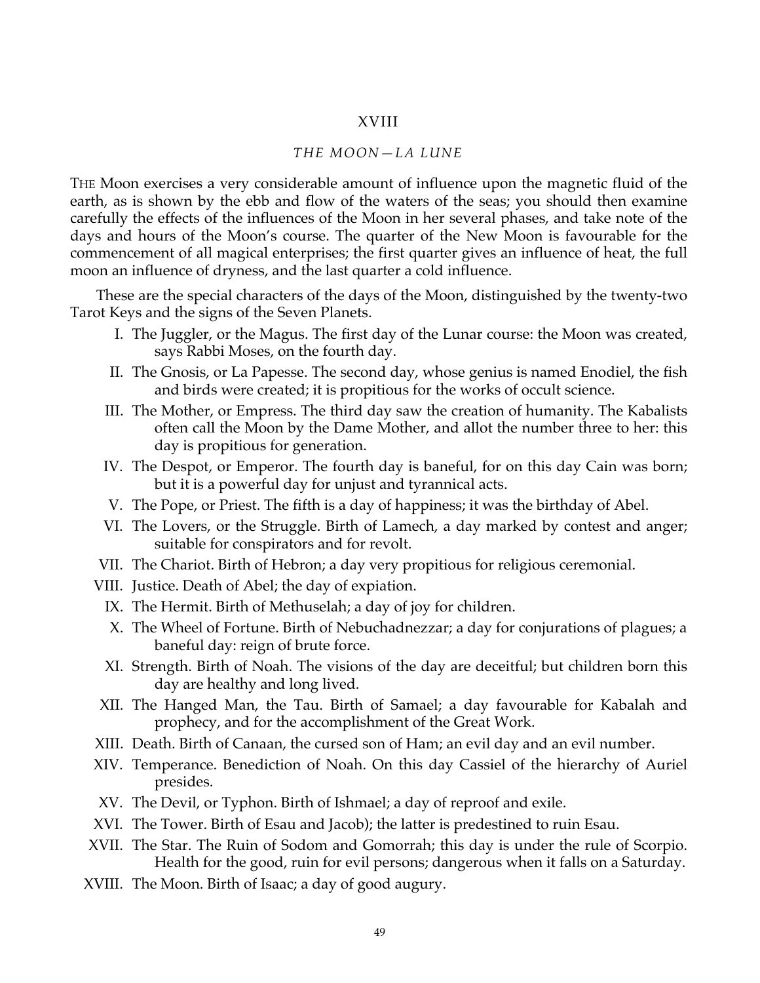## XVIII

## *THE MOON—LA LUNE*

THE Moon exercises a very considerable amount of influence upon the magnetic fluid of the earth, as is shown by the ebb and flow of the waters of the seas; you should then examine carefully the effects of the influences of the Moon in her several phases, and take note of the days and hours of the Moon's course. The quarter of the New Moon is favourable for the commencement of all magical enterprises; the first quarter gives an influence of heat, the full moon an influence of dryness, and the last quarter a cold influence.

These are the special characters of the days of the Moon, distinguished by the twenty-two Tarot Keys and the signs of the Seven Planets.

- I. The Juggler, or the Magus. The first day of the Lunar course: the Moon was created, says Rabbi Moses, on the fourth day.
- II. The Gnosis, or La Papesse. The second day, whose genius is named Enodiel, the fish and birds were created; it is propitious for the works of occult science.
- III. The Mother, or Empress. The third day saw the creation of humanity. The Kabalists often call the Moon by the Dame Mother, and allot the number three to her: this day is propitious for generation.
- IV. The Despot, or Emperor. The fourth day is baneful, for on this day Cain was born; but it is a powerful day for unjust and tyrannical acts.
- V. The Pope, or Priest. The fifth is a day of happiness; it was the birthday of Abel.
- VI. The Lovers, or the Struggle. Birth of Lamech, a day marked by contest and anger; suitable for conspirators and for revolt.
- VII. The Chariot. Birth of Hebron; a day very propitious for religious ceremonial.
- VIII. Justice. Death of Abel; the day of expiation.
	- IX. The Hermit. Birth of Methuselah; a day of joy for children.
	- X. The Wheel of Fortune. Birth of Nebuchadnezzar; a day for conjurations of plagues; a baneful day: reign of brute force.
	- XI. Strength. Birth of Noah. The visions of the day are deceitful; but children born this day are healthy and long lived.
- XII. The Hanged Man, the Tau. Birth of Samael; a day favourable for Kabalah and prophecy, and for the accomplishment of the Great Work.
- XIII. Death. Birth of Canaan, the cursed son of Ham; an evil day and an evil number.
- XIV. Temperance. Benediction of Noah. On this day Cassiel of the hierarchy of Auriel presides.
- XV. The Devil, or Typhon. Birth of Ishmael; a day of reproof and exile.
- XVI. The Tower. Birth of Esau and Jacob); the latter is predestined to ruin Esau.
- XVII. The Star. The Ruin of Sodom and Gomorrah; this day is under the rule of Scorpio. Health for the good, ruin for evil persons; dangerous when it falls on a Saturday.
- XVIII. The Moon. Birth of Isaac; a day of good augury.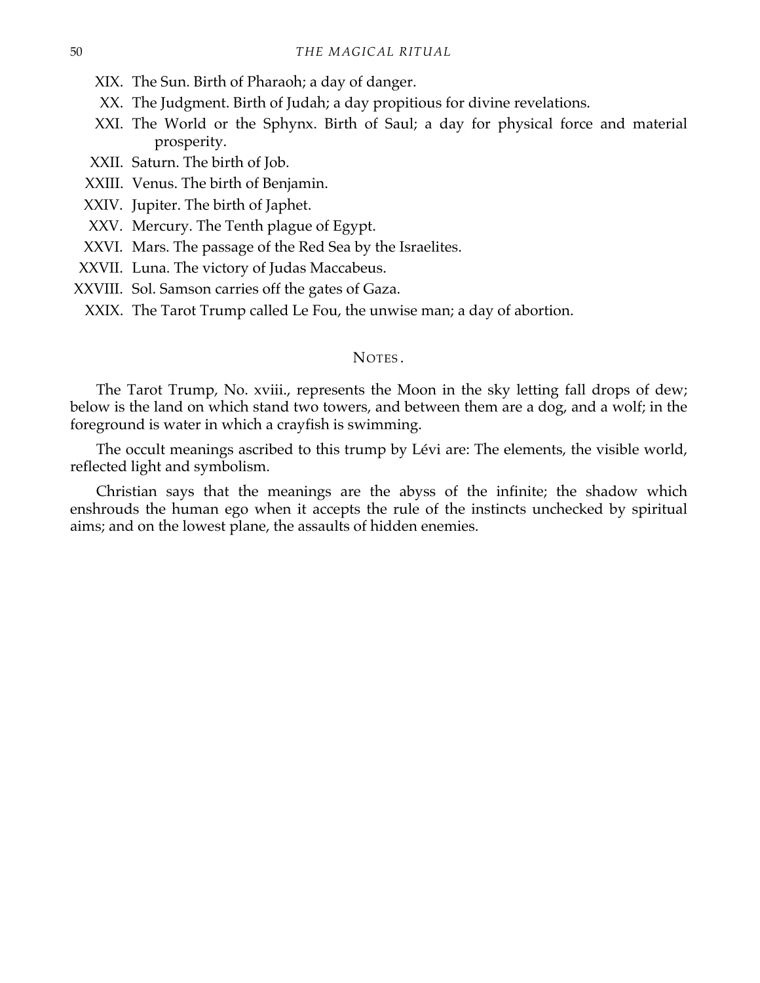- XIX. The Sun. Birth of Pharaoh; a day of danger.
- XX. The Judgment. Birth of Judah; a day propitious for divine revelations.
- XXI. The World or the Sphynx. Birth of Saul; a day for physical force and material prosperity.
- XXII. Saturn. The birth of Job.
- XXIII. Venus. The birth of Benjamin.
- XXIV. Jupiter. The birth of Japhet.
- XXV. Mercury. The Tenth plague of Egypt.
- XXVI. Mars. The passage of the Red Sea by the Israelites.
- XXVII. Luna. The victory of Judas Maccabeus.
- XXVIII. Sol. Samson carries off the gates of Gaza.
	- XXIX. The Tarot Trump called Le Fou, the unwise man; a day of abortion.

#### NOTES .

The Tarot Trump, No. xviii., represents the Moon in the sky letting fall drops of dew; below is the land on which stand two towers, and between them are a dog, and a wolf; in the foreground is water in which a crayfish is swimming.

The occult meanings ascribed to this trump by Lévi are: The elements, the visible world, reflected light and symbolism.

Christian says that the meanings are the abyss of the infinite; the shadow which enshrouds the human ego when it accepts the rule of the instincts unchecked by spiritual aims; and on the lowest plane, the assaults of hidden enemies.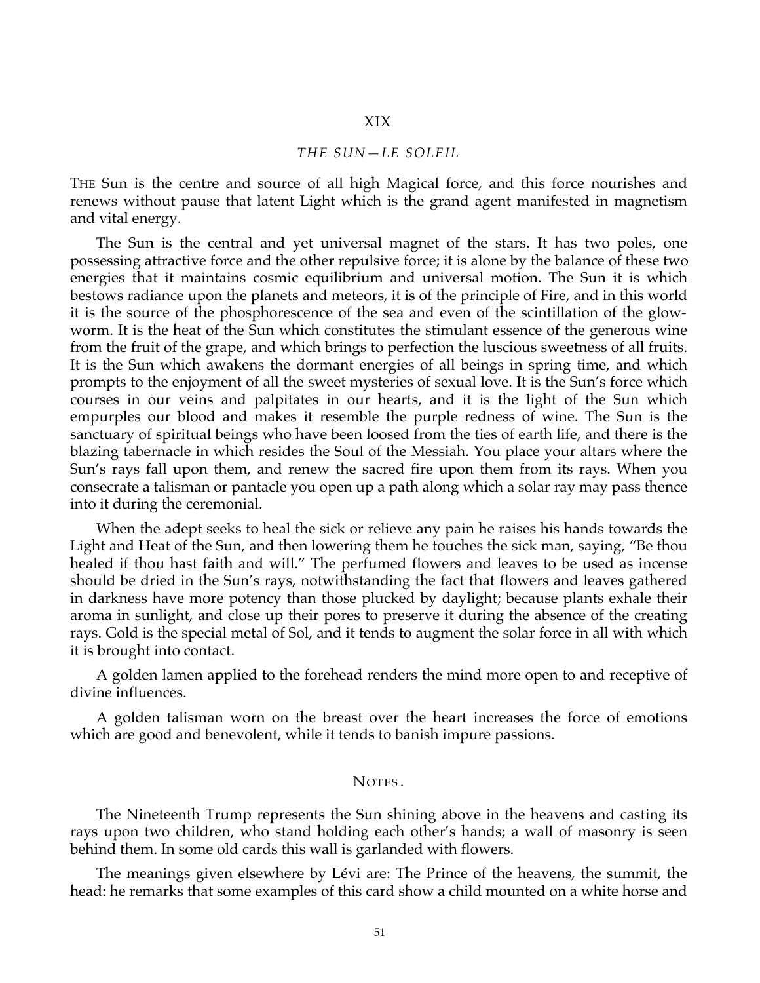## XIX

## *THE SUN—LE SOLEIL*

THE Sun is the centre and source of all high Magical force, and this force nourishes and renews without pause that latent Light which is the grand agent manifested in magnetism and vital energy.

The Sun is the central and yet universal magnet of the stars. It has two poles, one possessing attractive force and the other repulsive force; it is alone by the balance of these two energies that it maintains cosmic equilibrium and universal motion. The Sun it is which bestows radiance upon the planets and meteors, it is of the principle of Fire, and in this world it is the source of the phosphorescence of the sea and even of the scintillation of the glowworm. It is the heat of the Sun which constitutes the stimulant essence of the generous wine from the fruit of the grape, and which brings to perfection the luscious sweetness of all fruits. It is the Sun which awakens the dormant energies of all beings in spring time, and which prompts to the enjoyment of all the sweet mysteries of sexual love. It is the Sun's force which courses in our veins and palpitates in our hearts, and it is the light of the Sun which empurples our blood and makes it resemble the purple redness of wine. The Sun is the sanctuary of spiritual beings who have been loosed from the ties of earth life, and there is the blazing tabernacle in which resides the Soul of the Messiah. You place your altars where the Sun's rays fall upon them, and renew the sacred fire upon them from its rays. When you consecrate a talisman or pantacle you open up a path along which a solar ray may pass thence into it during the ceremonial.

When the adept seeks to heal the sick or relieve any pain he raises his hands towards the Light and Heat of the Sun, and then lowering them he touches the sick man, saying, "Be thou healed if thou hast faith and will." The perfumed flowers and leaves to be used as incense should be dried in the Sun's rays, notwithstanding the fact that flowers and leaves gathered in darkness have more potency than those plucked by daylight; because plants exhale their aroma in sunlight, and close up their pores to preserve it during the absence of the creating rays. Gold is the special metal of Sol, and it tends to augment the solar force in all with which it is brought into contact.

A golden lamen applied to the forehead renders the mind more open to and receptive of divine influences.

A golden talisman worn on the breast over the heart increases the force of emotions which are good and benevolent, while it tends to banish impure passions.

# NOTES .

The Nineteenth Trump represents the Sun shining above in the heavens and casting its rays upon two children, who stand holding each other's hands; a wall of masonry is seen behind them. In some old cards this wall is garlanded with flowers.

The meanings given elsewhere by Lévi are: The Prince of the heavens, the summit, the head: he remarks that some examples of this card show a child mounted on a white horse and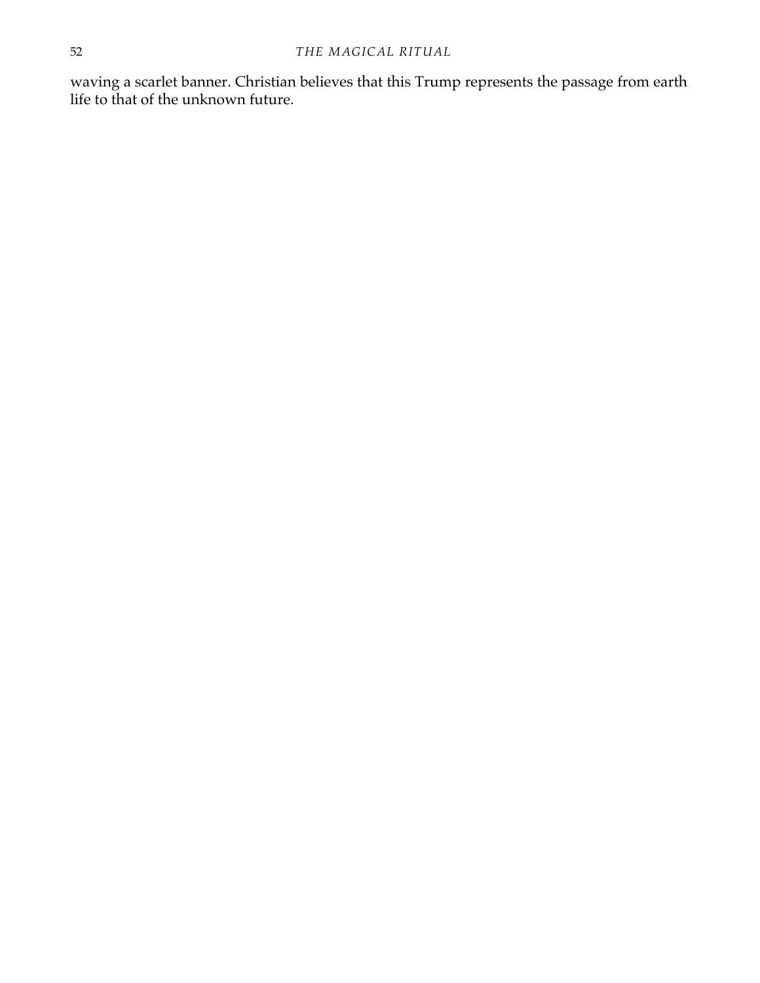waving a scarlet banner. Christian believes that this Trump represents the passage from earth life to that of the unknown future.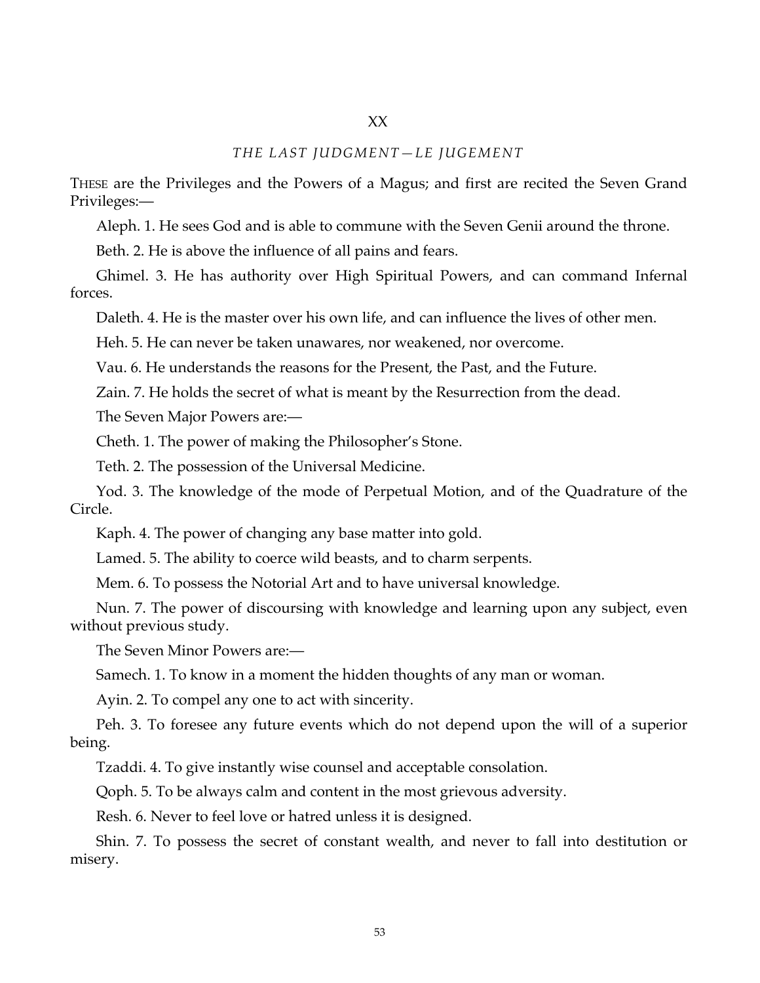# *THE LAST JUDGMENT—LE JUGEMENT*

THESE are the Privileges and the Powers of a Magus; and first are recited the Seven Grand Privileges:—

Aleph. 1. He sees God and is able to commune with the Seven Genii around the throne.

Beth. 2. He is above the influence of all pains and fears.

Ghimel. 3. He has authority over High Spiritual Powers, and can command Infernal forces.

Daleth. 4. He is the master over his own life, and can influence the lives of other men.

Heh. 5. He can never be taken unawares, nor weakened, nor overcome.

Vau. 6. He understands the reasons for the Present, the Past, and the Future.

Zain. 7. He holds the secret of what is meant by the Resurrection from the dead.

The Seven Major Powers are:—

Cheth. 1. The power of making the Philosopher's Stone.

Teth. 2. The possession of the Universal Medicine.

Yod. 3. The knowledge of the mode of Perpetual Motion, and of the Quadrature of the Circle.

Kaph. 4. The power of changing any base matter into gold.

Lamed. 5. The ability to coerce wild beasts, and to charm serpents.

Mem. 6. To possess the Notorial Art and to have universal knowledge.

Nun. 7. The power of discoursing with knowledge and learning upon any subject, even without previous study.

The Seven Minor Powers are:—

Samech. 1. To know in a moment the hidden thoughts of any man or woman.

Ayin. 2. To compel any one to act with sincerity.

Peh. 3. To foresee any future events which do not depend upon the will of a superior being.

Tzaddi. 4. To give instantly wise counsel and acceptable consolation.

Qoph. 5. To be always calm and content in the most grievous adversity.

Resh. 6. Never to feel love or hatred unless it is designed.

Shin. 7. To possess the secret of constant wealth, and never to fall into destitution or misery.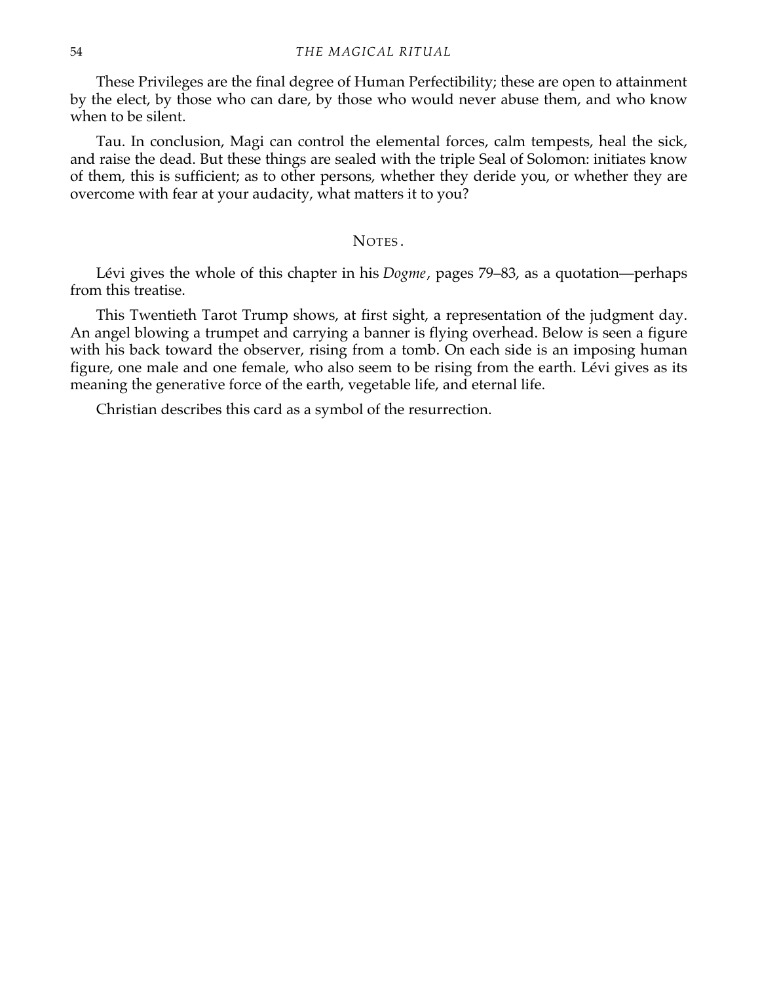These Privileges are the final degree of Human Perfectibility; these are open to attainment by the elect, by those who can dare, by those who would never abuse them, and who know when to be silent.

Tau. In conclusion, Magi can control the elemental forces, calm tempests, heal the sick, and raise the dead. But these things are sealed with the triple Seal of Solomon: initiates know of them, this is sufficient; as to other persons, whether they deride you, or whether they are overcome with fear at your audacity, what matters it to you?

#### NOTES .

Lévi gives the whole of this chapter in his *Dogme*, pages 79–83, as a quotation—perhaps from this treatise.

This Twentieth Tarot Trump shows, at first sight, a representation of the judgment day. An angel blowing a trumpet and carrying a banner is flying overhead. Below is seen a figure with his back toward the observer, rising from a tomb. On each side is an imposing human figure, one male and one female, who also seem to be rising from the earth. Lévi gives as its meaning the generative force of the earth, vegetable life, and eternal life.

Christian describes this card as a symbol of the resurrection.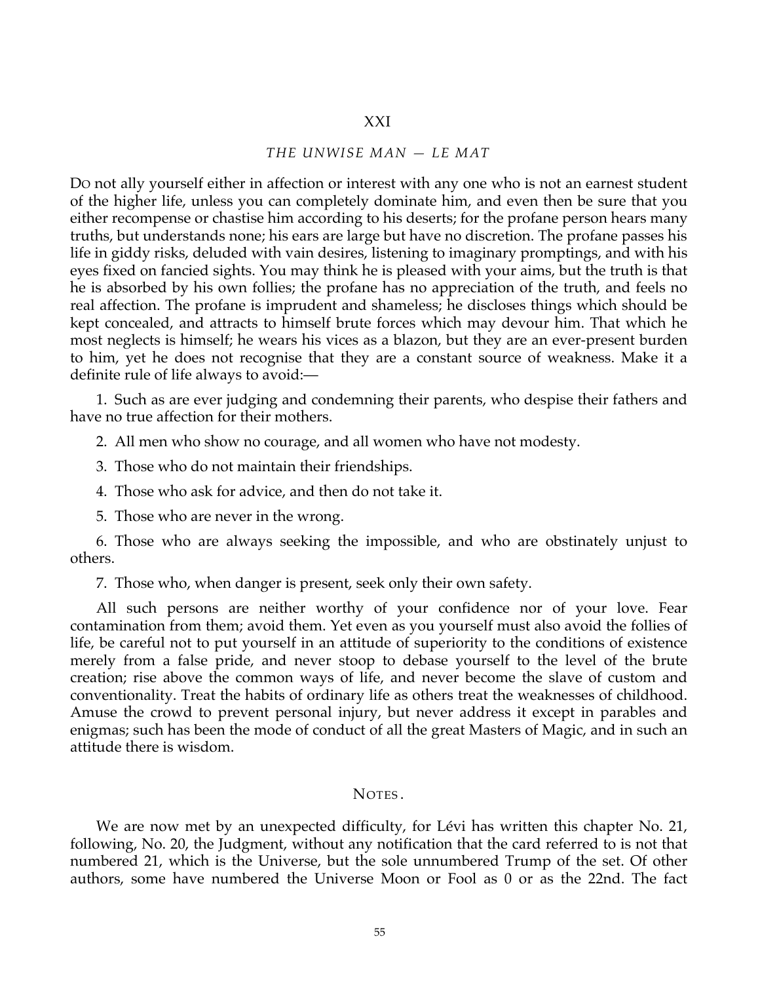## *THE UNWISE MAN — LE MAT*

DO not ally yourself either in affection or interest with any one who is not an earnest student of the higher life, unless you can completely dominate him, and even then be sure that you either recompense or chastise him according to his deserts; for the profane person hears many truths, but understands none; his ears are large but have no discretion. The profane passes his life in giddy risks, deluded with vain desires, listening to imaginary promptings, and with his eyes fixed on fancied sights. You may think he is pleased with your aims, but the truth is that he is absorbed by his own follies; the profane has no appreciation of the truth, and feels no real affection. The profane is imprudent and shameless; he discloses things which should be kept concealed, and attracts to himself brute forces which may devour him. That which he most neglects is himself; he wears his vices as a blazon, but they are an ever-present burden to him, yet he does not recognise that they are a constant source of weakness. Make it a definite rule of life always to avoid:—

1. Such as are ever judging and condemning their parents, who despise their fathers and have no true affection for their mothers.

2. All men who show no courage, and all women who have not modesty.

3. Those who do not maintain their friendships.

4. Those who ask for advice, and then do not take it.

5. Those who are never in the wrong.

6. Those who are always seeking the impossible, and who are obstinately unjust to others.

7. Those who, when danger is present, seek only their own safety.

All such persons are neither worthy of your confidence nor of your love. Fear contamination from them; avoid them. Yet even as you yourself must also avoid the follies of life, be careful not to put yourself in an attitude of superiority to the conditions of existence merely from a false pride, and never stoop to debase yourself to the level of the brute creation; rise above the common ways of life, and never become the slave of custom and conventionality. Treat the habits of ordinary life as others treat the weaknesses of childhood. Amuse the crowd to prevent personal injury, but never address it except in parables and enigmas; such has been the mode of conduct of all the great Masters of Magic, and in such an attitude there is wisdom.

## NOTES .

We are now met by an unexpected difficulty, for Lévi has written this chapter No. 21, following, No. 20, the Judgment, without any notification that the card referred to is not that numbered 21, which is the Universe, but the sole unnumbered Trump of the set. Of other authors, some have numbered the Universe Moon or Fool as 0 or as the 22nd. The fact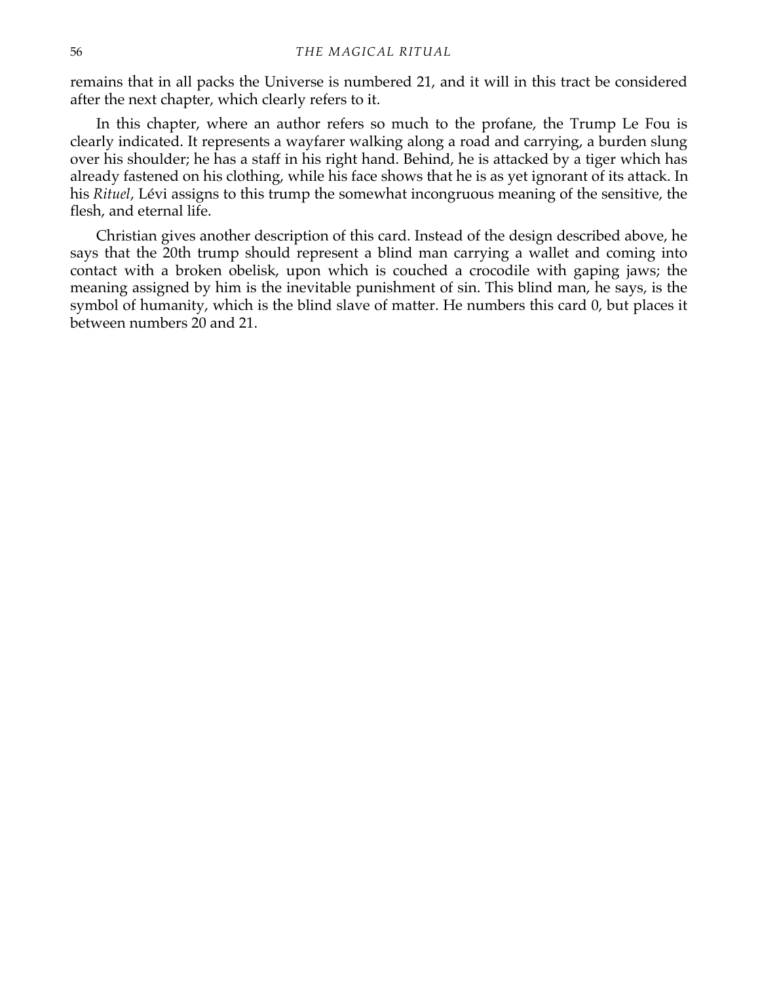remains that in all packs the Universe is numbered 21, and it will in this tract be considered after the next chapter, which clearly refers to it.

In this chapter, where an author refers so much to the profane, the Trump Le Fou is clearly indicated. It represents a wayfarer walking along a road and carrying, a burden slung over his shoulder; he has a staff in his right hand. Behind, he is attacked by a tiger which has already fastened on his clothing, while his face shows that he is as yet ignorant of its attack. In his *Rituel*, Lévi assigns to this trump the somewhat incongruous meaning of the sensitive, the flesh, and eternal life.

Christian gives another description of this card. Instead of the design described above, he says that the 20th trump should represent a blind man carrying a wallet and coming into contact with a broken obelisk, upon which is couched a crocodile with gaping jaws; the meaning assigned by him is the inevitable punishment of sin. This blind man, he says, is the symbol of humanity, which is the blind slave of matter. He numbers this card 0, but places it between numbers 20 and 21.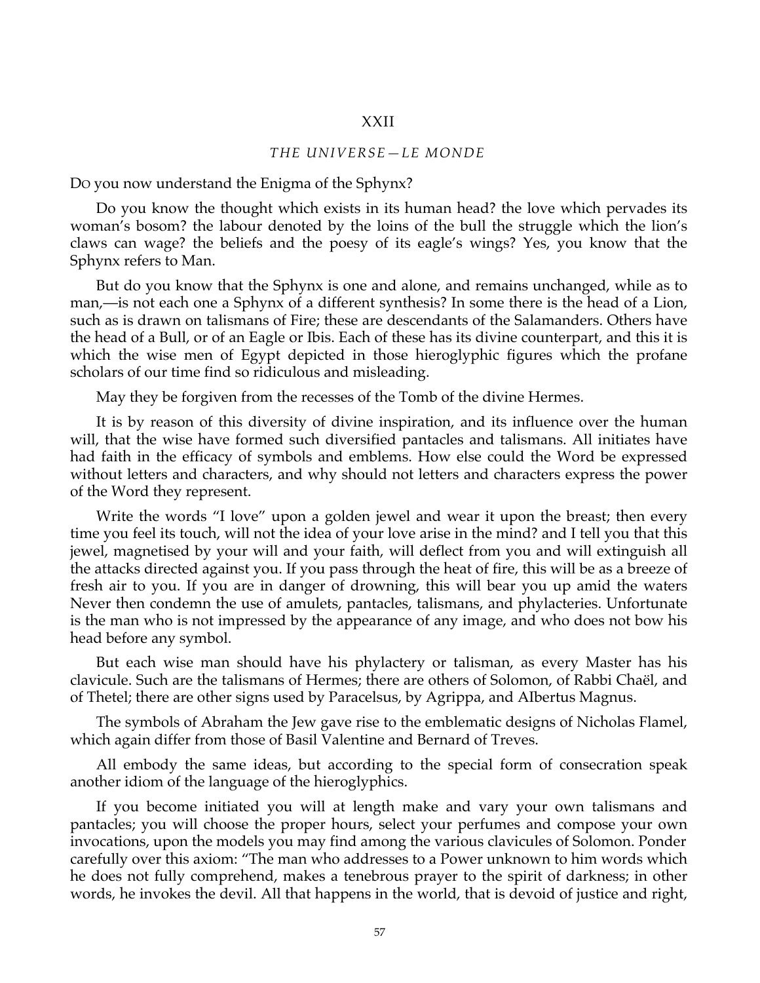# XXII

## *THE UNIVERSE—LE MONDE*

DO you now understand the Enigma of the Sphynx?

Do you know the thought which exists in its human head? the love which pervades its woman's bosom? the labour denoted by the loins of the bull the struggle which the lion's claws can wage? the beliefs and the poesy of its eagle's wings? Yes, you know that the Sphynx refers to Man.

But do you know that the Sphynx is one and alone, and remains unchanged, while as to man,—is not each one a Sphynx of a different synthesis? In some there is the head of a Lion, such as is drawn on talismans of Fire; these are descendants of the Salamanders. Others have the head of a Bull, or of an Eagle or Ibis. Each of these has its divine counterpart, and this it is which the wise men of Egypt depicted in those hieroglyphic figures which the profane scholars of our time find so ridiculous and misleading.

May they be forgiven from the recesses of the Tomb of the divine Hermes.

It is by reason of this diversity of divine inspiration, and its influence over the human will, that the wise have formed such diversified pantacles and talismans. All initiates have had faith in the efficacy of symbols and emblems. How else could the Word be expressed without letters and characters, and why should not letters and characters express the power of the Word they represent.

Write the words "I love" upon a golden jewel and wear it upon the breast; then every time you feel its touch, will not the idea of your love arise in the mind? and I tell you that this jewel, magnetised by your will and your faith, will deflect from you and will extinguish all the attacks directed against you. If you pass through the heat of fire, this will be as a breeze of fresh air to you. If you are in danger of drowning, this will bear you up amid the waters Never then condemn the use of amulets, pantacles, talismans, and phylacteries. Unfortunate is the man who is not impressed by the appearance of any image, and who does not bow his head before any symbol.

But each wise man should have his phylactery or talisman, as every Master has his clavicule. Such are the talismans of Hermes; there are others of Solomon, of Rabbi Chaël, and of Thetel; there are other signs used by Paracelsus, by Agrippa, and AIbertus Magnus.

The symbols of Abraham the Jew gave rise to the emblematic designs of Nicholas Flamel, which again differ from those of Basil Valentine and Bernard of Treves.

All embody the same ideas, but according to the special form of consecration speak another idiom of the language of the hieroglyphics.

If you become initiated you will at length make and vary your own talismans and pantacles; you will choose the proper hours, select your perfumes and compose your own invocations, upon the models you may find among the various clavicules of Solomon. Ponder carefully over this axiom: "The man who addresses to a Power unknown to him words which he does not fully comprehend, makes a tenebrous prayer to the spirit of darkness; in other words, he invokes the devil. All that happens in the world, that is devoid of justice and right,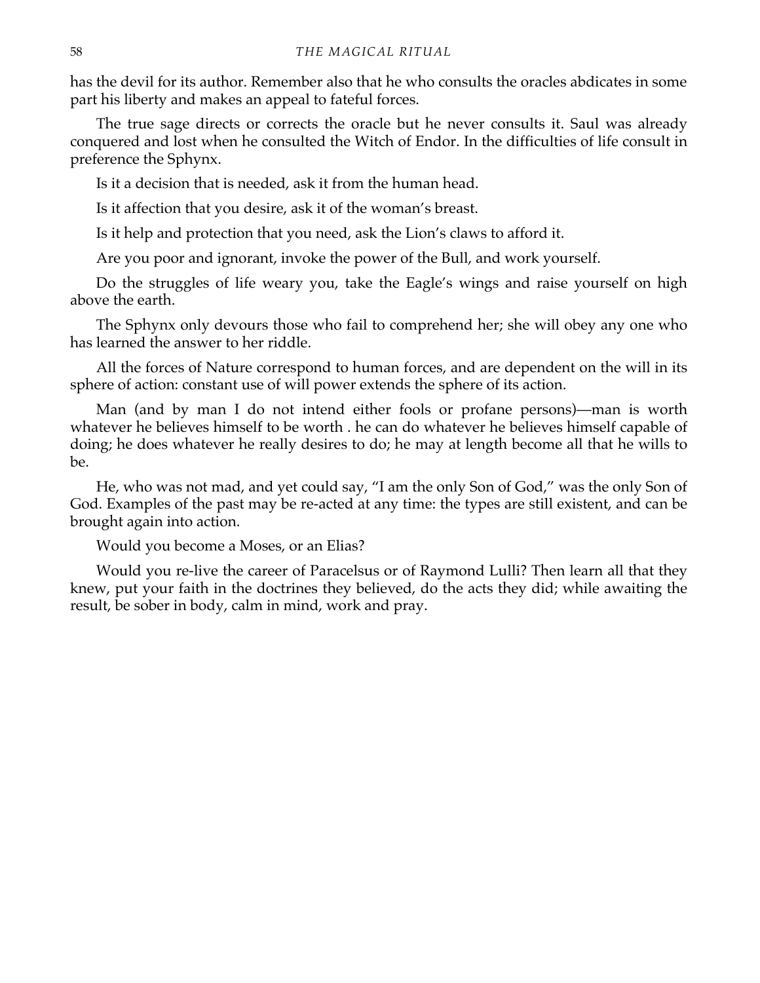has the devil for its author. Remember also that he who consults the oracles abdicates in some part his liberty and makes an appeal to fateful forces.

The true sage directs or corrects the oracle but he never consults it. Saul was already conquered and lost when he consulted the Witch of Endor. In the difficulties of life consult in preference the Sphynx.

Is it a decision that is needed, ask it from the human head.

Is it affection that you desire, ask it of the woman's breast.

Is it help and protection that you need, ask the Lion's claws to afford it.

Are you poor and ignorant, invoke the power of the Bull, and work yourself.

Do the struggles of life weary you, take the Eagle's wings and raise yourself on high above the earth.

The Sphynx only devours those who fail to comprehend her; she will obey any one who has learned the answer to her riddle.

All the forces of Nature correspond to human forces, and are dependent on the will in its sphere of action: constant use of will power extends the sphere of its action.

Man (and by man I do not intend either fools or profane persons)—man is worth whatever he believes himself to be worth . he can do whatever he believes himself capable of doing; he does whatever he really desires to do; he may at length become all that he wills to be.

He, who was not mad, and yet could say, "I am the only Son of God," was the only Son of God. Examples of the past may be re-acted at any time: the types are still existent, and can be brought again into action.

Would you become a Moses, or an Elias?

Would you re-live the career of Paracelsus or of Raymond Lulli? Then learn all that they knew, put your faith in the doctrines they believed, do the acts they did; while awaiting the result, be sober in body, calm in mind, work and pray.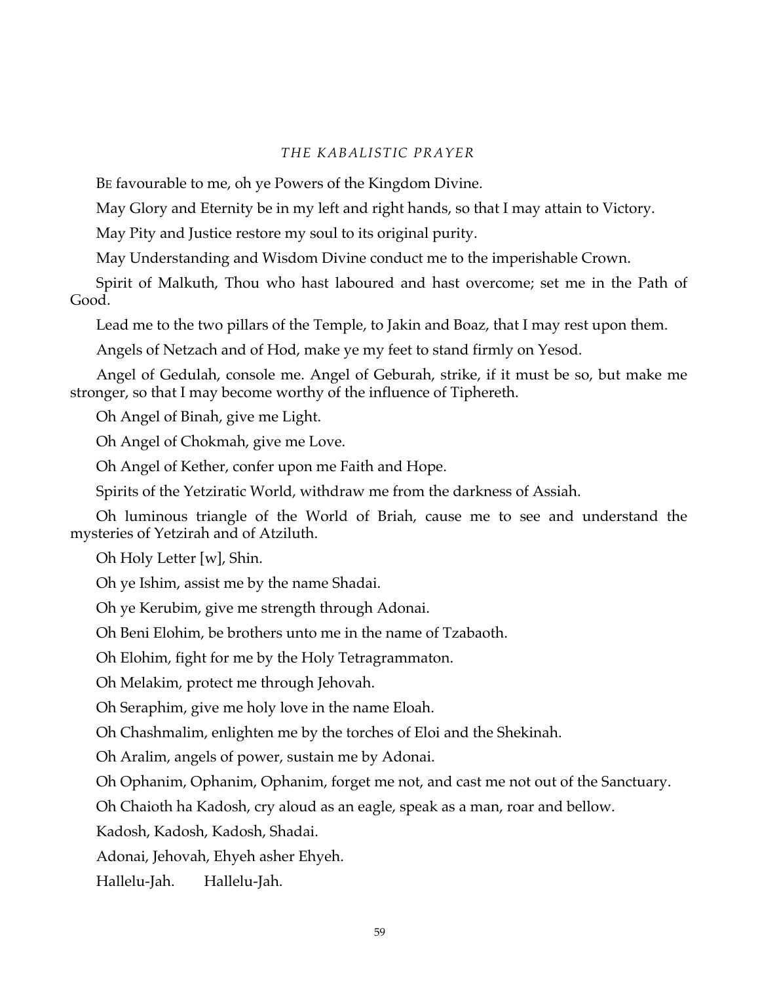# *THE KABALISTIC PRAYER*

BE favourable to me, oh ye Powers of the Kingdom Divine.

May Glory and Eternity be in my left and right hands, so that I may attain to Victory.

May Pity and Justice restore my soul to its original purity.

May Understanding and Wisdom Divine conduct me to the imperishable Crown.

Spirit of Malkuth, Thou who hast laboured and hast overcome; set me in the Path of Good.

Lead me to the two pillars of the Temple, to Jakin and Boaz, that I may rest upon them.

Angels of Netzach and of Hod, make ye my feet to stand firmly on Yesod.

Angel of Gedulah, console me. Angel of Geburah, strike, if it must be so, but make me stronger, so that I may become worthy of the influence of Tiphereth.

Oh Angel of Binah, give me Light.

Oh Angel of Chokmah, give me Love.

Oh Angel of Kether, confer upon me Faith and Hope.

Spirits of the Yetziratic World, withdraw me from the darkness of Assiah.

Oh luminous triangle of the World of Briah, cause me to see and understand the mysteries of Yetzirah and of Atziluth.

Oh Holy Letter [w], Shin.

Oh ye Ishim, assist me by the name Shadai.

Oh ye Kerubim, give me strength through Adonai.

Oh Beni Elohim, be brothers unto me in the name of Tzabaoth.

Oh Elohim, fight for me by the Holy Tetragrammaton.

Oh Melakim, protect me through Jehovah.

Oh Seraphim, give me holy love in the name Eloah.

Oh Chashmalim, enlighten me by the torches of Eloi and the Shekinah.

Oh Aralim, angels of power, sustain me by Adonai.

Oh Ophanim, Ophanim, Ophanim, forget me not, and cast me not out of the Sanctuary.

Oh Chaioth ha Kadosh, cry aloud as an eagle, speak as a man, roar and bellow.

Kadosh, Kadosh, Kadosh, Shadai.

Adonai, Jehovah, Ehyeh asher Ehyeh.

Hallelu-Jah. Hallelu-Jah.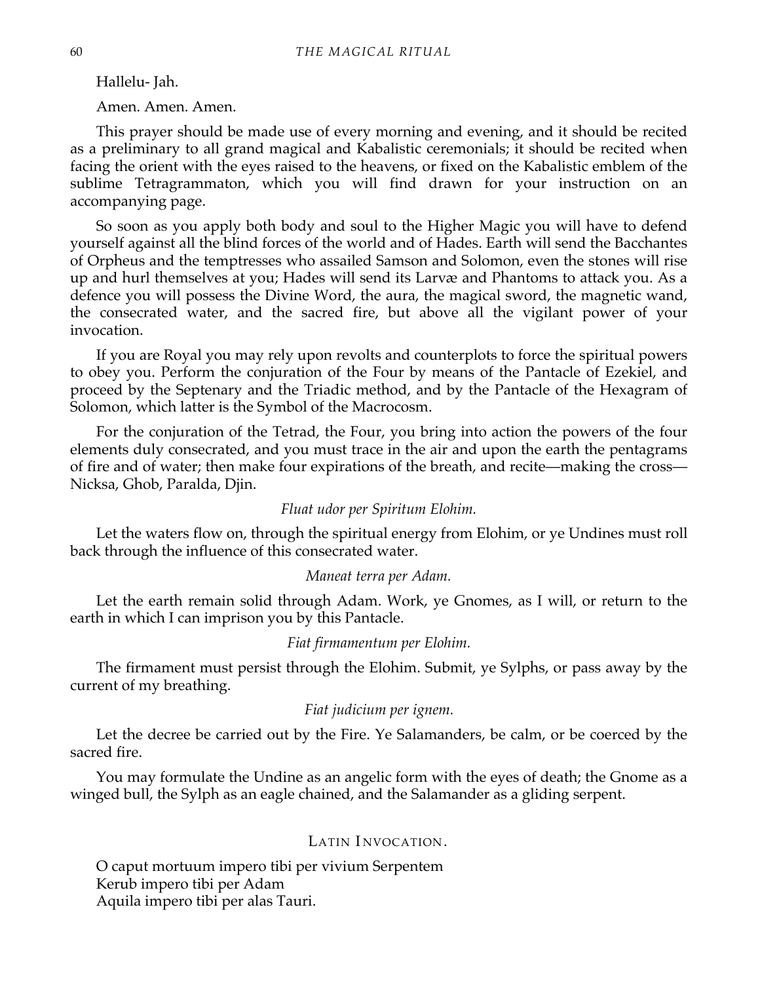Hallelu- Jah.

Amen. Amen. Amen.

This prayer should be made use of every morning and evening, and it should be recited as a preliminary to all grand magical and Kabalistic ceremonials; it should be recited when facing the orient with the eyes raised to the heavens, or fixed on the Kabalistic emblem of the sublime Tetragrammaton, which you will find drawn for your instruction on an accompanying page.

So soon as you apply both body and soul to the Higher Magic you will have to defend yourself against all the blind forces of the world and of Hades. Earth will send the Bacchantes of Orpheus and the temptresses who assailed Samson and Solomon, even the stones will rise up and hurl themselves at you; Hades will send its Larvæ and Phantoms to attack you. As a defence you will possess the Divine Word, the aura, the magical sword, the magnetic wand, the consecrated water, and the sacred fire, but above all the vigilant power of your invocation.

If you are Royal you may rely upon revolts and counterplots to force the spiritual powers to obey you. Perform the conjuration of the Four by means of the Pantacle of Ezekiel, and proceed by the Septenary and the Triadic method, and by the Pantacle of the Hexagram of Solomon, which latter is the Symbol of the Macrocosm.

For the conjuration of the Tetrad, the Four, you bring into action the powers of the four elements duly consecrated, and you must trace in the air and upon the earth the pentagrams of fire and of water; then make four expirations of the breath, and recite—making the cross— Nicksa, Ghob, Paralda, Djin.

#### *Fluat udor per Spiritum Elohim.*

Let the waters flow on, through the spiritual energy from Elohim, or ye Undines must roll back through the influence of this consecrated water.

#### *Maneat terra per Adam.*

Let the earth remain solid through Adam. Work, ye Gnomes, as I will, or return to the earth in which I can imprison you by this Pantacle.

## *Fiat firmamentum per Elohim.*

The firmament must persist through the Elohim. Submit, ye Sylphs, or pass away by the current of my breathing.

## *Fiat judicium per ignem.*

Let the decree be carried out by the Fire. Ye Salamanders, be calm, or be coerced by the sacred fire.

You may formulate the Undine as an angelic form with the eyes of death; the Gnome as a winged bull, the Sylph as an eagle chained, and the Salamander as a gliding serpent.

# LATIN INVOCATION.

O caput mortuum impero tibi per vivium Serpentem Kerub impero tibi per Adam Aquila impero tibi per alas Tauri.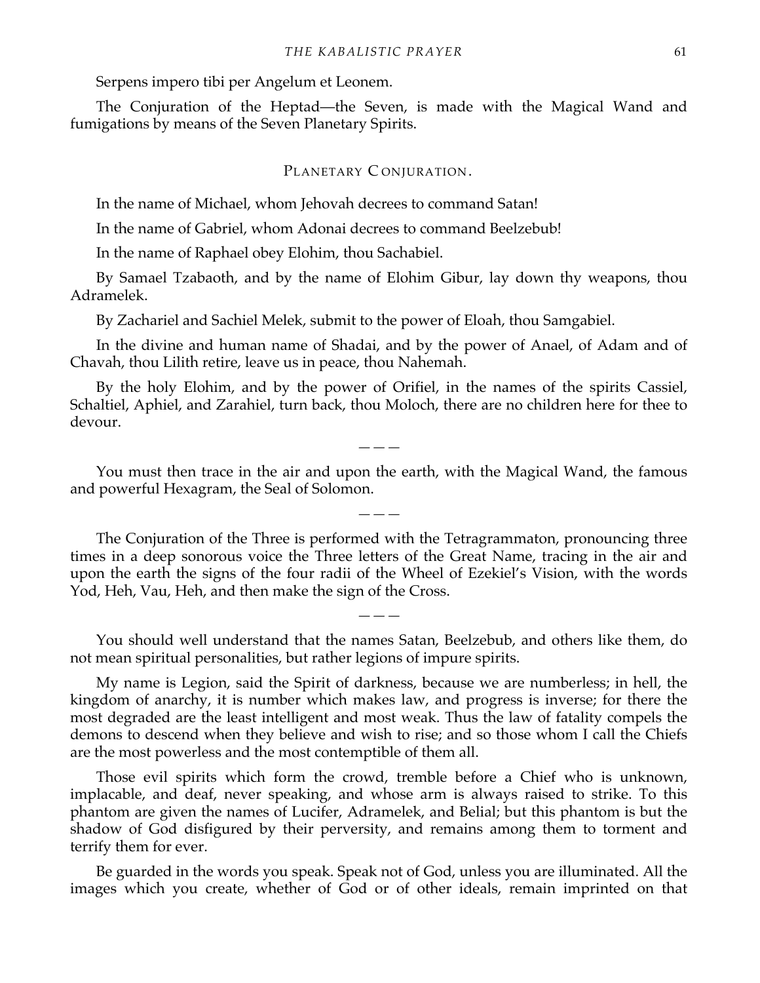Serpens impero tibi per Angelum et Leonem.

The Conjuration of the Heptad—the Seven, is made with the Magical Wand and fumigations by means of the Seven Planetary Spirits.

## PLANETARY CONJURATION.

In the name of Michael, whom Jehovah decrees to command Satan!

In the name of Gabriel, whom Adonai decrees to command Beelzebub!

In the name of Raphael obey Elohim, thou Sachabiel.

By Samael Tzabaoth, and by the name of Elohim Gibur, lay down thy weapons, thou Adramelek.

By Zachariel and Sachiel Melek, submit to the power of Eloah, thou Samgabiel.

In the divine and human name of Shadai, and by the power of Anael, of Adam and of Chavah, thou Lilith retire, leave us in peace, thou Nahemah.

By the holy Elohim, and by the power of Orifiel, in the names of the spirits Cassiel, Schaltiel, Aphiel, and Zarahiel, turn back, thou Moloch, there are no children here for thee to devour.

You must then trace in the air and upon the earth, with the Magical Wand, the famous and powerful Hexagram, the Seal of Solomon.

*———*

*———*

The Conjuration of the Three is performed with the Tetragrammaton, pronouncing three times in a deep sonorous voice the Three letters of the Great Name, tracing in the air and upon the earth the signs of the four radii of the Wheel of Ezekiel's Vision, with the words Yod, Heh, Vau, Heh, and then make the sign of the Cross.

You should well understand that the names Satan, Beelzebub, and others like them, do not mean spiritual personalities, but rather legions of impure spirits.

*———*

My name is Legion, said the Spirit of darkness, because we are numberless; in hell, the kingdom of anarchy, it is number which makes law, and progress is inverse; for there the most degraded are the least intelligent and most weak. Thus the law of fatality compels the demons to descend when they believe and wish to rise; and so those whom I call the Chiefs are the most powerless and the most contemptible of them all.

Those evil spirits which form the crowd, tremble before a Chief who is unknown, implacable, and deaf, never speaking, and whose arm is always raised to strike. To this phantom are given the names of Lucifer, Adramelek, and Belial; but this phantom is but the shadow of God disfigured by their perversity, and remains among them to torment and terrify them for ever.

Be guarded in the words you speak. Speak not of God, unless you are illuminated. All the images which you create, whether of God or of other ideals, remain imprinted on that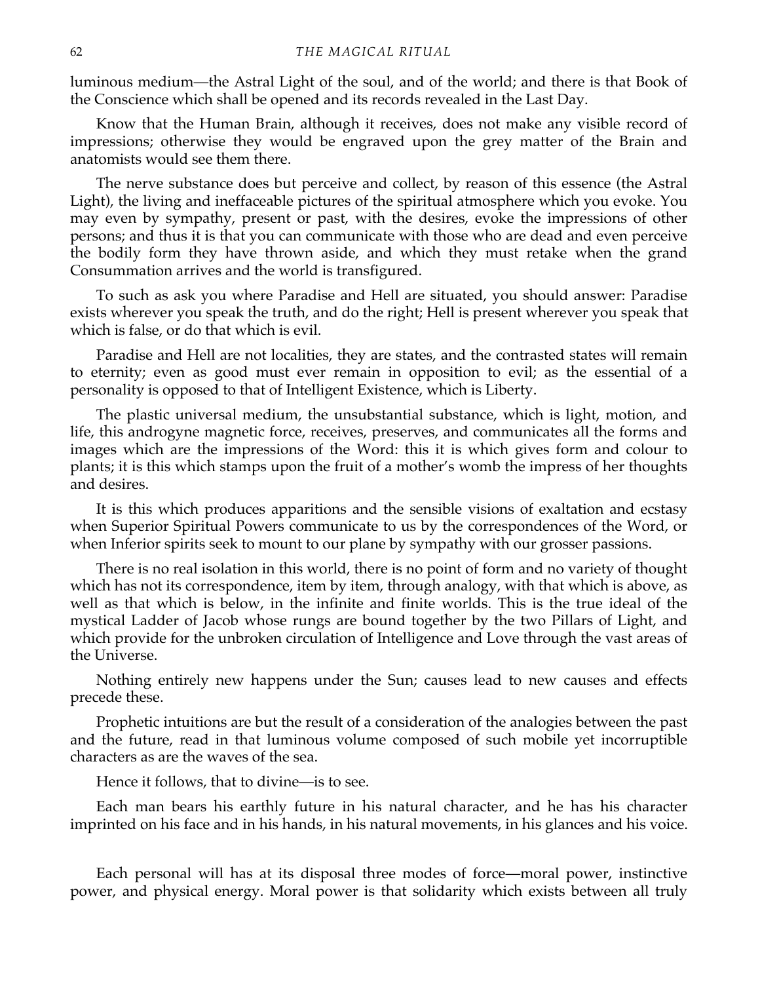luminous medium—the Astral Light of the soul, and of the world; and there is that Book of the Conscience which shall be opened and its records revealed in the Last Day.

Know that the Human Brain, although it receives, does not make any visible record of impressions; otherwise they would be engraved upon the grey matter of the Brain and anatomists would see them there.

The nerve substance does but perceive and collect, by reason of this essence (the Astral Light), the living and ineffaceable pictures of the spiritual atmosphere which you evoke. You may even by sympathy, present or past, with the desires, evoke the impressions of other persons; and thus it is that you can communicate with those who are dead and even perceive the bodily form they have thrown aside, and which they must retake when the grand Consummation arrives and the world is transfigured.

To such as ask you where Paradise and Hell are situated, you should answer: Paradise exists wherever you speak the truth, and do the right; Hell is present wherever you speak that which is false, or do that which is evil.

Paradise and Hell are not localities, they are states, and the contrasted states will remain to eternity; even as good must ever remain in opposition to evil; as the essential of a personality is opposed to that of Intelligent Existence, which is Liberty.

The plastic universal medium, the unsubstantial substance, which is light, motion, and life, this androgyne magnetic force, receives, preserves, and communicates all the forms and images which are the impressions of the Word: this it is which gives form and colour to plants; it is this which stamps upon the fruit of a mother's womb the impress of her thoughts and desires.

It is this which produces apparitions and the sensible visions of exaltation and ecstasy when Superior Spiritual Powers communicate to us by the correspondences of the Word, or when Inferior spirits seek to mount to our plane by sympathy with our grosser passions.

There is no real isolation in this world, there is no point of form and no variety of thought which has not its correspondence, item by item, through analogy, with that which is above, as well as that which is below, in the infinite and finite worlds. This is the true ideal of the mystical Ladder of Jacob whose rungs are bound together by the two Pillars of Light, and which provide for the unbroken circulation of Intelligence and Love through the vast areas of the Universe.

Nothing entirely new happens under the Sun; causes lead to new causes and effects precede these.

Prophetic intuitions are but the result of a consideration of the analogies between the past and the future, read in that luminous volume composed of such mobile yet incorruptible characters as are the waves of the sea.

Hence it follows, that to divine—is to see.

Each man bears his earthly future in his natural character, and he has his character imprinted on his face and in his hands, in his natural movements, in his glances and his voice.

Each personal will has at its disposal three modes of force—moral power, instinctive power, and physical energy. Moral power is that solidarity which exists between all truly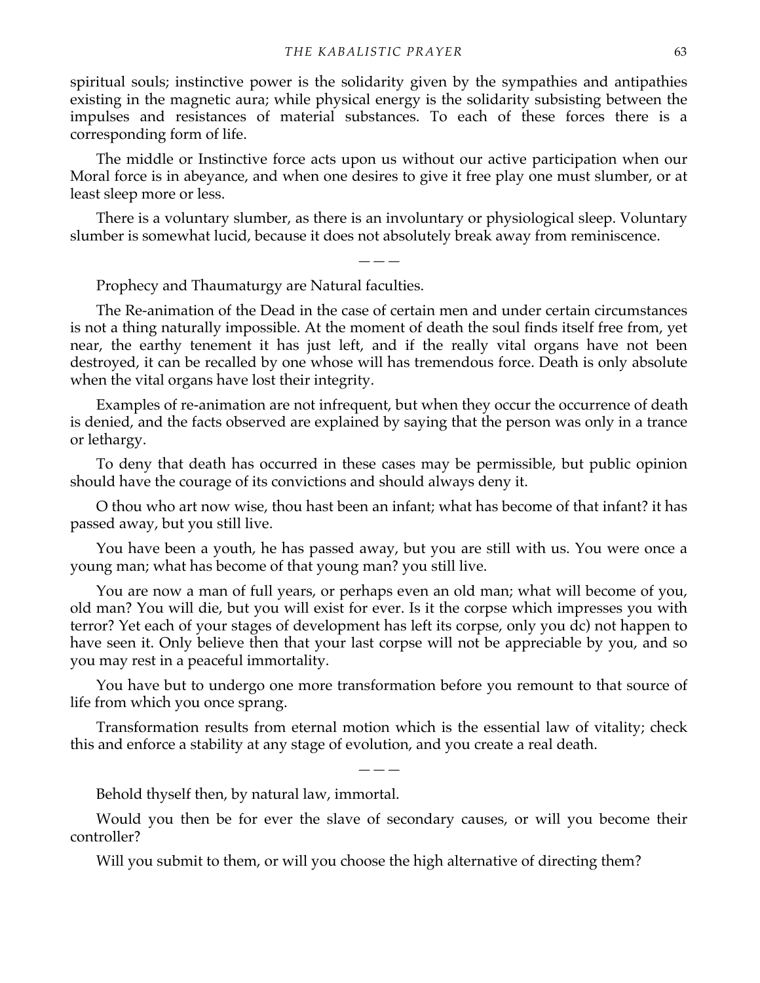spiritual souls; instinctive power is the solidarity given by the sympathies and antipathies existing in the magnetic aura; while physical energy is the solidarity subsisting between the impulses and resistances of material substances. To each of these forces there is a corresponding form of life.

The middle or Instinctive force acts upon us without our active participation when our Moral force is in abeyance, and when one desires to give it free play one must slumber, or at least sleep more or less.

There is a voluntary slumber, as there is an involuntary or physiological sleep. Voluntary slumber is somewhat lucid, because it does not absolutely break away from reminiscence.

*———*

Prophecy and Thaumaturgy are Natural faculties.

The Re-animation of the Dead in the case of certain men and under certain circumstances is not a thing naturally impossible. At the moment of death the soul finds itself free from, yet near, the earthy tenement it has just left, and if the really vital organs have not been destroyed, it can be recalled by one whose will has tremendous force. Death is only absolute when the vital organs have lost their integrity.

Examples of re-animation are not infrequent, but when they occur the occurrence of death is denied, and the facts observed are explained by saying that the person was only in a trance or lethargy.

To deny that death has occurred in these cases may be permissible, but public opinion should have the courage of its convictions and should always deny it.

O thou who art now wise, thou hast been an infant; what has become of that infant? it has passed away, but you still live.

You have been a youth, he has passed away, but you are still with us. You were once a young man; what has become of that young man? you still live.

You are now a man of full years, or perhaps even an old man; what will become of you, old man? You will die, but you will exist for ever. Is it the corpse which impresses you with terror? Yet each of your stages of development has left its corpse, only you dc) not happen to have seen it. Only believe then that your last corpse will not be appreciable by you, and so you may rest in a peaceful immortality.

You have but to undergo one more transformation before you remount to that source of life from which you once sprang.

Transformation results from eternal motion which is the essential law of vitality; check this and enforce a stability at any stage of evolution, and you create a real death.

*———*

Behold thyself then, by natural law, immortal.

Would you then be for ever the slave of secondary causes, or will you become their controller?

Will you submit to them, or will you choose the high alternative of directing them?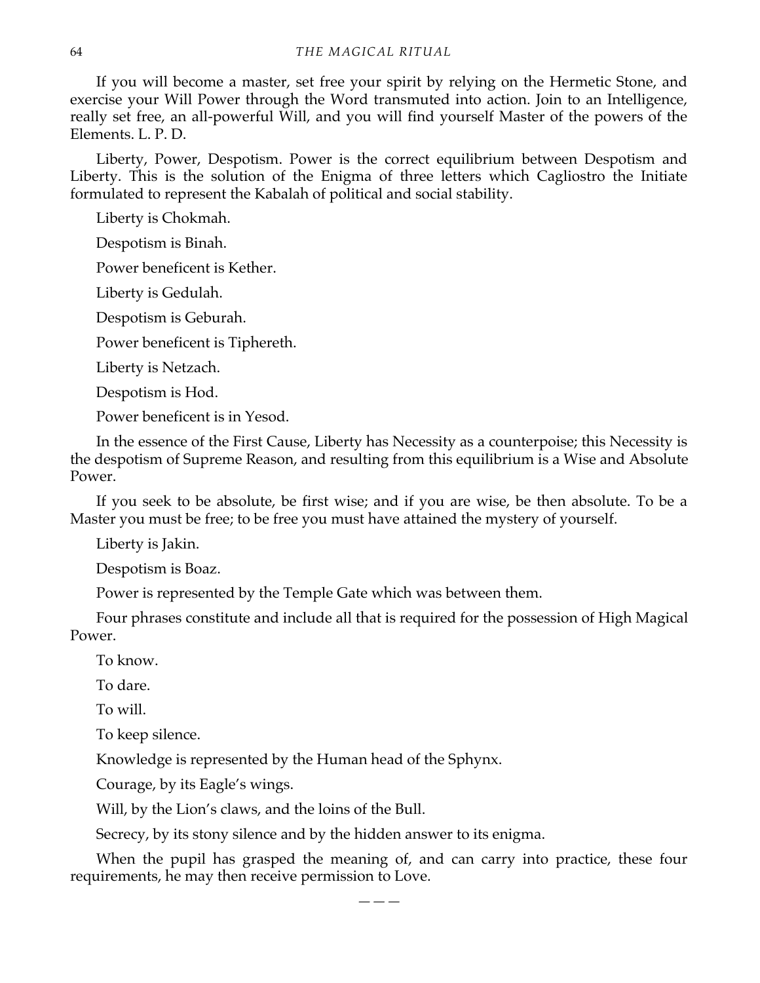If you will become a master, set free your spirit by relying on the Hermetic Stone, and exercise your Will Power through the Word transmuted into action. Join to an Intelligence, really set free, an all-powerful Will, and you will find yourself Master of the powers of the Elements. L. P. D.

Liberty, Power, Despotism. Power is the correct equilibrium between Despotism and Liberty. This is the solution of the Enigma of three letters which Cagliostro the Initiate formulated to represent the Kabalah of political and social stability.

Liberty is Chokmah.

Despotism is Binah.

Power beneficent is Kether.

Liberty is Gedulah.

Despotism is Geburah.

Power beneficent is Tiphereth.

Liberty is Netzach.

Despotism is Hod.

Power beneficent is in Yesod.

In the essence of the First Cause, Liberty has Necessity as a counterpoise; this Necessity is the despotism of Supreme Reason, and resulting from this equilibrium is a Wise and Absolute Power.

If you seek to be absolute, be first wise; and if you are wise, be then absolute. To be a Master you must be free; to be free you must have attained the mystery of yourself.

Liberty is Jakin.

Despotism is Boaz.

Power is represented by the Temple Gate which was between them.

Four phrases constitute and include all that is required for the possession of High Magical Power.

To know.

To dare.

To will.

To keep silence.

Knowledge is represented by the Human head of the Sphynx.

Courage, by its Eagle's wings.

Will, by the Lion's claws, and the loins of the Bull.

Secrecy, by its stony silence and by the hidden answer to its enigma.

When the pupil has grasped the meaning of, and can carry into practice, these four requirements, he may then receive permission to Love.

*———*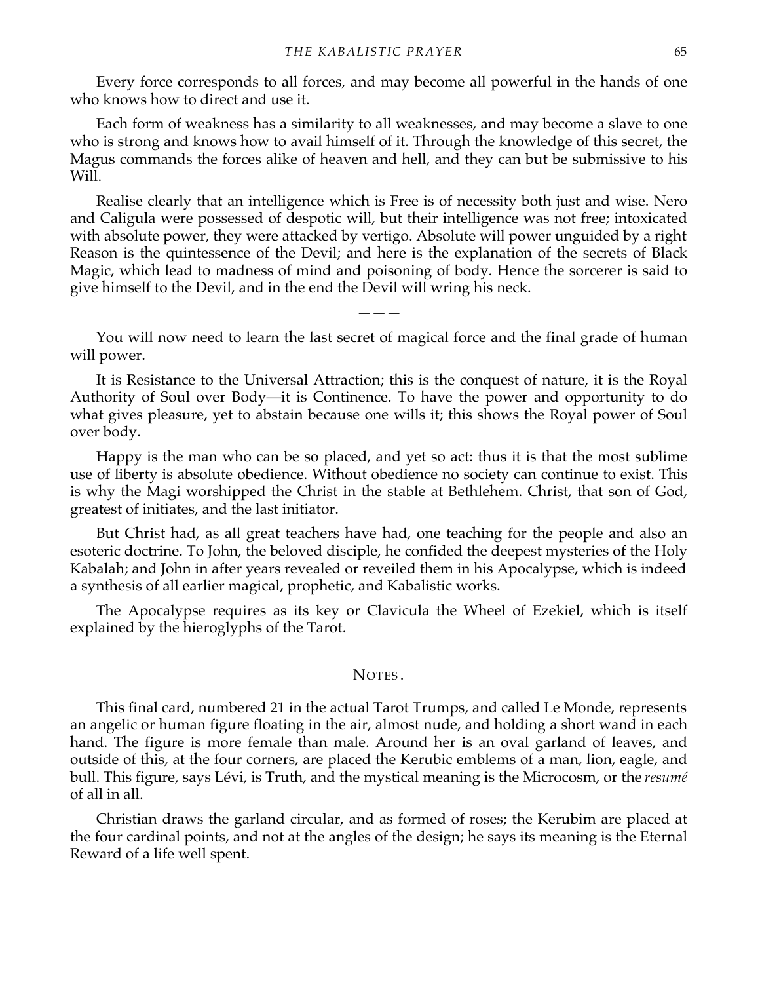Every force corresponds to all forces, and may become all powerful in the hands of one who knows how to direct and use it.

Each form of weakness has a similarity to all weaknesses, and may become a slave to one who is strong and knows how to avail himself of it. Through the knowledge of this secret, the Magus commands the forces alike of heaven and hell, and they can but be submissive to his Will.

Realise clearly that an intelligence which is Free is of necessity both just and wise. Nero and Caligula were possessed of despotic will, but their intelligence was not free; intoxicated with absolute power, they were attacked by vertigo. Absolute will power unguided by a right Reason is the quintessence of the Devil; and here is the explanation of the secrets of Black Magic, which lead to madness of mind and poisoning of body. Hence the sorcerer is said to give himself to the Devil, and in the end the Devil will wring his neck.

You will now need to learn the last secret of magical force and the final grade of human will power.

*———*

It is Resistance to the Universal Attraction; this is the conquest of nature, it is the Royal Authority of Soul over Body—it is Continence. To have the power and opportunity to do what gives pleasure, yet to abstain because one wills it; this shows the Royal power of Soul over body.

Happy is the man who can be so placed, and yet so act: thus it is that the most sublime use of liberty is absolute obedience. Without obedience no society can continue to exist. This is why the Magi worshipped the Christ in the stable at Bethlehem. Christ, that son of God, greatest of initiates, and the last initiator.

But Christ had, as all great teachers have had, one teaching for the people and also an esoteric doctrine. To John, the beloved disciple, he confided the deepest mysteries of the Holy Kabalah; and John in after years revealed or reveiled them in his Apocalypse, which is indeed a synthesis of all earlier magical, prophetic, and Kabalistic works.

The Apocalypse requires as its key or Clavicula the Wheel of Ezekiel, which is itself explained by the hieroglyphs of the Tarot.

#### NOTES .

This final card, numbered 21 in the actual Tarot Trumps, and called Le Monde, represents an angelic or human figure floating in the air, almost nude, and holding a short wand in each hand. The figure is more female than male. Around her is an oval garland of leaves, and outside of this, at the four corners, are placed the Kerubic emblems of a man, lion, eagle, and bull. This figure, says Lévi, is Truth, and the mystical meaning is the Microcosm, or the *resumé* of all in all.

Christian draws the garland circular, and as formed of roses; the Kerubim are placed at the four cardinal points, and not at the angles of the design; he says its meaning is the Eternal Reward of a life well spent.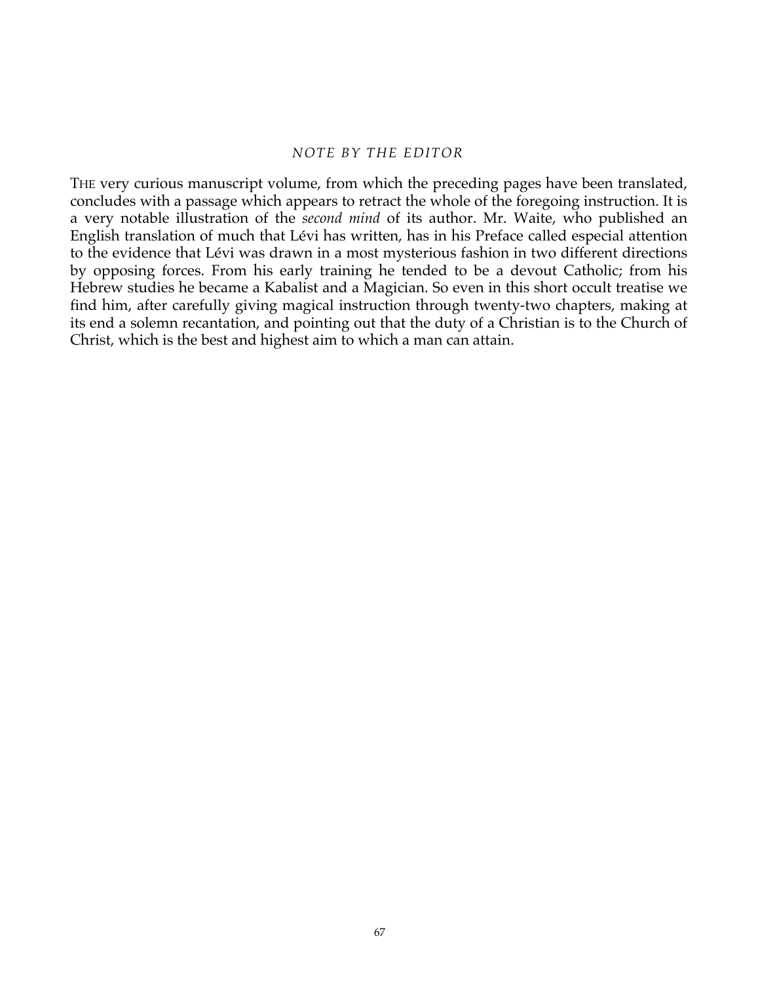# *NOTE BY THE EDITOR*

THE very curious manuscript volume, from which the preceding pages have been translated, concludes with a passage which appears to retract the whole of the foregoing instruction. It is a very notable illustration of the *second mind* of its author. Mr. Waite, who published an English translation of much that Lévi has written, has in his Preface called especial attention to the evidence that Lévi was drawn in a most mysterious fashion in two different directions by opposing forces. From his early training he tended to be a devout Catholic; from his Hebrew studies he became a Kabalist and a Magician. So even in this short occult treatise we find him, after carefully giving magical instruction through twenty-two chapters, making at its end a solemn recantation, and pointing out that the duty of a Christian is to the Church of Christ, which is the best and highest aim to which a man can attain.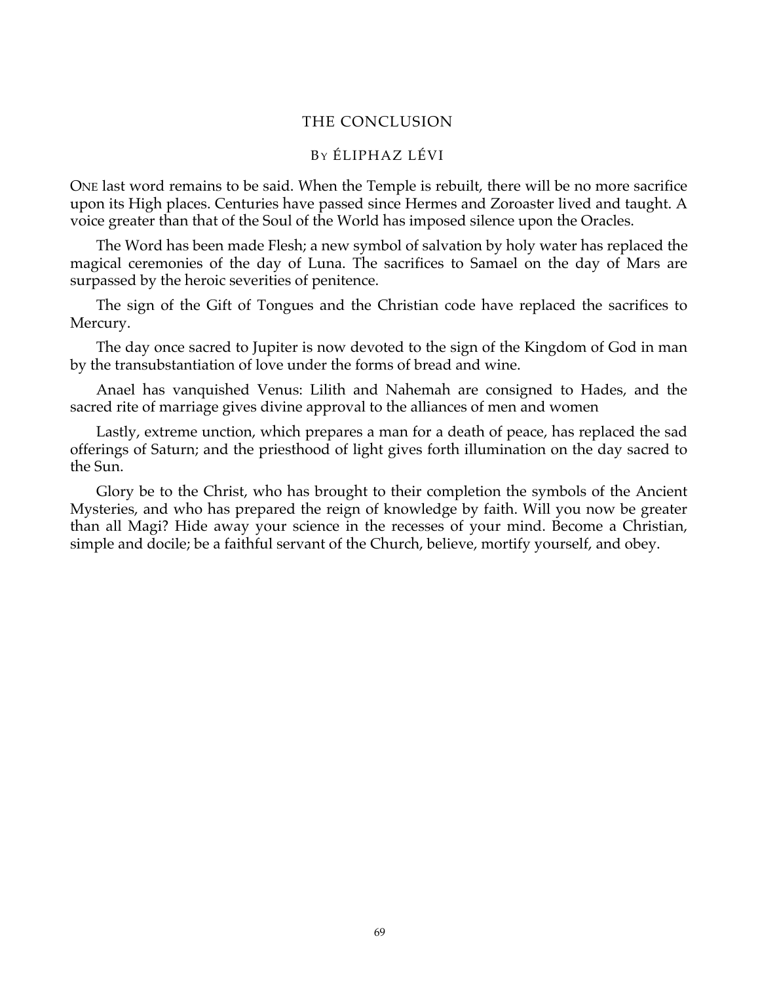# THE CONCLUSION

# BY ÉLIPHAZ LÉVI

ONE last word remains to be said. When the Temple is rebuilt, there will be no more sacrifice upon its High places. Centuries have passed since Hermes and Zoroaster lived and taught. A voice greater than that of the Soul of the World has imposed silence upon the Oracles.

The Word has been made Flesh; a new symbol of salvation by holy water has replaced the magical ceremonies of the day of Luna. The sacrifices to Samael on the day of Mars are surpassed by the heroic severities of penitence.

The sign of the Gift of Tongues and the Christian code have replaced the sacrifices to Mercury.

The day once sacred to Jupiter is now devoted to the sign of the Kingdom of God in man by the transubstantiation of love under the forms of bread and wine.

Anael has vanquished Venus: Lilith and Nahemah are consigned to Hades, and the sacred rite of marriage gives divine approval to the alliances of men and women

Lastly, extreme unction, which prepares a man for a death of peace, has replaced the sad offerings of Saturn; and the priesthood of light gives forth illumination on the day sacred to the Sun.

Glory be to the Christ, who has brought to their completion the symbols of the Ancient Mysteries, and who has prepared the reign of knowledge by faith. Will you now be greater than all Magi? Hide away your science in the recesses of your mind. Become a Christian, simple and docile; be a faithful servant of the Church, believe, mortify yourself, and obey.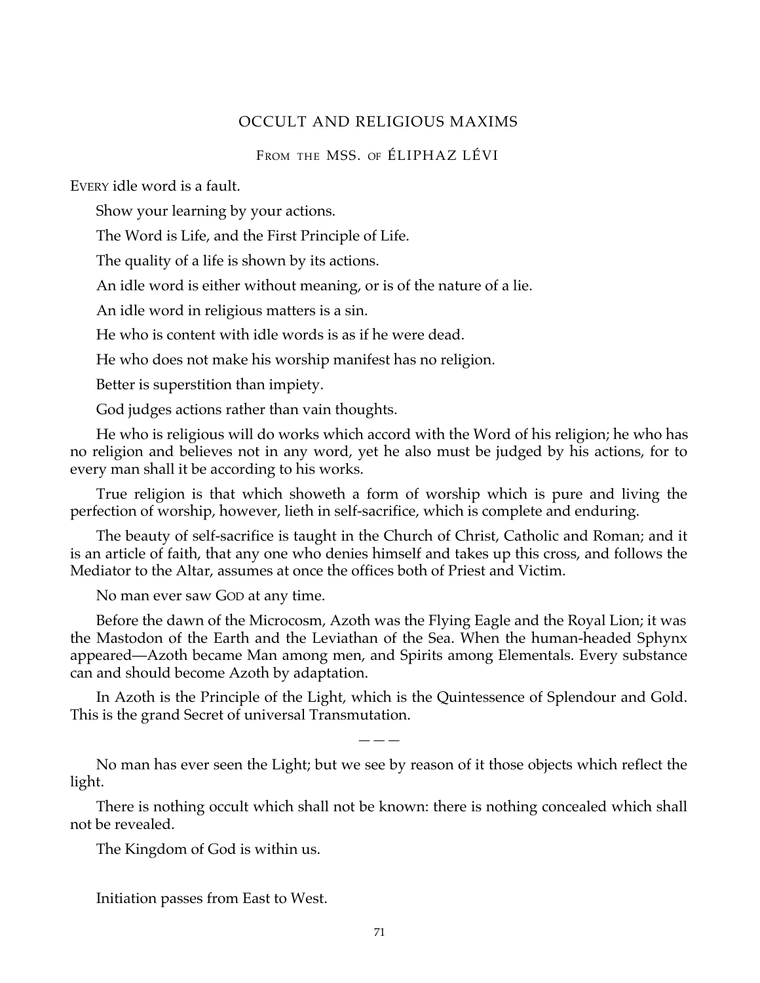## OCCULT AND RELIGIOUS MAXIMS

FROM THE MSS. OF ÉLIPHAZ LÉVI

EVERY idle word is a fault.

Show your learning by your actions.

The Word is Life, and the First Principle of Life.

The quality of a life is shown by its actions.

An idle word is either without meaning, or is of the nature of a lie.

An idle word in religious matters is a sin.

He who is content with idle words is as if he were dead.

He who does not make his worship manifest has no religion.

Better is superstition than impiety.

God judges actions rather than vain thoughts.

He who is religious will do works which accord with the Word of his religion; he who has no religion and believes not in any word, yet he also must be judged by his actions, for to every man shall it be according to his works.

True religion is that which showeth a form of worship which is pure and living the perfection of worship, however, lieth in self-sacrifice, which is complete and enduring.

The beauty of self-sacrifice is taught in the Church of Christ, Catholic and Roman; and it is an article of faith, that any one who denies himself and takes up this cross, and follows the Mediator to the Altar, assumes at once the offices both of Priest and Victim.

No man ever saw GOD at any time.

Before the dawn of the Microcosm, Azoth was the Flying Eagle and the Royal Lion; it was the Mastodon of the Earth and the Leviathan of the Sea. When the human-headed Sphynx appeared—Azoth became Man among men, and Spirits among Elementals. Every substance can and should become Azoth by adaptation.

In Azoth is the Principle of the Light, which is the Quintessence of Splendour and Gold. This is the grand Secret of universal Transmutation.

*———*

No man has ever seen the Light; but we see by reason of it those objects which reflect the light.

There is nothing occult which shall not be known: there is nothing concealed which shall not be revealed.

The Kingdom of God is within us.

Initiation passes from East to West.